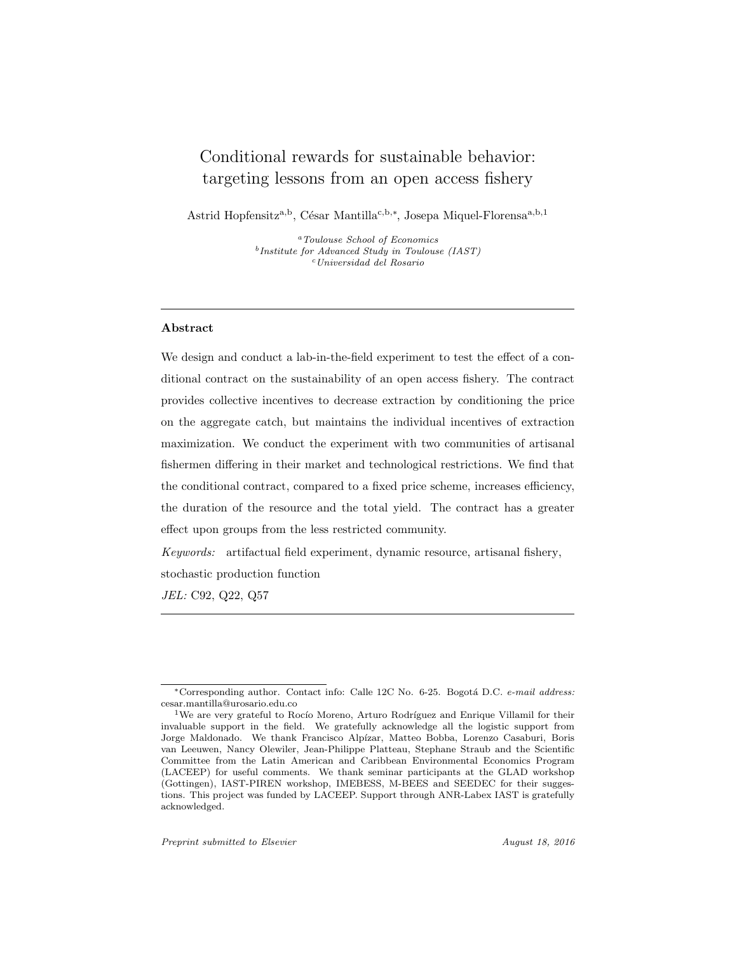# Conditional rewards for sustainable behavior: targeting lessons from an open access fishery

Astrid Hopfensitz<sup>a,b</sup>, César Mantilla<sup>c,b,∗</sup>, Josepa Miquel-Florensa<sup>a,b,1</sup>

<sup>a</sup>Toulouse School of Economics b Institute for Advanced Study in Toulouse (IAST)  $c$ Universidad del Rosario

## Abstract

We design and conduct a lab-in-the-field experiment to test the effect of a conditional contract on the sustainability of an open access fishery. The contract provides collective incentives to decrease extraction by conditioning the price on the aggregate catch, but maintains the individual incentives of extraction maximization. We conduct the experiment with two communities of artisanal fishermen differing in their market and technological restrictions. We find that the conditional contract, compared to a fixed price scheme, increases efficiency, the duration of the resource and the total yield. The contract has a greater effect upon groups from the less restricted community.

Keywords: artifactual field experiment, dynamic resource, artisanal fishery, stochastic production function

JEL: C92, Q22, Q57

<sup>\*</sup>Corresponding author. Contact info: Calle 12C No. 6-25. Bogotá D.C. e-mail address: cesar.mantilla@urosario.edu.co

<sup>&</sup>lt;sup>1</sup>We are very grateful to Rocio Moreno, Arturo Rodríguez and Enrique Villamil for their invaluable support in the field. We gratefully acknowledge all the logistic support from Jorge Maldonado. We thank Francisco Alpízar, Matteo Bobba, Lorenzo Casaburi, Boris van Leeuwen, Nancy Olewiler, Jean-Philippe Platteau, Stephane Straub and the Scientific Committee from the Latin American and Caribbean Environmental Economics Program (LACEEP) for useful comments. We thank seminar participants at the GLAD workshop (Gottingen), IAST-PIREN workshop, IMEBESS, M-BEES and SEEDEC for their suggestions. This project was funded by LACEEP. Support through ANR-Labex IAST is gratefully acknowledged.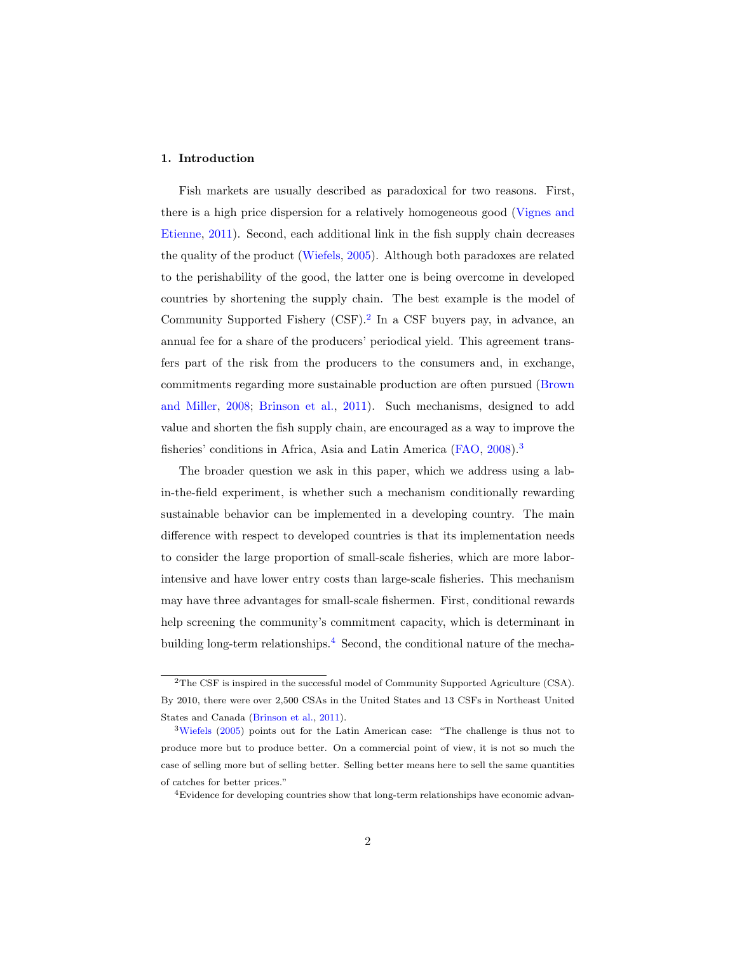## 1. Introduction

Fish markets are usually described as paradoxical for two reasons. First, there is a high price dispersion for a relatively homogeneous good [\(Vignes and](#page-37-0) [Etienne,](#page-37-0) [2011\)](#page-37-0). Second, each additional link in the fish supply chain decreases the quality of the product [\(Wiefels,](#page-38-0) [2005\)](#page-38-0). Although both paradoxes are related to the perishability of the good, the latter one is being overcome in developed countries by shortening the supply chain. The best example is the model of Community Supported Fishery (CSF).<sup>[2](#page-1-0)</sup> In a CSF buyers pay, in advance, an annual fee for a share of the producers' periodical yield. This agreement transfers part of the risk from the producers to the consumers and, in exchange, commitments regarding more sustainable production are often pursued [\(Brown](#page-33-0) [and Miller,](#page-33-0) [2008;](#page-33-0) [Brinson et al.,](#page-33-1) [2011\)](#page-33-1). Such mechanisms, designed to add value and shorten the fish supply chain, are encouraged as a way to improve the fisheries' conditions in Africa, Asia and Latin America [\(FAO,](#page-34-0) [2008\)](#page-34-0).[3](#page-1-1)

The broader question we ask in this paper, which we address using a labin-the-field experiment, is whether such a mechanism conditionally rewarding sustainable behavior can be implemented in a developing country. The main difference with respect to developed countries is that its implementation needs to consider the large proportion of small-scale fisheries, which are more laborintensive and have lower entry costs than large-scale fisheries. This mechanism may have three advantages for small-scale fishermen. First, conditional rewards help screening the community's commitment capacity, which is determinant in building long-term relationships.<sup>[4](#page-1-2)</sup> Second, the conditional nature of the mecha-

<span id="page-1-2"></span><sup>4</sup>Evidence for developing countries show that long-term relationships have economic advan-

<span id="page-1-0"></span><sup>2</sup>The CSF is inspired in the successful model of Community Supported Agriculture (CSA). By 2010, there were over 2,500 CSAs in the United States and 13 CSFs in Northeast United States and Canada [\(Brinson et al.,](#page-33-1) [2011\)](#page-33-1).

<span id="page-1-1"></span><sup>3</sup>[Wiefels](#page-38-0) [\(2005\)](#page-38-0) points out for the Latin American case: "The challenge is thus not to produce more but to produce better. On a commercial point of view, it is not so much the case of selling more but of selling better. Selling better means here to sell the same quantities of catches for better prices."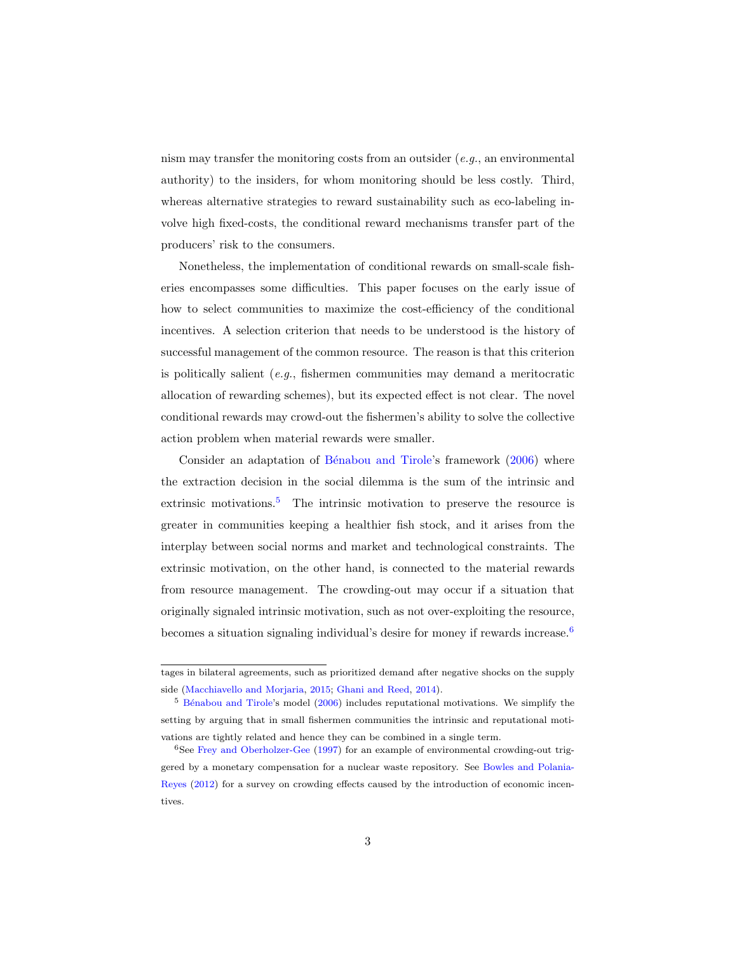nism may transfer the monitoring costs from an outsider (e.g., an environmental authority) to the insiders, for whom monitoring should be less costly. Third, whereas alternative strategies to reward sustainability such as eco-labeling involve high fixed-costs, the conditional reward mechanisms transfer part of the producers' risk to the consumers.

Nonetheless, the implementation of conditional rewards on small-scale fisheries encompasses some difficulties. This paper focuses on the early issue of how to select communities to maximize the cost-efficiency of the conditional incentives. A selection criterion that needs to be understood is the history of successful management of the common resource. The reason is that this criterion is politically salient  $(e,q)$ , fishermen communities may demand a meritocratic allocation of rewarding schemes), but its expected effect is not clear. The novel conditional rewards may crowd-out the fishermen's ability to solve the collective action problem when material rewards were smaller.

Consider an adaptation of Bénabou and Tirole's framework [\(2006\)](#page-32-0) where the extraction decision in the social dilemma is the sum of the intrinsic and extrinsic motivations.<sup>[5](#page-2-0)</sup> The intrinsic motivation to preserve the resource is greater in communities keeping a healthier fish stock, and it arises from the interplay between social norms and market and technological constraints. The extrinsic motivation, on the other hand, is connected to the material rewards from resource management. The crowding-out may occur if a situation that originally signaled intrinsic motivation, such as not over-exploiting the resource, becomes a situation signaling individual's desire for money if rewards increase.[6](#page-2-1)

tages in bilateral agreements, such as prioritized demand after negative shocks on the supply side [\(Macchiavello and Morjaria,](#page-36-0) [2015;](#page-36-0) [Ghani and Reed,](#page-35-0) [2014\)](#page-35-0).

<span id="page-2-0"></span> $5$  Bénabou and Tirole's model [\(2006\)](#page-32-0) includes reputational motivations. We simplify the setting by arguing that in small fishermen communities the intrinsic and reputational motivations are tightly related and hence they can be combined in a single term.

<span id="page-2-1"></span><sup>6</sup>See [Frey and Oberholzer-Gee](#page-35-1) [\(1997\)](#page-35-1) for an example of environmental crowding-out triggered by a monetary compensation for a nuclear waste repository. See [Bowles and Polania-](#page-32-1)[Reyes](#page-32-1) [\(2012\)](#page-32-1) for a survey on crowding effects caused by the introduction of economic incentives.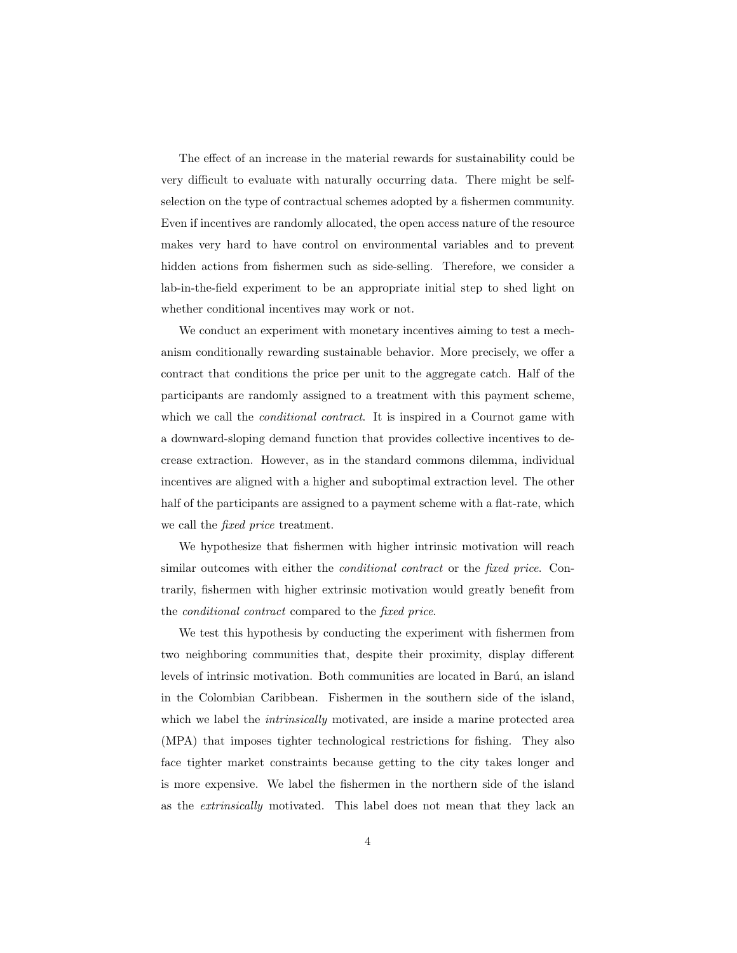The effect of an increase in the material rewards for sustainability could be very difficult to evaluate with naturally occurring data. There might be selfselection on the type of contractual schemes adopted by a fishermen community. Even if incentives are randomly allocated, the open access nature of the resource makes very hard to have control on environmental variables and to prevent hidden actions from fishermen such as side-selling. Therefore, we consider a lab-in-the-field experiment to be an appropriate initial step to shed light on whether conditional incentives may work or not.

We conduct an experiment with monetary incentives aiming to test a mechanism conditionally rewarding sustainable behavior. More precisely, we offer a contract that conditions the price per unit to the aggregate catch. Half of the participants are randomly assigned to a treatment with this payment scheme, which we call the *conditional contract*. It is inspired in a Cournot game with a downward-sloping demand function that provides collective incentives to decrease extraction. However, as in the standard commons dilemma, individual incentives are aligned with a higher and suboptimal extraction level. The other half of the participants are assigned to a payment scheme with a flat-rate, which we call the fixed price treatment.

We hypothesize that fishermen with higher intrinsic motivation will reach similar outcomes with either the conditional contract or the fixed price. Contrarily, fishermen with higher extrinsic motivation would greatly benefit from the conditional contract compared to the fixed price.

We test this hypothesis by conducting the experiment with fishermen from two neighboring communities that, despite their proximity, display different levels of intrinsic motivation. Both communities are located in Barú, an island in the Colombian Caribbean. Fishermen in the southern side of the island, which we label the *intrinsically* motivated, are inside a marine protected area (MPA) that imposes tighter technological restrictions for fishing. They also face tighter market constraints because getting to the city takes longer and is more expensive. We label the fishermen in the northern side of the island as the *extrinsically* motivated. This label does not mean that they lack an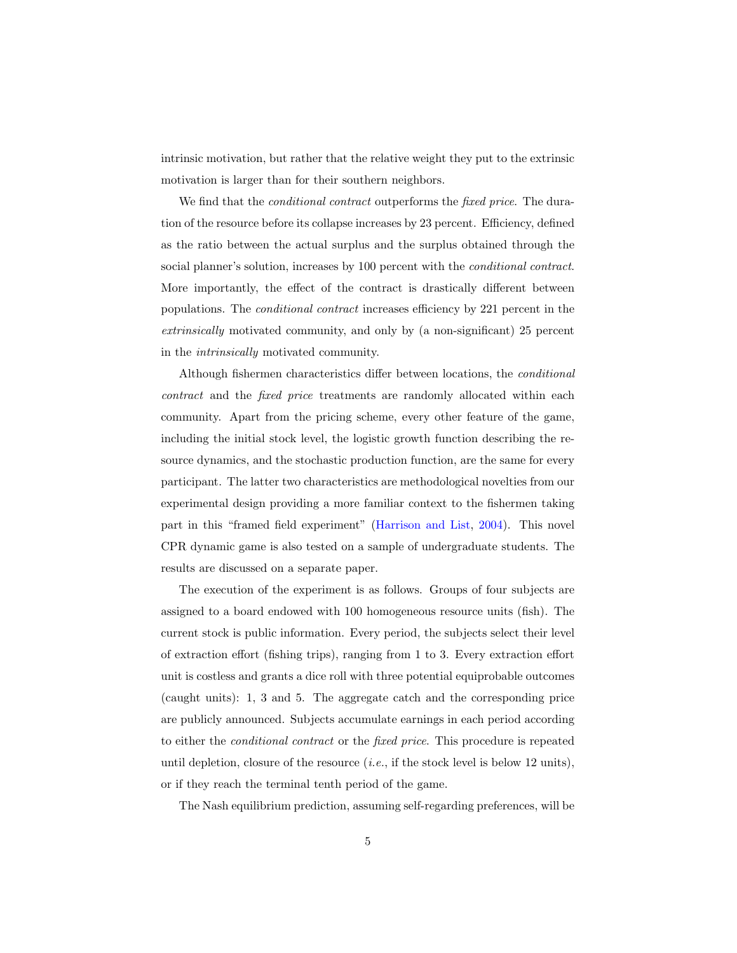intrinsic motivation, but rather that the relative weight they put to the extrinsic motivation is larger than for their southern neighbors.

We find that the *conditional contract* outperforms the *fixed price*. The duration of the resource before its collapse increases by 23 percent. Efficiency, defined as the ratio between the actual surplus and the surplus obtained through the social planner's solution, increases by 100 percent with the *conditional contract*. More importantly, the effect of the contract is drastically different between populations. The conditional contract increases efficiency by 221 percent in the extrinsically motivated community, and only by (a non-significant) 25 percent in the intrinsically motivated community.

Although fishermen characteristics differ between locations, the conditional contract and the fixed price treatments are randomly allocated within each community. Apart from the pricing scheme, every other feature of the game, including the initial stock level, the logistic growth function describing the resource dynamics, and the stochastic production function, are the same for every participant. The latter two characteristics are methodological novelties from our experimental design providing a more familiar context to the fishermen taking part in this "framed field experiment" [\(Harrison and List,](#page-35-2) [2004\)](#page-35-2). This novel CPR dynamic game is also tested on a sample of undergraduate students. The results are discussed on a separate paper.

The execution of the experiment is as follows. Groups of four subjects are assigned to a board endowed with 100 homogeneous resource units (fish). The current stock is public information. Every period, the subjects select their level of extraction effort (fishing trips), ranging from 1 to 3. Every extraction effort unit is costless and grants a dice roll with three potential equiprobable outcomes (caught units): 1, 3 and 5. The aggregate catch and the corresponding price are publicly announced. Subjects accumulate earnings in each period according to either the conditional contract or the fixed price. This procedure is repeated until depletion, closure of the resource  $(i.e.,$  if the stock level is below 12 units), or if they reach the terminal tenth period of the game.

The Nash equilibrium prediction, assuming self-regarding preferences, will be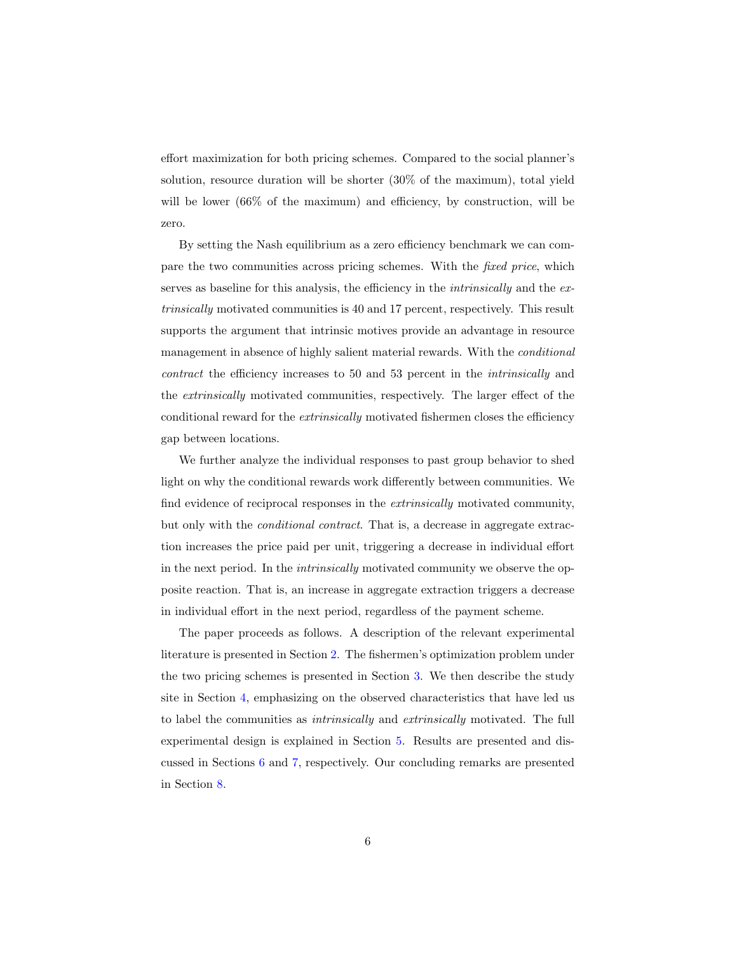effort maximization for both pricing schemes. Compared to the social planner's solution, resource duration will be shorter (30% of the maximum), total yield will be lower (66% of the maximum) and efficiency, by construction, will be zero.

By setting the Nash equilibrium as a zero efficiency benchmark we can compare the two communities across pricing schemes. With the fixed price, which serves as baseline for this analysis, the efficiency in the *intrinsically* and the extrinsically motivated communities is 40 and 17 percent, respectively. This result supports the argument that intrinsic motives provide an advantage in resource management in absence of highly salient material rewards. With the conditional contract the efficiency increases to 50 and 53 percent in the intrinsically and the extrinsically motivated communities, respectively. The larger effect of the conditional reward for the *extrinsically* motivated fishermen closes the efficiency gap between locations.

We further analyze the individual responses to past group behavior to shed light on why the conditional rewards work differently between communities. We find evidence of reciprocal responses in the extrinsically motivated community, but only with the conditional contract. That is, a decrease in aggregate extraction increases the price paid per unit, triggering a decrease in individual effort in the next period. In the intrinsically motivated community we observe the opposite reaction. That is, an increase in aggregate extraction triggers a decrease in individual effort in the next period, regardless of the payment scheme.

The paper proceeds as follows. A description of the relevant experimental literature is presented in Section [2.](#page-6-0) The fishermen's optimization problem under the two pricing schemes is presented in Section [3.](#page-8-0) We then describe the study site in Section [4,](#page-13-0) emphasizing on the observed characteristics that have led us to label the communities as intrinsically and extrinsically motivated. The full experimental design is explained in Section [5.](#page-17-0) Results are presented and discussed in Sections [6](#page-21-0) and [7,](#page-27-0) respectively. Our concluding remarks are presented in Section [8.](#page-31-0)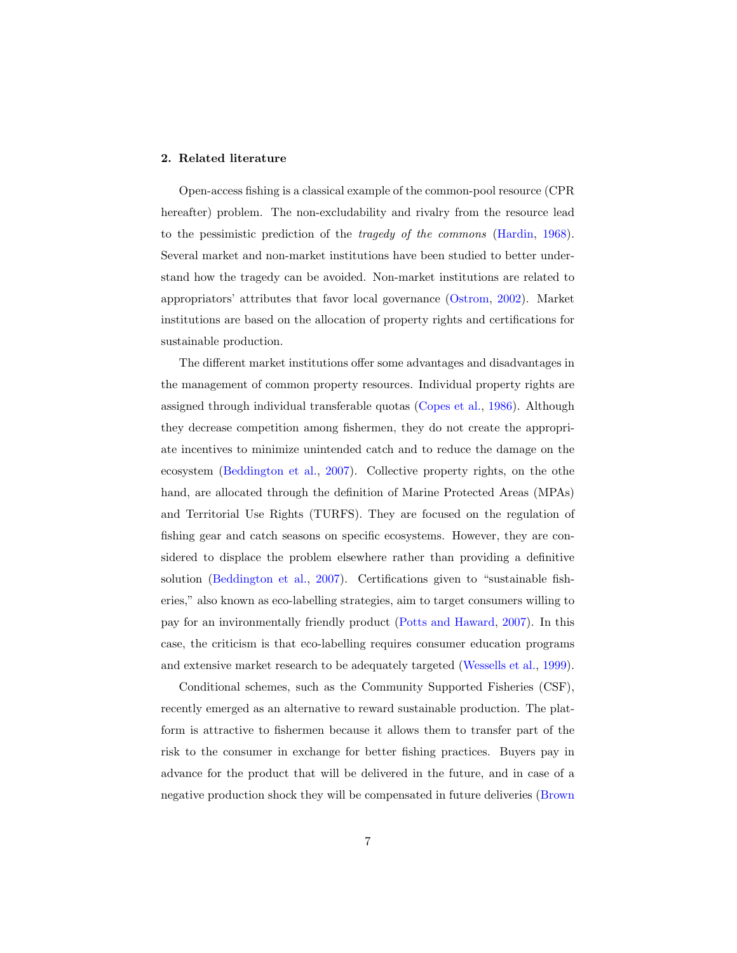## <span id="page-6-0"></span>2. Related literature

Open-access fishing is a classical example of the common-pool resource (CPR hereafter) problem. The non-excludability and rivalry from the resource lead to the pessimistic prediction of the tragedy of the commons [\(Hardin,](#page-35-3) [1968\)](#page-35-3). Several market and non-market institutions have been studied to better understand how the tragedy can be avoided. Non-market institutions are related to appropriators' attributes that favor local governance [\(Ostrom,](#page-36-1) [2002\)](#page-36-1). Market institutions are based on the allocation of property rights and certifications for sustainable production.

The different market institutions offer some advantages and disadvantages in the management of common property resources. Individual property rights are assigned through individual transferable quotas [\(Copes et al.,](#page-34-1) [1986\)](#page-34-1). Although they decrease competition among fishermen, they do not create the appropriate incentives to minimize unintended catch and to reduce the damage on the ecosystem [\(Beddington et al.,](#page-32-2) [2007\)](#page-32-2). Collective property rights, on the othe hand, are allocated through the definition of Marine Protected Areas (MPAs) and Territorial Use Rights (TURFS). They are focused on the regulation of fishing gear and catch seasons on specific ecosystems. However, they are considered to displace the problem elsewhere rather than providing a definitive solution [\(Beddington et al.,](#page-32-2) [2007\)](#page-32-2). Certifications given to "sustainable fisheries," also known as eco-labelling strategies, aim to target consumers willing to pay for an invironmentally friendly product [\(Potts and Haward,](#page-37-1) [2007\)](#page-37-1). In this case, the criticism is that eco-labelling requires consumer education programs and extensive market research to be adequately targeted [\(Wessells et al.,](#page-38-1) [1999\)](#page-38-1).

Conditional schemes, such as the Community Supported Fisheries (CSF), recently emerged as an alternative to reward sustainable production. The platform is attractive to fishermen because it allows them to transfer part of the risk to the consumer in exchange for better fishing practices. Buyers pay in advance for the product that will be delivered in the future, and in case of a negative production shock they will be compensated in future deliveries [\(Brown](#page-33-0)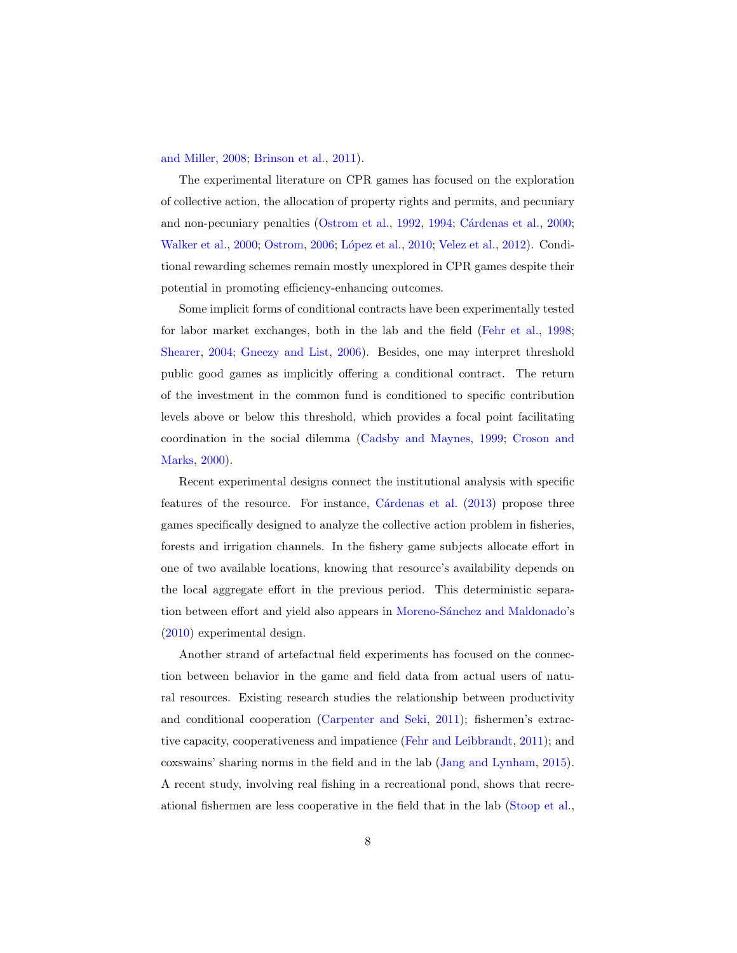[and Miller,](#page-33-0) [2008;](#page-33-0) [Brinson et al.,](#page-33-1) [2011\)](#page-33-1).

The experimental literature on CPR games has focused on the exploration of collective action, the allocation of property rights and permits, and pecuniary and non-pecuniary penalties [\(Ostrom et al.,](#page-37-2) [1992,](#page-37-2) [1994;](#page-37-3) Cárdenas et al., [2000;](#page-33-2) [Walker et al.,](#page-38-2) [2000;](#page-38-2) [Ostrom,](#page-36-2) [2006;](#page-36-2) López et al., [2010;](#page-36-3) [Velez et al.,](#page-37-4) [2012\)](#page-37-4). Conditional rewarding schemes remain mostly unexplored in CPR games despite their potential in promoting efficiency-enhancing outcomes.

Some implicit forms of conditional contracts have been experimentally tested for labor market exchanges, both in the lab and the field [\(Fehr et al.,](#page-34-2) [1998;](#page-34-2) [Shearer,](#page-37-5) [2004;](#page-37-5) [Gneezy and List,](#page-35-4) [2006\)](#page-35-4). Besides, one may interpret threshold public good games as implicitly offering a conditional contract. The return of the investment in the common fund is conditioned to specific contribution levels above or below this threshold, which provides a focal point facilitating coordination in the social dilemma [\(Cadsby and Maynes,](#page-33-3) [1999;](#page-33-3) [Croson and](#page-34-3) [Marks,](#page-34-3) [2000\)](#page-34-3).

Recent experimental designs connect the institutional analysis with specific features of the resource. For instance,  $C\acute{a}rdenas$  et al.  $(2013)$  propose three games specifically designed to analyze the collective action problem in fisheries, forests and irrigation channels. In the fishery game subjects allocate effort in one of two available locations, knowing that resource's availability depends on the local aggregate effort in the previous period. This deterministic separation between effort and yield also appears in Moreno-Sánchez and Maldonado's [\(2010\)](#page-36-4) experimental design.

Another strand of artefactual field experiments has focused on the connection between behavior in the game and field data from actual users of natural resources. Existing research studies the relationship between productivity and conditional cooperation [\(Carpenter and Seki,](#page-33-5) [2011\)](#page-33-5); fishermen's extractive capacity, cooperativeness and impatience [\(Fehr and Leibbrandt,](#page-34-4) [2011\)](#page-34-4); and coxswains' sharing norms in the field and in the lab [\(Jang and Lynham,](#page-36-5) [2015\)](#page-36-5). A recent study, involving real fishing in a recreational pond, shows that recreational fishermen are less cooperative in the field that in the lab [\(Stoop et al.,](#page-37-6)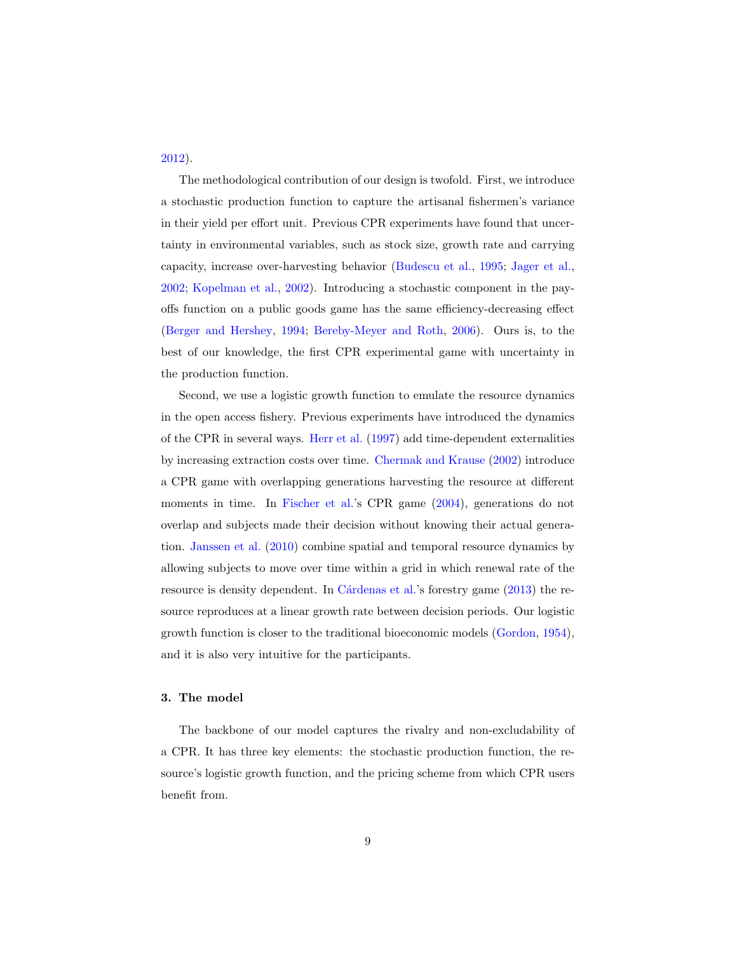[2012\)](#page-37-6).

The methodological contribution of our design is twofold. First, we introduce a stochastic production function to capture the artisanal fishermen's variance in their yield per effort unit. Previous CPR experiments have found that uncertainty in environmental variables, such as stock size, growth rate and carrying capacity, increase over-harvesting behavior [\(Budescu et al.,](#page-33-6) [1995;](#page-33-6) [Jager et al.,](#page-35-5) [2002;](#page-35-5) [Kopelman et al.,](#page-36-6) [2002\)](#page-36-6). Introducing a stochastic component in the payoffs function on a public goods game has the same efficiency-decreasing effect [\(Berger and Hershey,](#page-32-3) [1994;](#page-32-3) [Bereby-Meyer and Roth,](#page-32-4) [2006\)](#page-32-4). Ours is, to the best of our knowledge, the first CPR experimental game with uncertainty in the production function.

Second, we use a logistic growth function to emulate the resource dynamics in the open access fishery. Previous experiments have introduced the dynamics of the CPR in several ways. [Herr et al.](#page-35-6) [\(1997\)](#page-35-6) add time-dependent externalities by increasing extraction costs over time. [Chermak and Krause](#page-34-5) [\(2002\)](#page-34-5) introduce a CPR game with overlapping generations harvesting the resource at different moments in time. In [Fischer et al.'](#page-35-7)s CPR game [\(2004\)](#page-35-7), generations do not overlap and subjects made their decision without knowing their actual generation. [Janssen et al.](#page-36-7) [\(2010\)](#page-36-7) combine spatial and temporal resource dynamics by allowing subjects to move over time within a grid in which renewal rate of the resource is density dependent. In Cárdenas et al.'s forestry game [\(2013\)](#page-33-4) the resource reproduces at a linear growth rate between decision periods. Our logistic growth function is closer to the traditional bioeconomic models [\(Gordon,](#page-35-8) [1954\)](#page-35-8), and it is also very intuitive for the participants.

### <span id="page-8-0"></span>3. The model

The backbone of our model captures the rivalry and non-excludability of a CPR. It has three key elements: the stochastic production function, the resource's logistic growth function, and the pricing scheme from which CPR users benefit from.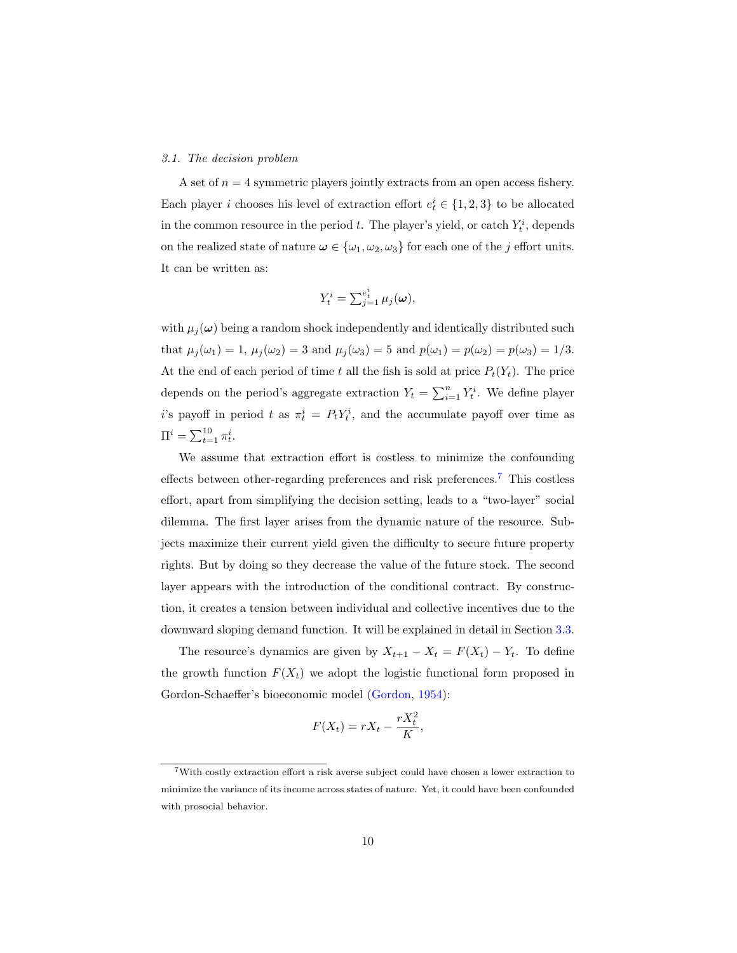#### 3.1. The decision problem

A set of  $n = 4$  symmetric players jointly extracts from an open access fishery. Each player *i* chooses his level of extraction effort  $e_t^i \in \{1, 2, 3\}$  to be allocated in the common resource in the period t. The player's yield, or catch  $Y_t^i$ , depends on the realized state of nature  $\boldsymbol{\omega} \in {\{\omega_1, \omega_2, \omega_3\}}$  for each one of the j effort units. It can be written as:

$$
Y_t^i = \sum_{j=1}^{e_t^i} \mu_j(\boldsymbol{\omega}),
$$

with  $\mu_j(\omega)$  being a random shock independently and identically distributed such that  $\mu_j(\omega_1) = 1$ ,  $\mu_j(\omega_2) = 3$  and  $\mu_j(\omega_3) = 5$  and  $p(\omega_1) = p(\omega_2) = p(\omega_3) = 1/3$ . At the end of each period of time t all the fish is sold at price  $P_t(Y_t)$ . The price depends on the period's aggregate extraction  $Y_t = \sum_{i=1}^n Y_t^i$ . We define player i's payoff in period t as  $\pi_t^i = P_t Y_t^i$ , and the accumulate payoff over time as  $\Pi^i = \sum_{t=1}^{10} \pi_t^i$ .

We assume that extraction effort is costless to minimize the confounding effects between other-regarding preferences and risk preferences.[7](#page-9-0) This costless effort, apart from simplifying the decision setting, leads to a "two-layer" social dilemma. The first layer arises from the dynamic nature of the resource. Subjects maximize their current yield given the difficulty to secure future property rights. But by doing so they decrease the value of the future stock. The second layer appears with the introduction of the conditional contract. By construction, it creates a tension between individual and collective incentives due to the downward sloping demand function. It will be explained in detail in Section [3.3.](#page-11-0)

The resource's dynamics are given by  $X_{t+1} - X_t = F(X_t) - Y_t$ . To define the growth function  $F(X_t)$  we adopt the logistic functional form proposed in Gordon-Schaeffer's bioeconomic model [\(Gordon,](#page-35-8) [1954\)](#page-35-8):

$$
F(X_t) = rX_t - \frac{rX_t^2}{K},
$$

<span id="page-9-0"></span><sup>7</sup>With costly extraction effort a risk averse subject could have chosen a lower extraction to minimize the variance of its income across states of nature. Yet, it could have been confounded with prosocial behavior.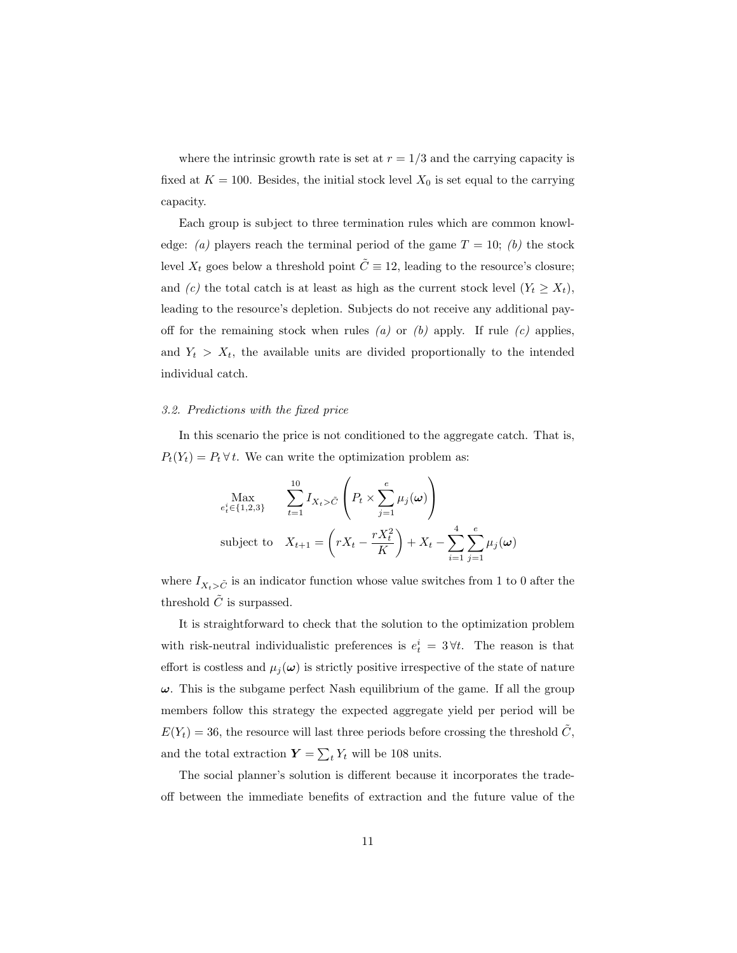where the intrinsic growth rate is set at  $r = 1/3$  and the carrying capacity is fixed at  $K = 100$ . Besides, the initial stock level  $X_0$  is set equal to the carrying capacity.

Each group is subject to three termination rules which are common knowledge: (a) players reach the terminal period of the game  $T = 10$ ; (b) the stock level  $X_t$  goes below a threshold point  $\tilde{C} \equiv 12$ , leading to the resource's closure; and (c) the total catch is at least as high as the current stock level  $(Y_t \geq X_t)$ , leading to the resource's depletion. Subjects do not receive any additional payoff for the remaining stock when rules  $(a)$  or  $(b)$  apply. If rule  $(c)$  applies, and  $Y_t > X_t$ , the available units are divided proportionally to the intended individual catch.

## 3.2. Predictions with the fixed price

In this scenario the price is not conditioned to the aggregate catch. That is,  $P_t(Y_t) = P_t \,\forall \, t$ . We can write the optimization problem as:

$$
\begin{aligned}\n\max_{e_t^i \in \{1,2,3\}} & \sum_{t=1}^{10} I_{X_t > \tilde{C}} \left( P_t \times \sum_{j=1}^e \mu_j(\omega) \right) \\
\text{subject to} & X_{t+1} = \left( rX_t - \frac{rX_t^2}{K} \right) + X_t - \sum_{i=1}^4 \sum_{j=1}^e \mu_j(\omega)\n\end{aligned}
$$

where  $I_{X_t > \tilde{C}}$  is an indicator function whose value switches from 1 to 0 after the threshold  $C$  is surpassed.

It is straightforward to check that the solution to the optimization problem with risk-neutral individualistic preferences is  $e_t^i = 3 \forall t$ . The reason is that effort is costless and  $\mu_j(\omega)$  is strictly positive irrespective of the state of nature  $\omega$ . This is the subgame perfect Nash equilibrium of the game. If all the group members follow this strategy the expected aggregate yield per period will be  $E(Y_t) = 36$ , the resource will last three periods before crossing the threshold  $\tilde{C}$ , and the total extraction  $Y = \sum_t Y_t$  will be 108 units.

The social planner's solution is different because it incorporates the tradeoff between the immediate benefits of extraction and the future value of the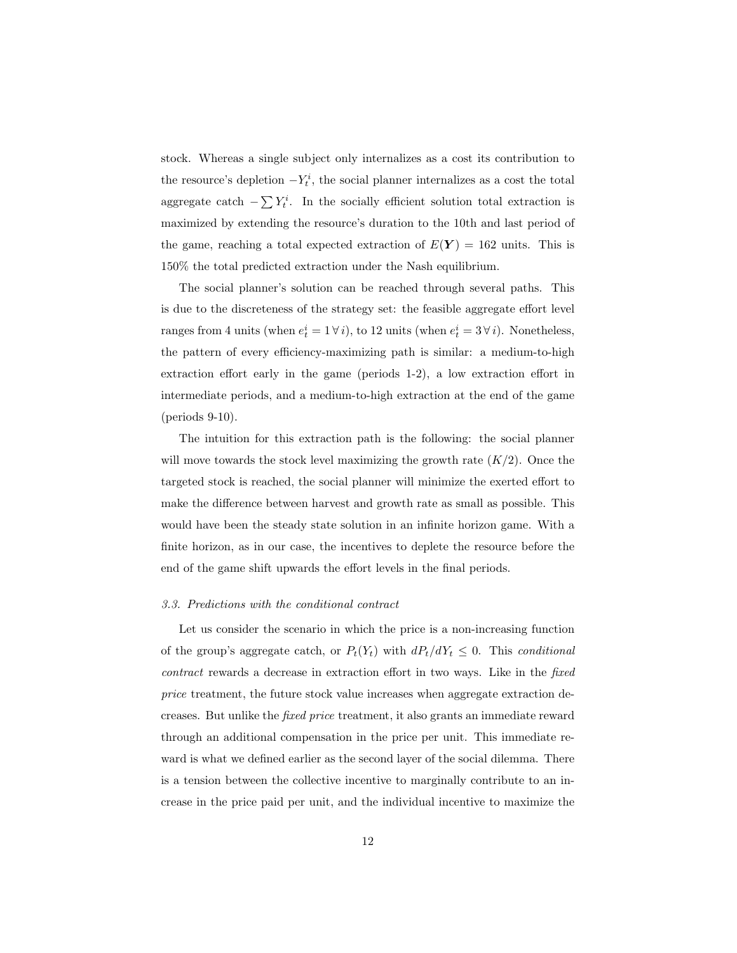stock. Whereas a single subject only internalizes as a cost its contribution to the resource's depletion  $-Y_t^i$ , the social planner internalizes as a cost the total aggregate catch  $-\sum Y_t^i$ . In the socially efficient solution total extraction is maximized by extending the resource's duration to the 10th and last period of the game, reaching a total expected extraction of  $E(Y) = 162$  units. This is 150% the total predicted extraction under the Nash equilibrium.

The social planner's solution can be reached through several paths. This is due to the discreteness of the strategy set: the feasible aggregate effort level ranges from 4 units (when  $e_t^i = 1 \forall i$ ), to 12 units (when  $e_t^i = 3 \forall i$ ). Nonetheless, the pattern of every efficiency-maximizing path is similar: a medium-to-high extraction effort early in the game (periods 1-2), a low extraction effort in intermediate periods, and a medium-to-high extraction at the end of the game (periods 9-10).

The intuition for this extraction path is the following: the social planner will move towards the stock level maximizing the growth rate  $(K/2)$ . Once the targeted stock is reached, the social planner will minimize the exerted effort to make the difference between harvest and growth rate as small as possible. This would have been the steady state solution in an infinite horizon game. With a finite horizon, as in our case, the incentives to deplete the resource before the end of the game shift upwards the effort levels in the final periods.

#### <span id="page-11-0"></span>3.3. Predictions with the conditional contract

Let us consider the scenario in which the price is a non-increasing function of the group's aggregate catch, or  $P_t(Y_t)$  with  $dP_t/dY_t \leq 0$ . This conditional contract rewards a decrease in extraction effort in two ways. Like in the fixed price treatment, the future stock value increases when aggregate extraction decreases. But unlike the fixed price treatment, it also grants an immediate reward through an additional compensation in the price per unit. This immediate reward is what we defined earlier as the second layer of the social dilemma. There is a tension between the collective incentive to marginally contribute to an increase in the price paid per unit, and the individual incentive to maximize the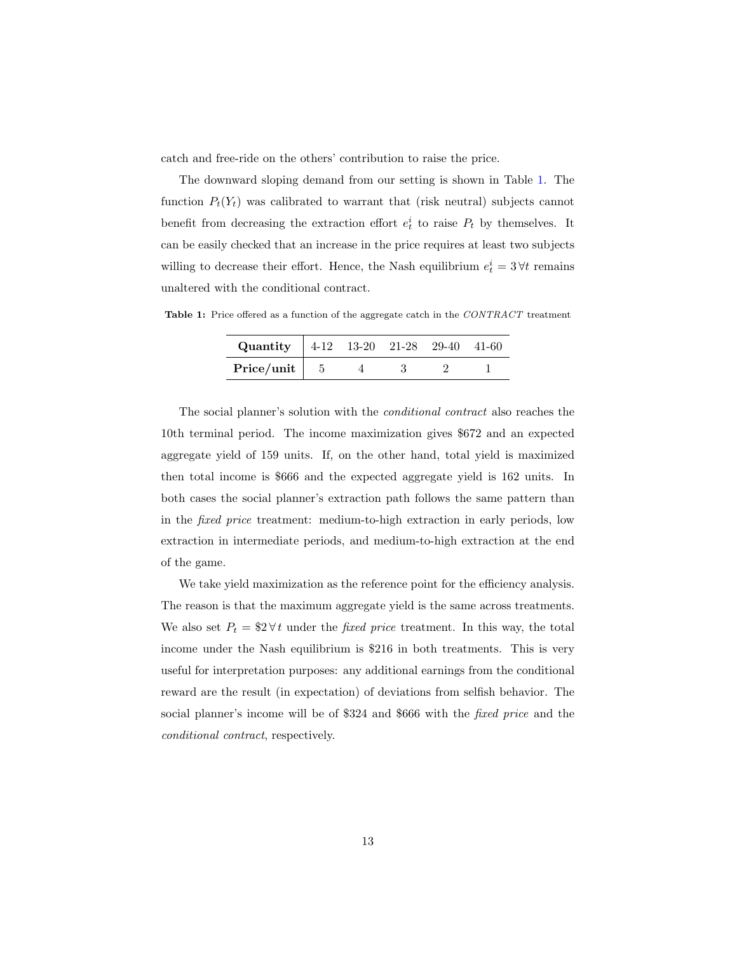catch and free-ride on the others' contribution to raise the price.

The downward sloping demand from our setting is shown in Table [1.](#page-12-0) The function  $P_t(Y_t)$  was calibrated to warrant that (risk neutral) subjects cannot benefit from decreasing the extraction effort  $e_t^i$  to raise  $P_t$  by themselves. It can be easily checked that an increase in the price requires at least two subjects willing to decrease their effort. Hence, the Nash equilibrium  $e_t^i = 3 \forall t$  remains unaltered with the conditional contract.

<span id="page-12-0"></span>Table 1: Price offered as a function of the aggregate catch in the CONTRACT treatment

| Quantity   4-12 13-20 21-28 29-40 41-60 |  |  |  |
|-----------------------------------------|--|--|--|
| $Price/unit \, \, 5$                    |  |  |  |

The social planner's solution with the conditional contract also reaches the 10th terminal period. The income maximization gives \$672 and an expected aggregate yield of 159 units. If, on the other hand, total yield is maximized then total income is \$666 and the expected aggregate yield is 162 units. In both cases the social planner's extraction path follows the same pattern than in the fixed price treatment: medium-to-high extraction in early periods, low extraction in intermediate periods, and medium-to-high extraction at the end of the game.

We take yield maximization as the reference point for the efficiency analysis. The reason is that the maximum aggregate yield is the same across treatments. We also set  $P_t = $2 \forall t$  under the *fixed price* treatment. In this way, the total income under the Nash equilibrium is \$216 in both treatments. This is very useful for interpretation purposes: any additional earnings from the conditional reward are the result (in expectation) of deviations from selfish behavior. The social planner's income will be of \$324 and \$666 with the fixed price and the conditional contract, respectively.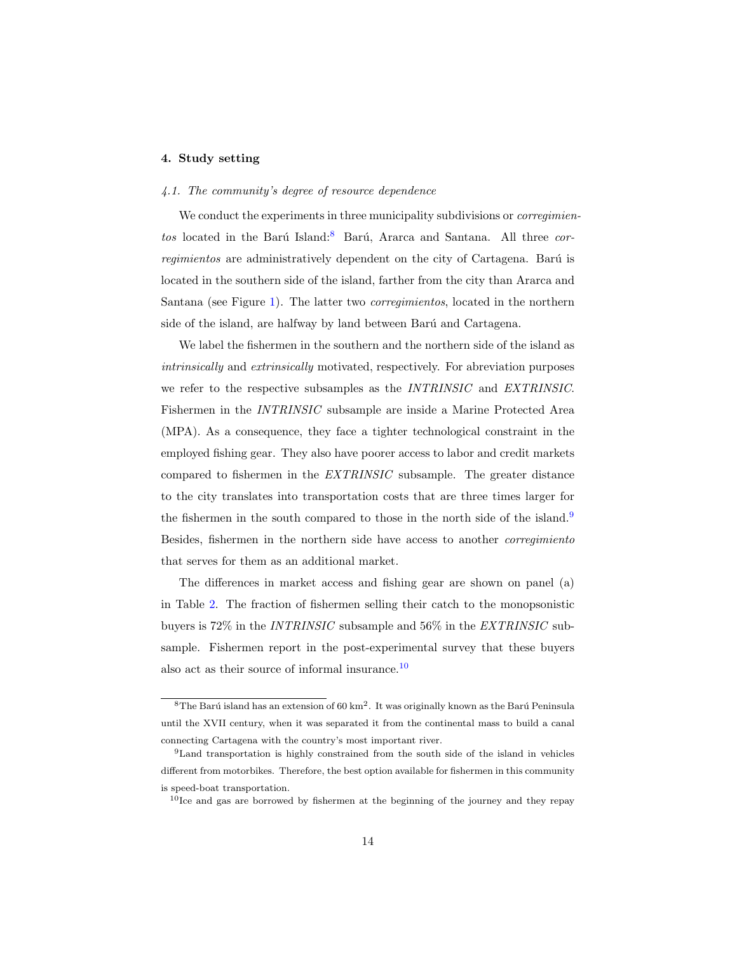## <span id="page-13-0"></span>4. Study setting

## 4.1. The community's degree of resource dependence

We conduct the experiments in three municipality subdivisions or *corregimien*-tos located in the Barú Island:<sup>[8](#page-13-1)</sup> Barú, Ararca and Santana. All three *cor*regimientos are administratively dependent on the city of Cartagena. Barú is located in the southern side of the island, farther from the city than Ararca and Santana (see Figure [1\)](#page-14-0). The latter two corregimientos, located in the northern side of the island, are halfway by land between Barú and Cartagena.

We label the fishermen in the southern and the northern side of the island as intrinsically and extrinsically motivated, respectively. For abreviation purposes we refer to the respective subsamples as the INTRINSIC and EXTRINSIC. Fishermen in the INTRINSIC subsample are inside a Marine Protected Area (MPA). As a consequence, they face a tighter technological constraint in the employed fishing gear. They also have poorer access to labor and credit markets compared to fishermen in the EXTRINSIC subsample. The greater distance to the city translates into transportation costs that are three times larger for the fishermen in the south compared to those in the north side of the island.<sup>[9](#page-13-2)</sup> Besides, fishermen in the northern side have access to another corregimiento that serves for them as an additional market.

The differences in market access and fishing gear are shown on panel (a) in Table [2.](#page-15-0) The fraction of fishermen selling their catch to the monopsonistic buyers is 72% in the INTRINSIC subsample and 56% in the EXTRINSIC subsample. Fishermen report in the post-experimental survey that these buyers also act as their source of informal insurance.[10](#page-13-3)

<span id="page-13-1"></span> $8$ The Barú island has an extension of 60 km<sup>2</sup>. It was originally known as the Barú Peninsula until the XVII century, when it was separated it from the continental mass to build a canal connecting Cartagena with the country's most important river.

<span id="page-13-2"></span><sup>9</sup>Land transportation is highly constrained from the south side of the island in vehicles different from motorbikes. Therefore, the best option available for fishermen in this community is speed-boat transportation.

<span id="page-13-3"></span><sup>&</sup>lt;sup>10</sup>Ice and gas are borrowed by fishermen at the beginning of the journey and they repay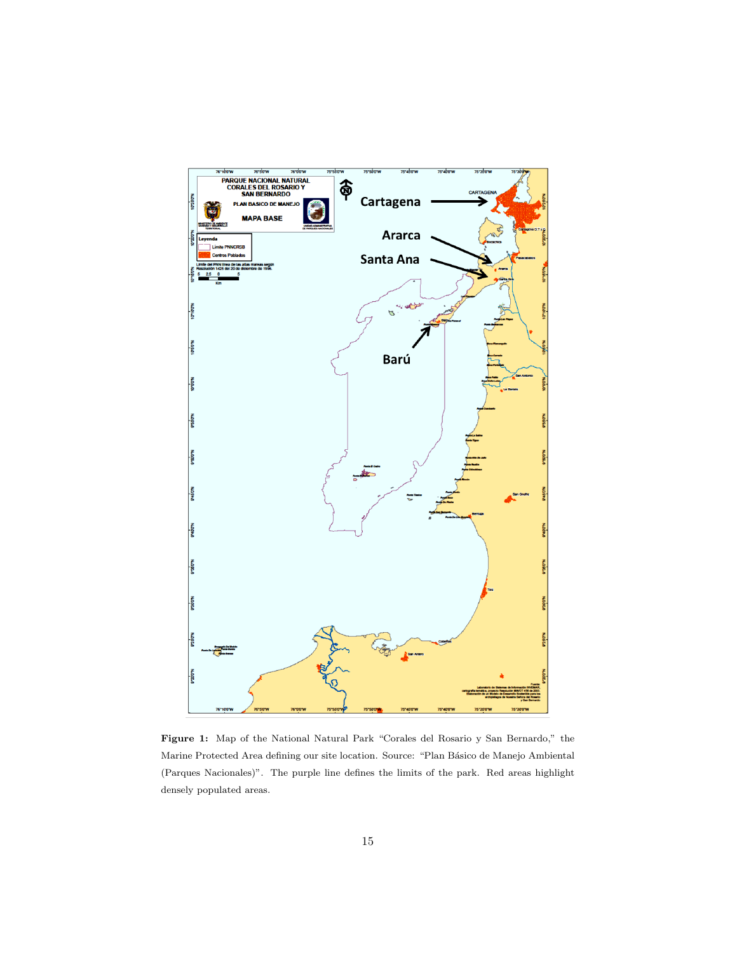<span id="page-14-0"></span>

Figure 1: Map of the National Natural Park "Corales del Rosario y San Bernardo," the Marine Protected Area defining our site location. Source: "Plan Básico de Manejo Ambiental (Parques Nacionales)". The purple line defines the limits of the park. Red areas highlight densely populated areas.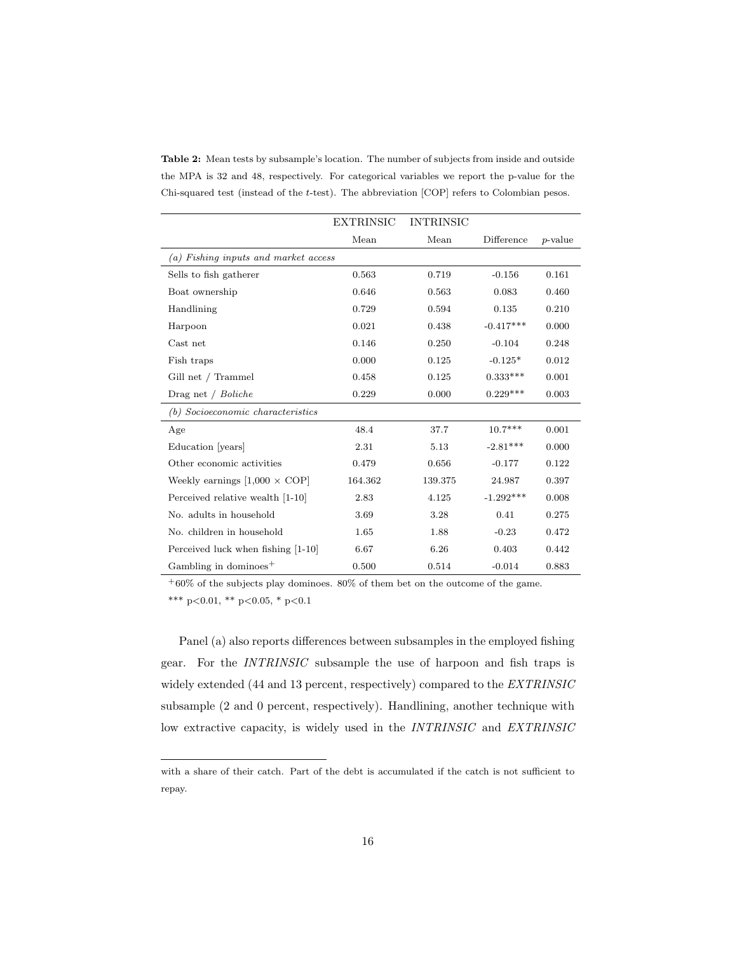|                                      | <b>EXTRINSIC</b> | <b>INTRINSIC</b> |             |            |
|--------------------------------------|------------------|------------------|-------------|------------|
|                                      | Mean             | Mean             | Difference  | $p$ -value |
| (a) Fishing inputs and market access |                  |                  |             |            |
| Sells to fish gatherer               | 0.563            | 0.719            | $-0.156$    | 0.161      |
| Boat ownership                       | 0.646            | 0.563            | 0.083       | 0.460      |
| Handlining                           | 0.729            | 0.594            | 0.135       | 0.210      |
| Harpoon                              | 0.021            | 0.438            | $-0.417***$ | 0.000      |
| Cast net                             | 0.146            | 0.250            | $-0.104$    | 0.248      |
| Fish traps                           | 0.000            | 0.125            | $-0.125*$   | 0.012      |
| Gill net / Trammel                   | 0.458            | 0.125            | $0.333***$  | 0.001      |
| Drag net / <i>Boliche</i>            | 0.229            | 0.000            | $0.229***$  | 0.003      |
| (b) Socioeconomic characteristics    |                  |                  |             |            |
| Age                                  | 48.4             | 37.7             | $10.7***$   | 0.001      |
| Education [years]                    | 2.31             | 5.13             | $-2.81***$  | 0.000      |
| Other economic activities            | 0.479            | 0.656            | $-0.177$    | 0.122      |
| Weekly earnings $[1,000 \times COP]$ | 164.362          | 139.375          | 24.987      | 0.397      |
| Perceived relative wealth [1-10]     | 2.83             | 4.125            | $-1.292***$ | 0.008      |
| No. adults in household              | 3.69             | 3.28             | 0.41        | 0.275      |
| No. children in household            | 1.65             | 1.88             | $-0.23$     | 0.472      |
| Perceived luck when fishing [1-10]   | 6.67             | 6.26             | 0.403       | 0.442      |
| Gambling in dominoes <sup>+</sup>    | 0.500            | 0.514            | $-0.014$    | 0.883      |

<span id="page-15-0"></span>Table 2: Mean tests by subsample's location. The number of subjects from inside and outside the MPA is 32 and 48, respectively. For categorical variables we report the p-value for the Chi-squared test (instead of the t-test). The abbreviation [COP] refers to Colombian pesos.

 $+60\%$  of the subjects play dominoes. 80% of them bet on the outcome of the game.

\*\*\* p<0.01, \*\* p<0.05, \* p<0.1

Panel (a) also reports differences between subsamples in the employed fishing gear. For the INTRINSIC subsample the use of harpoon and fish traps is widely extended (44 and 13 percent, respectively) compared to the EXTRINSIC subsample (2 and 0 percent, respectively). Handlining, another technique with low extractive capacity, is widely used in the INTRINSIC and EXTRINSIC

with a share of their catch. Part of the debt is accumulated if the catch is not sufficient to repay.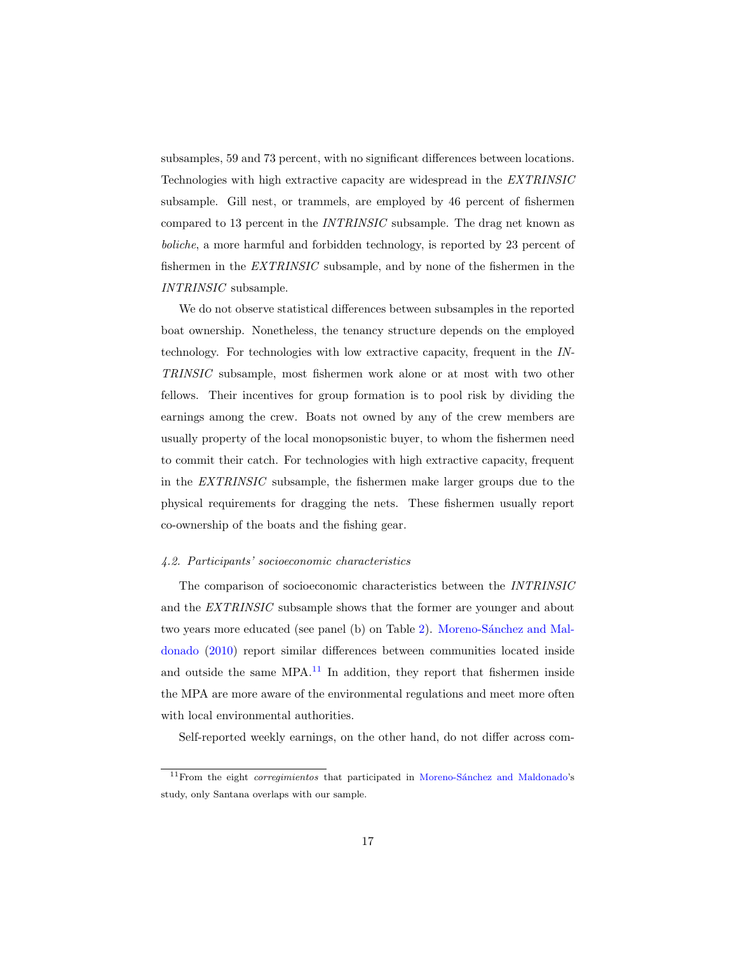subsamples, 59 and 73 percent, with no significant differences between locations. Technologies with high extractive capacity are widespread in the EXTRINSIC subsample. Gill nest, or trammels, are employed by 46 percent of fishermen compared to 13 percent in the INTRINSIC subsample. The drag net known as boliche, a more harmful and forbidden technology, is reported by 23 percent of fishermen in the EXTRINSIC subsample, and by none of the fishermen in the INTRINSIC subsample.

We do not observe statistical differences between subsamples in the reported boat ownership. Nonetheless, the tenancy structure depends on the employed technology. For technologies with low extractive capacity, frequent in the IN-TRINSIC subsample, most fishermen work alone or at most with two other fellows. Their incentives for group formation is to pool risk by dividing the earnings among the crew. Boats not owned by any of the crew members are usually property of the local monopsonistic buyer, to whom the fishermen need to commit their catch. For technologies with high extractive capacity, frequent in the EXTRINSIC subsample, the fishermen make larger groups due to the physical requirements for dragging the nets. These fishermen usually report co-ownership of the boats and the fishing gear.

#### 4.2. Participants' socioeconomic characteristics

The comparison of socioeconomic characteristics between the INTRINSIC and the EXTRINSIC subsample shows that the former are younger and about two years more educated (see panel (b) on Table [2\)](#page-15-0). Moreno-Sánchez and Mal[donado](#page-36-4) [\(2010\)](#page-36-4) report similar differences between communities located inside and outside the same MPA. $^{11}$  $^{11}$  $^{11}$  In addition, they report that fishermen inside the MPA are more aware of the environmental regulations and meet more often with local environmental authorities.

Self-reported weekly earnings, on the other hand, do not differ across com-

<span id="page-16-0"></span> $11$ From the eight *corregimientos* that participated in Moreno-Sánchez and Maldonado's study, only Santana overlaps with our sample.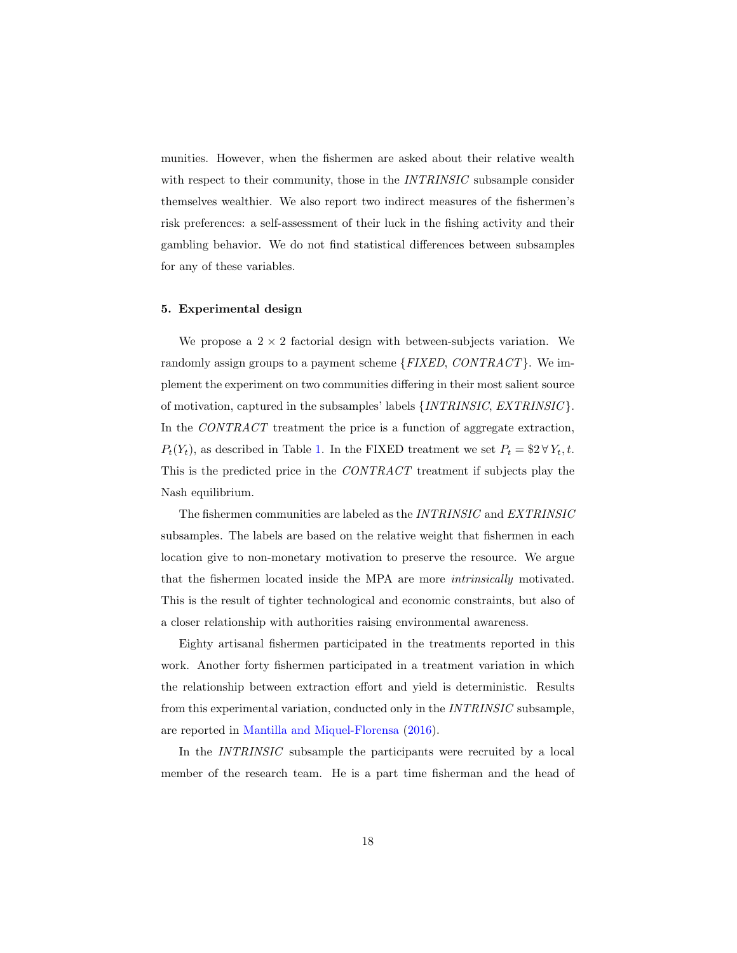munities. However, when the fishermen are asked about their relative wealth with respect to their community, those in the *INTRINSIC* subsample consider themselves wealthier. We also report two indirect measures of the fishermen's risk preferences: a self-assessment of their luck in the fishing activity and their gambling behavior. We do not find statistical differences between subsamples for any of these variables.

## <span id="page-17-0"></span>5. Experimental design

We propose a  $2 \times 2$  factorial design with between-subjects variation. We randomly assign groups to a payment scheme  $\{FIXED, \text{CONTRACT}\}\.$  We implement the experiment on two communities differing in their most salient source of motivation, captured in the subsamples' labels {INTRINSIC, EXTRINSIC }. In the CONTRACT treatment the price is a function of aggregate extraction,  $P_t(Y_t)$ , as described in Table [1.](#page-12-0) In the FIXED treatment we set  $P_t = $2 \forall Y_t, t$ . This is the predicted price in the CONTRACT treatment if subjects play the Nash equilibrium.

The fishermen communities are labeled as the INTRINSIC and EXTRINSIC subsamples. The labels are based on the relative weight that fishermen in each location give to non-monetary motivation to preserve the resource. We argue that the fishermen located inside the MPA are more intrinsically motivated. This is the result of tighter technological and economic constraints, but also of a closer relationship with authorities raising environmental awareness.

Eighty artisanal fishermen participated in the treatments reported in this work. Another forty fishermen participated in a treatment variation in which the relationship between extraction effort and yield is deterministic. Results from this experimental variation, conducted only in the INTRINSIC subsample, are reported in [Mantilla and Miquel-Florensa](#page-36-8) [\(2016\)](#page-36-8).

In the INTRINSIC subsample the participants were recruited by a local member of the research team. He is a part time fisherman and the head of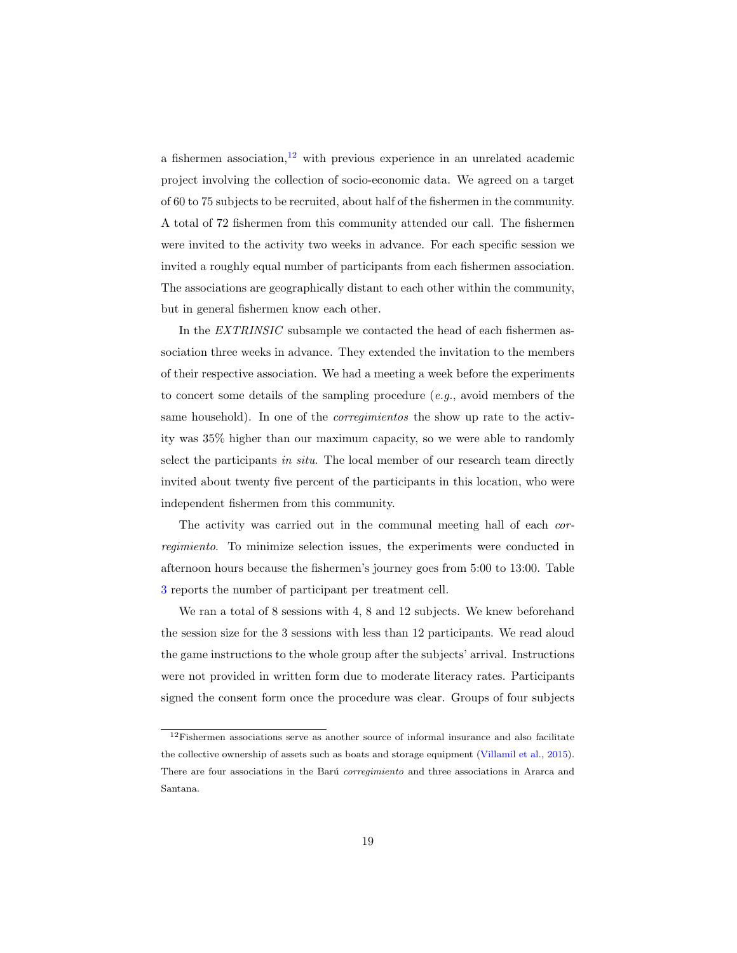a fishermen association, $12$  with previous experience in an unrelated academic project involving the collection of socio-economic data. We agreed on a target of 60 to 75 subjects to be recruited, about half of the fishermen in the community. A total of 72 fishermen from this community attended our call. The fishermen were invited to the activity two weeks in advance. For each specific session we invited a roughly equal number of participants from each fishermen association. The associations are geographically distant to each other within the community, but in general fishermen know each other.

In the EXTRINSIC subsample we contacted the head of each fishermen association three weeks in advance. They extended the invitation to the members of their respective association. We had a meeting a week before the experiments to concert some details of the sampling procedure (e.g., avoid members of the same household). In one of the *corregimientos* the show up rate to the activity was 35% higher than our maximum capacity, so we were able to randomly select the participants in situ. The local member of our research team directly invited about twenty five percent of the participants in this location, who were independent fishermen from this community.

The activity was carried out in the communal meeting hall of each corregimiento. To minimize selection issues, the experiments were conducted in afternoon hours because the fishermen's journey goes from 5:00 to 13:00. Table [3](#page-19-0) reports the number of participant per treatment cell.

We ran a total of 8 sessions with 4, 8 and 12 subjects. We knew beforehand the session size for the 3 sessions with less than 12 participants. We read aloud the game instructions to the whole group after the subjects' arrival. Instructions were not provided in written form due to moderate literacy rates. Participants signed the consent form once the procedure was clear. Groups of four subjects

<span id="page-18-0"></span><sup>12</sup>Fishermen associations serve as another source of informal insurance and also facilitate the collective ownership of assets such as boats and storage equipment [\(Villamil et al.,](#page-38-3) [2015\)](#page-38-3). There are four associations in the Barú corregimiento and three associations in Ararca and Santana.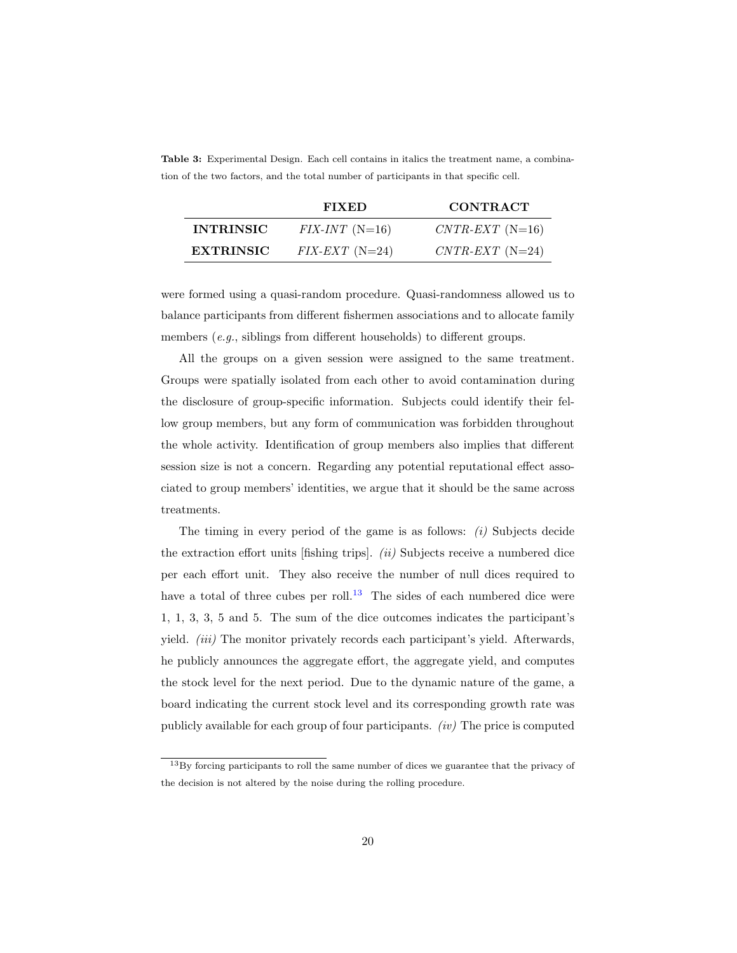|                  | <b>FIXED</b>      | <b>CONTRACT</b>          |
|------------------|-------------------|--------------------------|
| <b>INTRINSIC</b> | $FIX-INT$ (N=16)  | $CNTR-EXT$ (N=16)        |
| <b>EXTRINSIC</b> | $FIX$ -EXT (N=24) | $CNTR\text{-}EXT$ (N=24) |

<span id="page-19-0"></span>Table 3: Experimental Design. Each cell contains in italics the treatment name, a combination of the two factors, and the total number of participants in that specific cell.

were formed using a quasi-random procedure. Quasi-randomness allowed us to balance participants from different fishermen associations and to allocate family members (e.g., siblings from different households) to different groups.

All the groups on a given session were assigned to the same treatment. Groups were spatially isolated from each other to avoid contamination during the disclosure of group-specific information. Subjects could identify their fellow group members, but any form of communication was forbidden throughout the whole activity. Identification of group members also implies that different session size is not a concern. Regarding any potential reputational effect associated to group members' identities, we argue that it should be the same across treatments.

The timing in every period of the game is as follows:  $(i)$  Subjects decide the extraction effort units [fishing trips]. (ii) Subjects receive a numbered dice per each effort unit. They also receive the number of null dices required to have a total of three cubes per roll.<sup>[13](#page-19-1)</sup> The sides of each numbered dice were 1, 1, 3, 3, 5 and 5. The sum of the dice outcomes indicates the participant's yield. *(iii)* The monitor privately records each participant's yield. Afterwards, he publicly announces the aggregate effort, the aggregate yield, and computes the stock level for the next period. Due to the dynamic nature of the game, a board indicating the current stock level and its corresponding growth rate was publicly available for each group of four participants.  $(iv)$  The price is computed

<span id="page-19-1"></span> $^{13}$ By forcing participants to roll the same number of dices we guarantee that the privacy of the decision is not altered by the noise during the rolling procedure.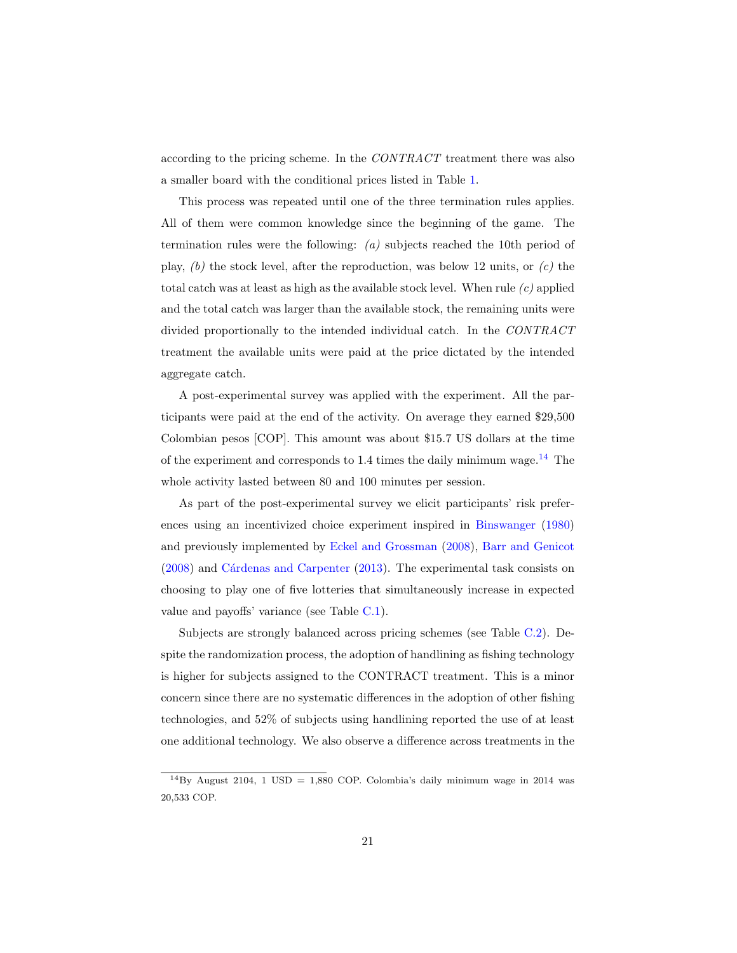according to the pricing scheme. In the CONTRACT treatment there was also a smaller board with the conditional prices listed in Table [1.](#page-12-0)

This process was repeated until one of the three termination rules applies. All of them were common knowledge since the beginning of the game. The termination rules were the following: (a) subjects reached the 10th period of play,  $(b)$  the stock level, after the reproduction, was below 12 units, or  $(c)$  the total catch was at least as high as the available stock level. When rule  $(c)$  applied and the total catch was larger than the available stock, the remaining units were divided proportionally to the intended individual catch. In the CONTRACT treatment the available units were paid at the price dictated by the intended aggregate catch.

A post-experimental survey was applied with the experiment. All the participants were paid at the end of the activity. On average they earned \$29,500 Colombian pesos [COP]. This amount was about \$15.7 US dollars at the time of the experiment and corresponds to  $1.4$  times the daily minimum wage.<sup>[14](#page-20-0)</sup> The whole activity lasted between 80 and 100 minutes per session.

As part of the post-experimental survey we elicit participants' risk preferences using an incentivized choice experiment inspired in [Binswanger](#page-32-5) [\(1980\)](#page-32-5) and previously implemented by [Eckel and Grossman](#page-34-6) [\(2008\)](#page-34-6), [Barr and Genicot](#page-32-6)  $(2008)$  and Cárdenas and Carpenter  $(2013)$ . The experimental task consists on choosing to play one of five lotteries that simultaneously increase in expected value and payoffs' variance (see Table [C.1\)](#page-46-0).

Subjects are strongly balanced across pricing schemes (see Table [C.2\)](#page-47-0). Despite the randomization process, the adoption of handlining as fishing technology is higher for subjects assigned to the CONTRACT treatment. This is a minor concern since there are no systematic differences in the adoption of other fishing technologies, and 52% of subjects using handlining reported the use of at least one additional technology. We also observe a difference across treatments in the

<span id="page-20-0"></span> $14\,\text{By}$  August 2104, 1 USD = 1,880 COP. Colombia's daily minimum wage in 2014 was 20,533 COP.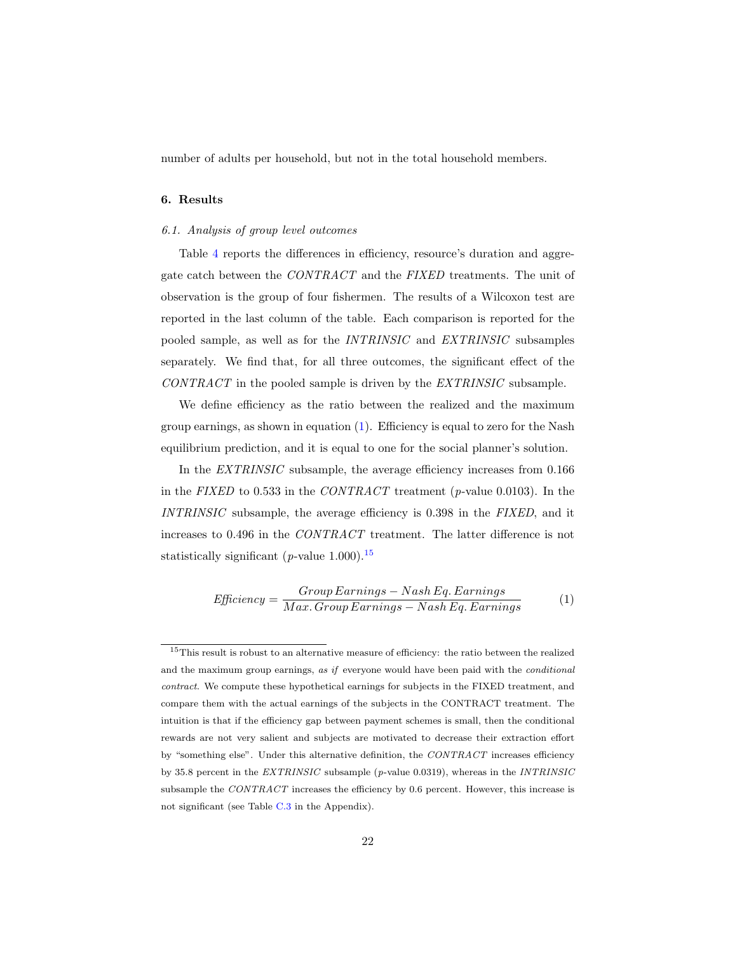number of adults per household, but not in the total household members.

## <span id="page-21-0"></span>6. Results

#### 6.1. Analysis of group level outcomes

Table [4](#page-22-0) reports the differences in efficiency, resource's duration and aggregate catch between the CONTRACT and the FIXED treatments. The unit of observation is the group of four fishermen. The results of a Wilcoxon test are reported in the last column of the table. Each comparison is reported for the pooled sample, as well as for the INTRINSIC and EXTRINSIC subsamples separately. We find that, for all three outcomes, the significant effect of the CONTRACT in the pooled sample is driven by the EXTRINSIC subsample.

We define efficiency as the ratio between the realized and the maximum group earnings, as shown in equation [\(1\)](#page-21-1). Efficiency is equal to zero for the Nash equilibrium prediction, and it is equal to one for the social planner's solution.

In the EXTRINSIC subsample, the average efficiency increases from 0.166 in the FIXED to 0.533 in the CONTRACT treatment (p-value 0.0103). In the INTRINSIC subsample, the average efficiency is 0.398 in the FIXED, and it increases to 0.496 in the CONTRACT treatment. The latter difference is not statistically significant ( $p$ -value 1.000).<sup>[15](#page-21-2)</sup>

<span id="page-21-1"></span>
$$
Efficiency = \frac{Group\,Earnings - Nash\,Eq.\,Earnings}{Max. Group\,Earnings - Nash\,Eq.\,Earnings}
$$
\n(1)

<span id="page-21-2"></span><sup>15</sup>This result is robust to an alternative measure of efficiency: the ratio between the realized and the maximum group earnings, as if everyone would have been paid with the *conditional* contract. We compute these hypothetical earnings for subjects in the FIXED treatment, and compare them with the actual earnings of the subjects in the CONTRACT treatment. The intuition is that if the efficiency gap between payment schemes is small, then the conditional rewards are not very salient and subjects are motivated to decrease their extraction effort by "something else". Under this alternative definition, the CONTRACT increases efficiency by 35.8 percent in the  $EXTRINSIC$  subsample (p-value 0.0319), whereas in the INTRINSIC subsample the CONTRACT increases the efficiency by 0.6 percent. However, this increase is not significant (see Table [C.3](#page-48-0) in the Appendix).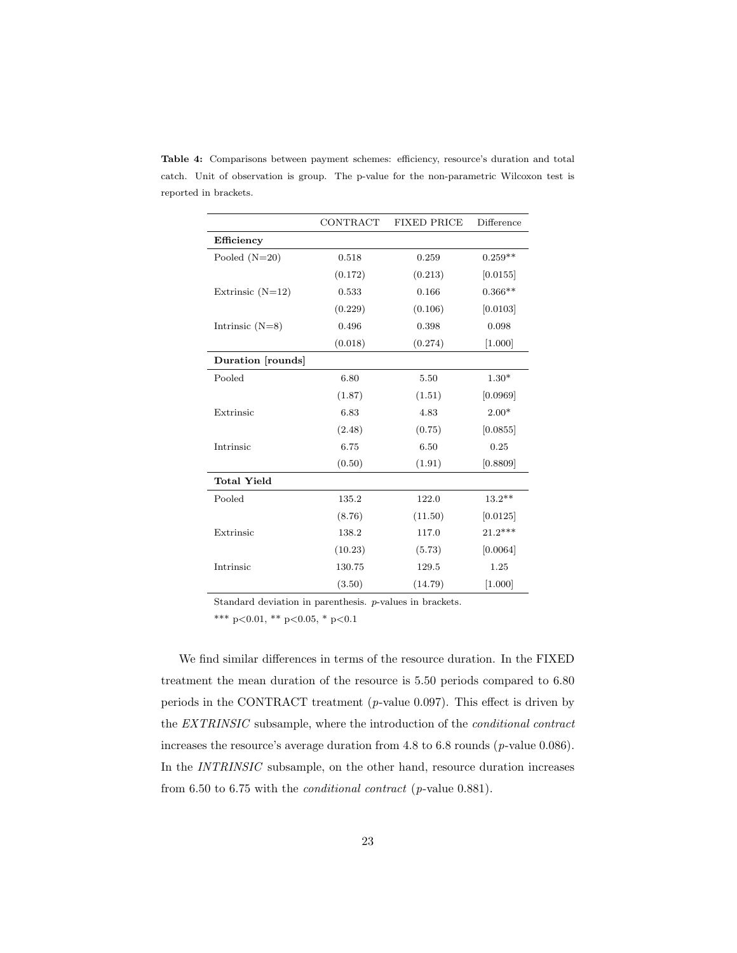|                    | CONTRACT | <b>FIXED PRICE</b> | Difference |
|--------------------|----------|--------------------|------------|
| Efficiency         |          |                    |            |
| Pooled $(N=20)$    | 0.518    | 0.259              | $0.259**$  |
|                    | (0.172)  | (0.213)            | [0.0155]   |
| Extrinsic $(N=12)$ | 0.533    | 0.166              | $0.366**$  |
|                    | (0.229)  | (0.106)            | [0.0103]   |
| Intrinsic $(N=8)$  | 0.496    | 0.398              | 0.098      |
|                    | (0.018)  | (0.274)            | [1.000]    |
| Duration [rounds]  |          |                    |            |
| Pooled             | 6.80     | 5.50               | $1.30*$    |
|                    | (1.87)   | (1.51)             | [0.0969]   |
| Extrinsic          | 6.83     | 4.83               | $2.00*$    |
|                    | (2.48)   | (0.75)             | [0.0855]   |
| Intrinsic          | 6.75     | 6.50               | 0.25       |
|                    | (0.50)   | (1.91)             | [0.8809]   |
| <b>Total Yield</b> |          |                    |            |
| Pooled             | 135.2    | 122.0              | $13.2**$   |
|                    | (8.76)   | (11.50)            | [0.0125]   |
| Extrinsic          | 138.2    | 117.0              | $21.2***$  |
|                    | (10.23)  | (5.73)             | [0.0064]   |
| Intrinsic          | 130.75   | 129.5              | 1.25       |
|                    | (3.50)   | (14.79)            | [1.000]    |

<span id="page-22-0"></span>Table 4: Comparisons between payment schemes: efficiency, resource's duration and total catch. Unit of observation is group. The p-value for the non-parametric Wilcoxon test is reported in brackets.

Standard deviation in parenthesis. p-values in brackets.

\*\*\* p<0.01, \*\* p<0.05, \* p<0.1

We find similar differences in terms of the resource duration. In the FIXED treatment the mean duration of the resource is 5.50 periods compared to 6.80 periods in the CONTRACT treatment  $(p$ -value 0.097). This effect is driven by the EXTRINSIC subsample, where the introduction of the conditional contract increases the resource's average duration from 4.8 to 6.8 rounds (p-value 0.086). In the INTRINSIC subsample, on the other hand, resource duration increases from 6.50 to 6.75 with the conditional contract (p-value 0.881).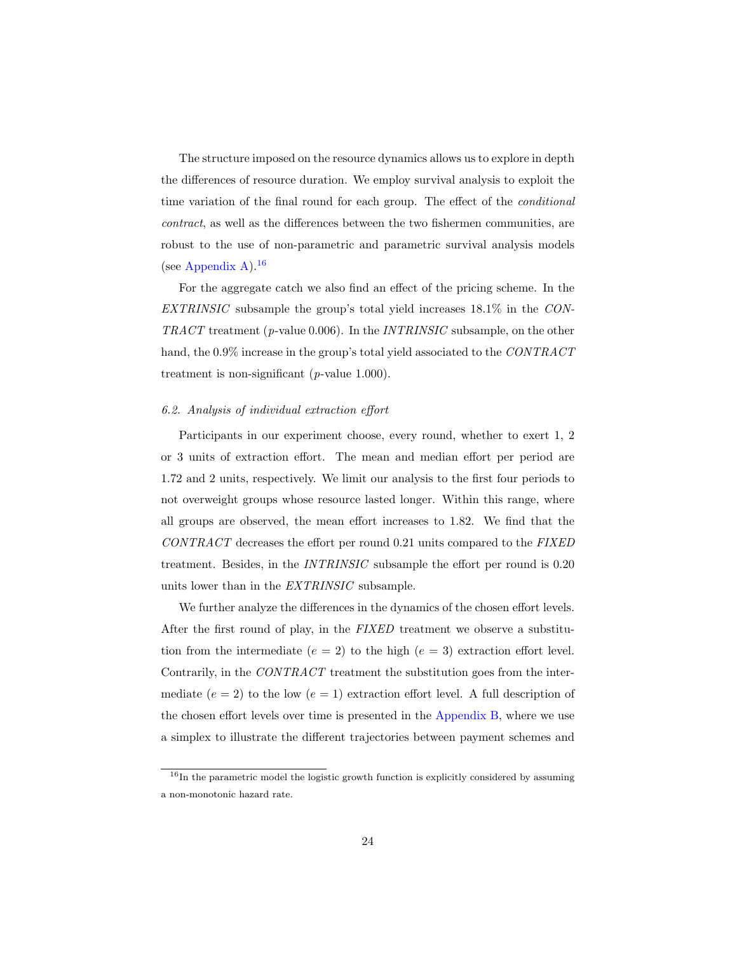The structure imposed on the resource dynamics allows us to explore in depth the differences of resource duration. We employ survival analysis to exploit the time variation of the final round for each group. The effect of the *conditional* contract, as well as the differences between the two fishermen communities, are robust to the use of non-parametric and parametric survival analysis models (see [Appendix A\)](#page-38-4).<sup>[16](#page-23-0)</sup>

For the aggregate catch we also find an effect of the pricing scheme. In the EXTRINSIC subsample the group's total yield increases 18.1% in the CON-TRACT treatment (p-value 0.006). In the INTRINSIC subsample, on the other hand, the 0.9% increase in the group's total yield associated to the CONTRACT treatment is non-significant (p-value 1.000).

## <span id="page-23-1"></span>6.2. Analysis of individual extraction effort

Participants in our experiment choose, every round, whether to exert 1, 2 or 3 units of extraction effort. The mean and median effort per period are 1.72 and 2 units, respectively. We limit our analysis to the first four periods to not overweight groups whose resource lasted longer. Within this range, where all groups are observed, the mean effort increases to 1.82. We find that the CONTRACT decreases the effort per round 0.21 units compared to the FIXED treatment. Besides, in the INTRINSIC subsample the effort per round is 0.20 units lower than in the EXTRINSIC subsample.

We further analyze the differences in the dynamics of the chosen effort levels. After the first round of play, in the FIXED treatment we observe a substitution from the intermediate ( $e = 2$ ) to the high ( $e = 3$ ) extraction effort level. Contrarily, in the CONTRACT treatment the substitution goes from the intermediate  $(e = 2)$  to the low  $(e = 1)$  extraction effort level. A full description of the chosen effort levels over time is presented in the [Appendix B,](#page-43-0) where we use a simplex to illustrate the different trajectories between payment schemes and

<span id="page-23-0"></span><sup>&</sup>lt;sup>16</sup>In the parametric model the logistic growth function is explicitly considered by assuming a non-monotonic hazard rate.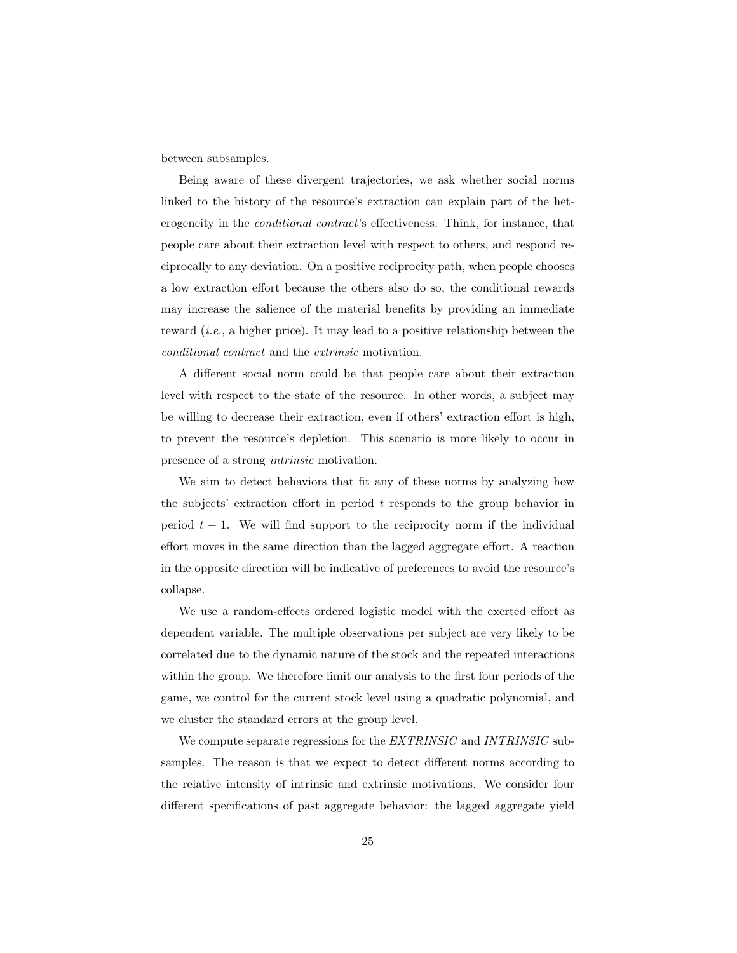between subsamples.

Being aware of these divergent trajectories, we ask whether social norms linked to the history of the resource's extraction can explain part of the heterogeneity in the conditional contract's effectiveness. Think, for instance, that people care about their extraction level with respect to others, and respond reciprocally to any deviation. On a positive reciprocity path, when people chooses a low extraction effort because the others also do so, the conditional rewards may increase the salience of the material benefits by providing an immediate reward (i.e., a higher price). It may lead to a positive relationship between the conditional contract and the extrinsic motivation.

A different social norm could be that people care about their extraction level with respect to the state of the resource. In other words, a subject may be willing to decrease their extraction, even if others' extraction effort is high, to prevent the resource's depletion. This scenario is more likely to occur in presence of a strong intrinsic motivation.

We aim to detect behaviors that fit any of these norms by analyzing how the subjects' extraction effort in period  $t$  responds to the group behavior in period  $t - 1$ . We will find support to the reciprocity norm if the individual effort moves in the same direction than the lagged aggregate effort. A reaction in the opposite direction will be indicative of preferences to avoid the resource's collapse.

We use a random-effects ordered logistic model with the exerted effort as dependent variable. The multiple observations per subject are very likely to be correlated due to the dynamic nature of the stock and the repeated interactions within the group. We therefore limit our analysis to the first four periods of the game, we control for the current stock level using a quadratic polynomial, and we cluster the standard errors at the group level.

We compute separate regressions for the EXTRINSIC and INTRINSIC subsamples. The reason is that we expect to detect different norms according to the relative intensity of intrinsic and extrinsic motivations. We consider four different specifications of past aggregate behavior: the lagged aggregate yield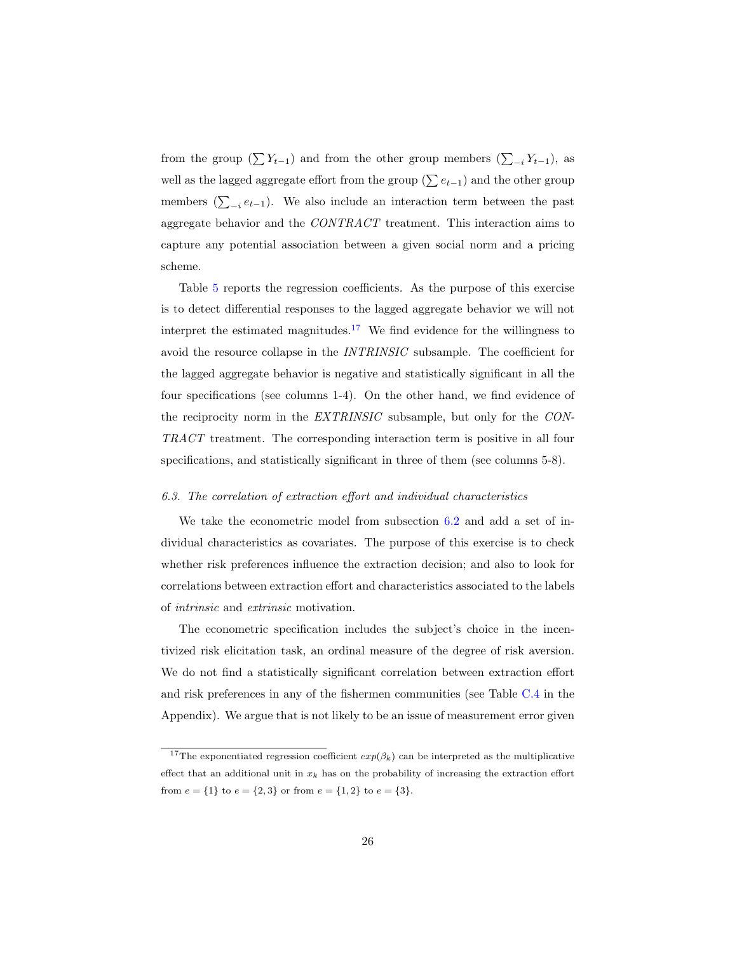from the group  $(\sum Y_{t-1})$  and from the other group members  $(\sum_{-i} Y_{t-1})$ , as well as the lagged aggregate effort from the group ( $\sum e_{t-1}$ ) and the other group members  $(\sum_{i} e_{t-1})$ . We also include an interaction term between the past aggregate behavior and the CONTRACT treatment. This interaction aims to capture any potential association between a given social norm and a pricing scheme.

Table [5](#page-26-0) reports the regression coefficients. As the purpose of this exercise is to detect differential responses to the lagged aggregate behavior we will not interpret the estimated magnitudes.<sup>[17](#page-25-0)</sup> We find evidence for the willingness to avoid the resource collapse in the INTRINSIC subsample. The coefficient for the lagged aggregate behavior is negative and statistically significant in all the four specifications (see columns 1-4). On the other hand, we find evidence of the reciprocity norm in the EXTRINSIC subsample, but only for the CON-TRACT treatment. The corresponding interaction term is positive in all four specifications, and statistically significant in three of them (see columns 5-8).

#### 6.3. The correlation of extraction effort and individual characteristics

We take the econometric model from subsection [6.2](#page-23-1) and add a set of individual characteristics as covariates. The purpose of this exercise is to check whether risk preferences influence the extraction decision; and also to look for correlations between extraction effort and characteristics associated to the labels of intrinsic and extrinsic motivation.

The econometric specification includes the subject's choice in the incentivized risk elicitation task, an ordinal measure of the degree of risk aversion. We do not find a statistically significant correlation between extraction effort and risk preferences in any of the fishermen communities (see Table [C.4](#page-49-0) in the Appendix). We argue that is not likely to be an issue of measurement error given

<span id="page-25-0"></span><sup>&</sup>lt;sup>17</sup>The exponentiated regression coefficient  $exp(\beta_k)$  can be interpreted as the multiplicative effect that an additional unit in  $x_k$  has on the probability of increasing the extraction effort from  $e = \{1\}$  to  $e = \{2,3\}$  or from  $e = \{1,2\}$  to  $e = \{3\}$ .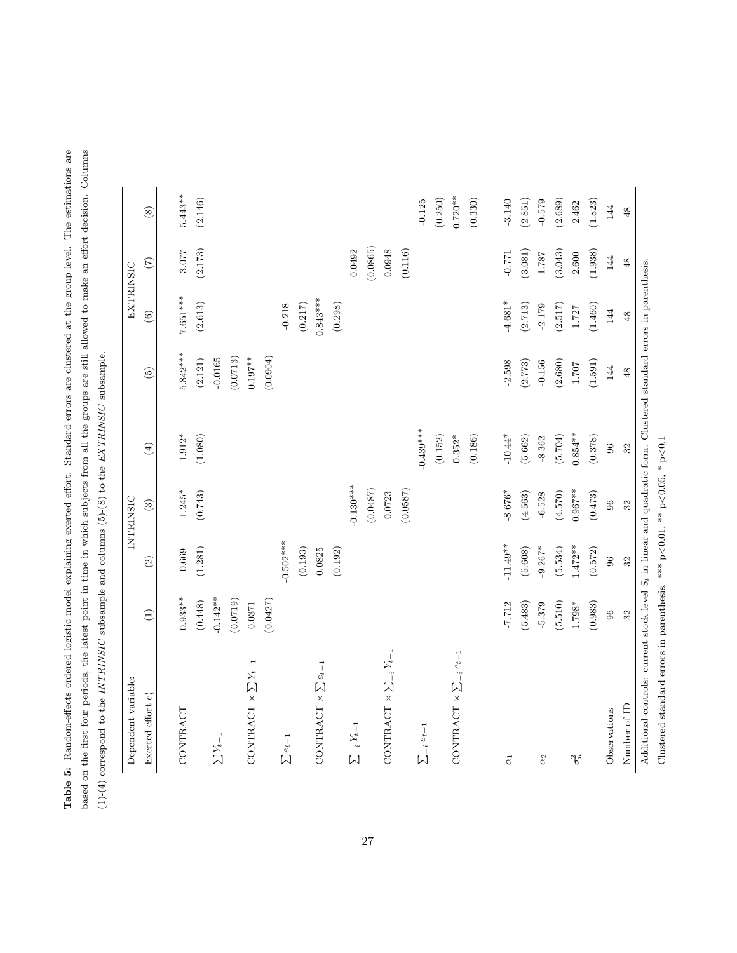| ordered logistic model explaining exerted effort. Standard errors are clustered at the group level. The estimations are | ods, the latest point in time in which subjects from all the groups are still allowed to make an effort decision. Columns | VTRINSIC subsample and columns (5)-(8) to the EXTRINSIC subsample |
|-------------------------------------------------------------------------------------------------------------------------|---------------------------------------------------------------------------------------------------------------------------|-------------------------------------------------------------------|
|                                                                                                                         |                                                                                                                           |                                                                   |
|                                                                                                                         |                                                                                                                           |                                                                   |
|                                                                                                                         |                                                                                                                           |                                                                   |
|                                                                                                                         |                                                                                                                           |                                                                   |
|                                                                                                                         |                                                                                                                           |                                                                   |
|                                                                                                                         |                                                                                                                           |                                                                   |
|                                                                                                                         |                                                                                                                           |                                                                   |
|                                                                                                                         |                                                                                                                           |                                                                   |
|                                                                                                                         |                                                                                                                           |                                                                   |
| Cable 5: Random-effects                                                                                                 | ased on the first four peri                                                                                               |                                                                   |
|                                                                                                                         |                                                                                                                           |                                                                   |
|                                                                                                                         |                                                                                                                           |                                                                   |

| Dependent variable:                 |               |               | <b>INTRINSIC</b> |                   |               | EXTRINSIC      |                 |               |
|-------------------------------------|---------------|---------------|------------------|-------------------|---------------|----------------|-----------------|---------------|
| Exerted effort $e_t^i$              | $\widehat{E}$ | $\widehat{2}$ | $\odot$          | $\left( 4\right)$ | $\widehat{E}$ | $\circledcirc$ | $\widetilde{C}$ | $\circled{s}$ |
| CONTRACT                            | $-0.933**$    | $-0.669$      | $-1.245*$        | $-1.912*$         | $5.842***$    | $-7.651***$    | $-3.077$        | $-5.443**$    |
|                                     | (0.448)       | (1.281)       | (0.743)          | (1.080)           | (2.121)       | (2.613)        | (2.173)         | (2.146)       |
| $\sum Y_{t-1}$                      | $0.142**$     |               |                  |                   | $-0.0165$     |                |                 |               |
|                                     | (0.0719)      |               |                  |                   | (0.0713)      |                |                 |               |
| CONTRACT $\times \sum Y_{t-1}$      | 0.0371        |               |                  |                   | $0.197***$    |                |                 |               |
|                                     | (0.0427)      |               |                  |                   | (0.0904)      |                |                 |               |
| $\sum e_{t-1}$                      |               | $-0.502***$   |                  |                   |               | $-0.218$       |                 |               |
|                                     |               | (0.193)       |                  |                   |               | (0.217)        |                 |               |
| CONTRACT $\times \sum e_{t-1}$      |               | 0.0825        |                  |                   |               | $0.843***$     |                 |               |
|                                     |               | (0.192)       |                  |                   |               | (0.298)        |                 |               |
| $\sum_{-i} Y_{t-1}$                 |               |               | $-0.130***$      |                   |               |                | 0.0492          |               |
|                                     |               |               | (0.0487)         |                   |               |                | (0.0865)        |               |
| CONTRACT $\times \sum_{-i} Y_{t-1}$ |               |               | 0.0723           |                   |               |                | 0.0948          |               |
|                                     |               |               | (0.0587)         |                   |               |                | (0.116)         |               |
| $\sum_{-i} e_{t-1}$                 |               |               |                  | $-0.439***$       |               |                |                 | $-0.125$      |
|                                     |               |               |                  | (0.152)           |               |                |                 | (0.250)       |
| CONTRACT $\times \sum_{-i} e_{t-1}$ |               |               |                  | $0.352*$          |               |                |                 | $0.720**$     |
|                                     |               |               |                  | (0.186)           |               |                |                 | (0.330)       |
| $\overline{\alpha}$                 | $-7.712$      | $-11.49**$    | $-8.676*$        | $-10.44*$         | $-2.598$      | $-4.681*$      | $-0.771$        | $-3.140$      |
|                                     | (5.483)       | (5.608)       | (4.563)          | (5.662)           | (2.773)       | (2.713)        | (3.081)         | (2.851)       |
| $\alpha_2$                          | $-5.379$      | $-9.267*$     | $-6.528$         | $-8.362$          | $-0.156$      | $-2.179$       | $1.787\,$       | $-0.579$      |
|                                     | (5.510)       | (5.534)       | (4.570)          | (5.704)           | (2.680)       | (2.517)        | (3.043)         | (2.689)       |
| $\sigma_u^2$                        | $1.798*$      | $1.472**$     | $0.967***$       | $0.854***$        | $1.707\,$     | 1.727          | 2.600           | 2.462         |
|                                     | (0.983)       | (0.572)       | (0.473)          | (0.378)           | (1.591)       | (1.460)        | (1.938)         | (1.823)       |
| Observations                        | $96$          | 96            | $96$             | 96                | 144           | 144            | 144             | 144           |
| Number of ID                        | 32            | 32            | 32               | 32                | 48            | 48             | 48              | 48            |

Clustered standard errors in parenthesis. \*\*\*  $p<0.01$ , \*\*  $p<0.05$ , \*  $p<0.1$ 

<span id="page-26-0"></span>Clustered standard errors in parenthesis. \*\*\* p<0.01, \*\* p<0.05, \* p<0.1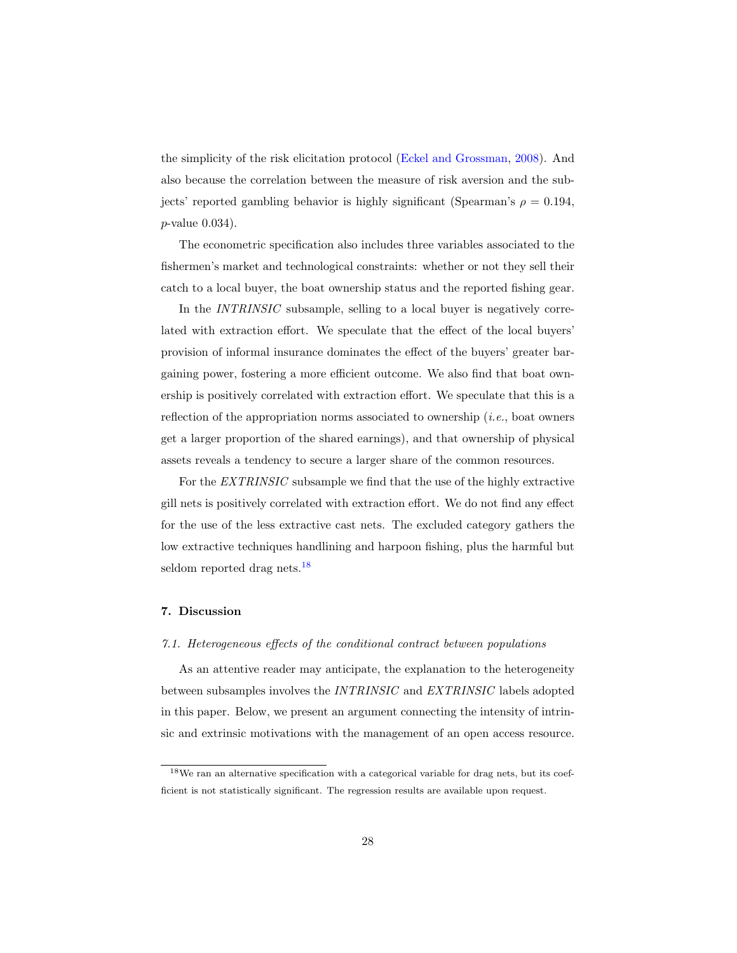the simplicity of the risk elicitation protocol [\(Eckel and Grossman,](#page-34-6) [2008\)](#page-34-6). And also because the correlation between the measure of risk aversion and the subjects' reported gambling behavior is highly significant (Spearman's  $\rho = 0.194$ , p-value 0.034).

The econometric specification also includes three variables associated to the fishermen's market and technological constraints: whether or not they sell their catch to a local buyer, the boat ownership status and the reported fishing gear.

In the INTRINSIC subsample, selling to a local buyer is negatively correlated with extraction effort. We speculate that the effect of the local buyers' provision of informal insurance dominates the effect of the buyers' greater bargaining power, fostering a more efficient outcome. We also find that boat ownership is positively correlated with extraction effort. We speculate that this is a reflection of the appropriation norms associated to ownership  $(i.e.,$  boat owners get a larger proportion of the shared earnings), and that ownership of physical assets reveals a tendency to secure a larger share of the common resources.

For the EXTRINSIC subsample we find that the use of the highly extractive gill nets is positively correlated with extraction effort. We do not find any effect for the use of the less extractive cast nets. The excluded category gathers the low extractive techniques handlining and harpoon fishing, plus the harmful but seldom reported drag nets.<sup>[18](#page-27-1)</sup>

## <span id="page-27-0"></span>7. Discussion

#### 7.1. Heterogeneous effects of the conditional contract between populations

As an attentive reader may anticipate, the explanation to the heterogeneity between subsamples involves the INTRINSIC and EXTRINSIC labels adopted in this paper. Below, we present an argument connecting the intensity of intrinsic and extrinsic motivations with the management of an open access resource.

<span id="page-27-1"></span><sup>18</sup>We ran an alternative specification with a categorical variable for drag nets, but its coefficient is not statistically significant. The regression results are available upon request.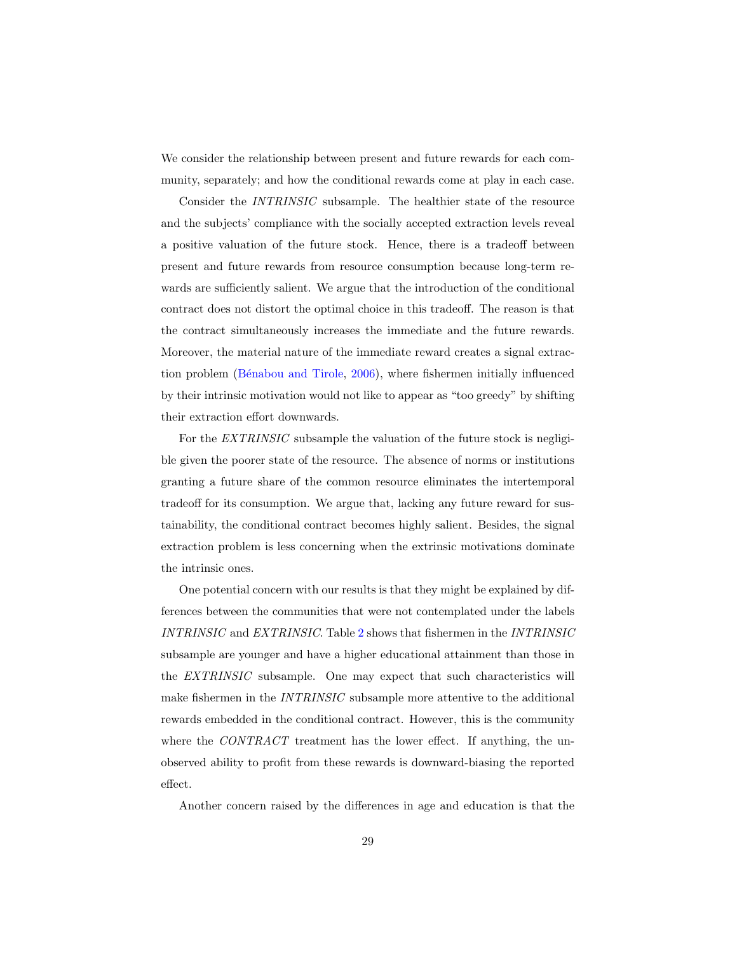We consider the relationship between present and future rewards for each community, separately; and how the conditional rewards come at play in each case.

Consider the INTRINSIC subsample. The healthier state of the resource and the subjects' compliance with the socially accepted extraction levels reveal a positive valuation of the future stock. Hence, there is a tradeoff between present and future rewards from resource consumption because long-term rewards are sufficiently salient. We argue that the introduction of the conditional contract does not distort the optimal choice in this tradeoff. The reason is that the contract simultaneously increases the immediate and the future rewards. Moreover, the material nature of the immediate reward creates a signal extraction problem [\(B´enabou and Tirole,](#page-32-0) [2006\)](#page-32-0), where fishermen initially influenced by their intrinsic motivation would not like to appear as "too greedy" by shifting their extraction effort downwards.

For the EXTRINSIC subsample the valuation of the future stock is negligible given the poorer state of the resource. The absence of norms or institutions granting a future share of the common resource eliminates the intertemporal tradeoff for its consumption. We argue that, lacking any future reward for sustainability, the conditional contract becomes highly salient. Besides, the signal extraction problem is less concerning when the extrinsic motivations dominate the intrinsic ones.

One potential concern with our results is that they might be explained by differences between the communities that were not contemplated under the labels INTRINSIC and EXTRINSIC. Table [2](#page-15-0) shows that fishermen in the INTRINSIC subsample are younger and have a higher educational attainment than those in the EXTRINSIC subsample. One may expect that such characteristics will make fishermen in the INTRINSIC subsample more attentive to the additional rewards embedded in the conditional contract. However, this is the community where the *CONTRACT* treatment has the lower effect. If anything, the unobserved ability to profit from these rewards is downward-biasing the reported effect.

Another concern raised by the differences in age and education is that the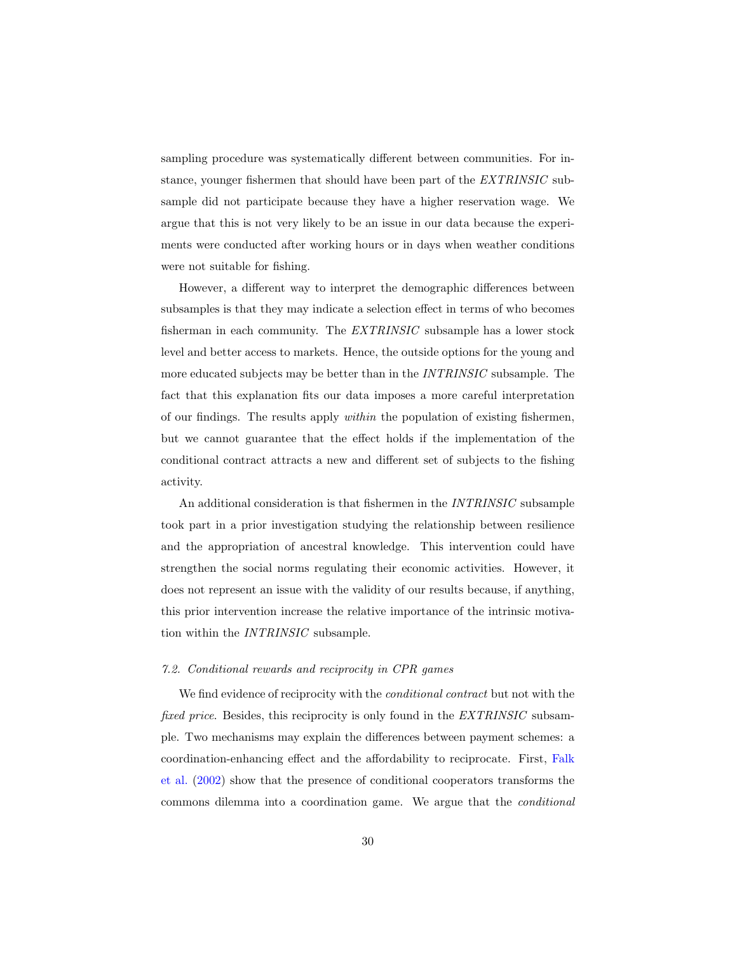sampling procedure was systematically different between communities. For instance, younger fishermen that should have been part of the EXTRINSIC subsample did not participate because they have a higher reservation wage. We argue that this is not very likely to be an issue in our data because the experiments were conducted after working hours or in days when weather conditions were not suitable for fishing.

However, a different way to interpret the demographic differences between subsamples is that they may indicate a selection effect in terms of who becomes fisherman in each community. The EXTRINSIC subsample has a lower stock level and better access to markets. Hence, the outside options for the young and more educated subjects may be better than in the INTRINSIC subsample. The fact that this explanation fits our data imposes a more careful interpretation of our findings. The results apply within the population of existing fishermen, but we cannot guarantee that the effect holds if the implementation of the conditional contract attracts a new and different set of subjects to the fishing activity.

An additional consideration is that fishermen in the INTRINSIC subsample took part in a prior investigation studying the relationship between resilience and the appropriation of ancestral knowledge. This intervention could have strengthen the social norms regulating their economic activities. However, it does not represent an issue with the validity of our results because, if anything, this prior intervention increase the relative importance of the intrinsic motivation within the INTRINSIC subsample.

## 7.2. Conditional rewards and reciprocity in CPR games

We find evidence of reciprocity with the *conditional contract* but not with the fixed price. Besides, this reciprocity is only found in the EXTRINSIC subsample. Two mechanisms may explain the differences between payment schemes: a coordination-enhancing effect and the affordability to reciprocate. First, [Falk](#page-34-7) [et al.](#page-34-7) [\(2002\)](#page-34-7) show that the presence of conditional cooperators transforms the commons dilemma into a coordination game. We argue that the conditional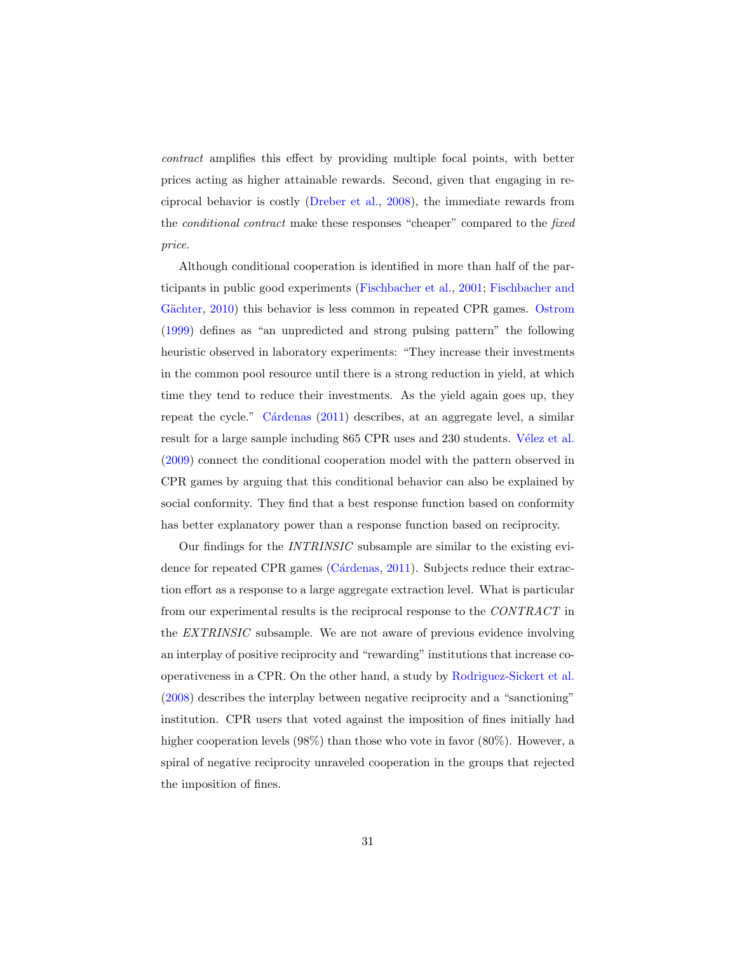contract amplifies this effect by providing multiple focal points, with better prices acting as higher attainable rewards. Second, given that engaging in reciprocal behavior is costly [\(Dreber et al.,](#page-34-8) [2008\)](#page-34-8), the immediate rewards from the conditional contract make these responses "cheaper" compared to the fixed price.

Although conditional cooperation is identified in more than half of the participants in public good experiments [\(Fischbacher et al.,](#page-35-9) [2001;](#page-35-9) [Fischbacher and](#page-34-9) Gächter, [2010\)](#page-34-9) this behavior is less common in repeated CPR games. [Ostrom](#page-36-9) [\(1999\)](#page-36-9) defines as "an unpredicted and strong pulsing pattern" the following heuristic observed in laboratory experiments: "They increase their investments in the common pool resource until there is a strong reduction in yield, at which time they tend to reduce their investments. As the yield again goes up, they repeat the cycle." Cárdenas [\(2011\)](#page-33-8) describes, at an aggregate level, a similar result for a large sample including 865 CPR uses and 230 students. Vélez et al. [\(2009\)](#page-37-7) connect the conditional cooperation model with the pattern observed in CPR games by arguing that this conditional behavior can also be explained by social conformity. They find that a best response function based on conformity has better explanatory power than a response function based on reciprocity.

Our findings for the INTRINSIC subsample are similar to the existing evi-dence for repeated CPR games (Cárdenas, [2011\)](#page-33-8). Subjects reduce their extraction effort as a response to a large aggregate extraction level. What is particular from our experimental results is the reciprocal response to the CONTRACT in the EXTRINSIC subsample. We are not aware of previous evidence involving an interplay of positive reciprocity and "rewarding" institutions that increase cooperativeness in a CPR. On the other hand, a study by [Rodriguez-Sickert et al.](#page-37-8) [\(2008\)](#page-37-8) describes the interplay between negative reciprocity and a "sanctioning" institution. CPR users that voted against the imposition of fines initially had higher cooperation levels (98%) than those who vote in favor (80%). However, a spiral of negative reciprocity unraveled cooperation in the groups that rejected the imposition of fines.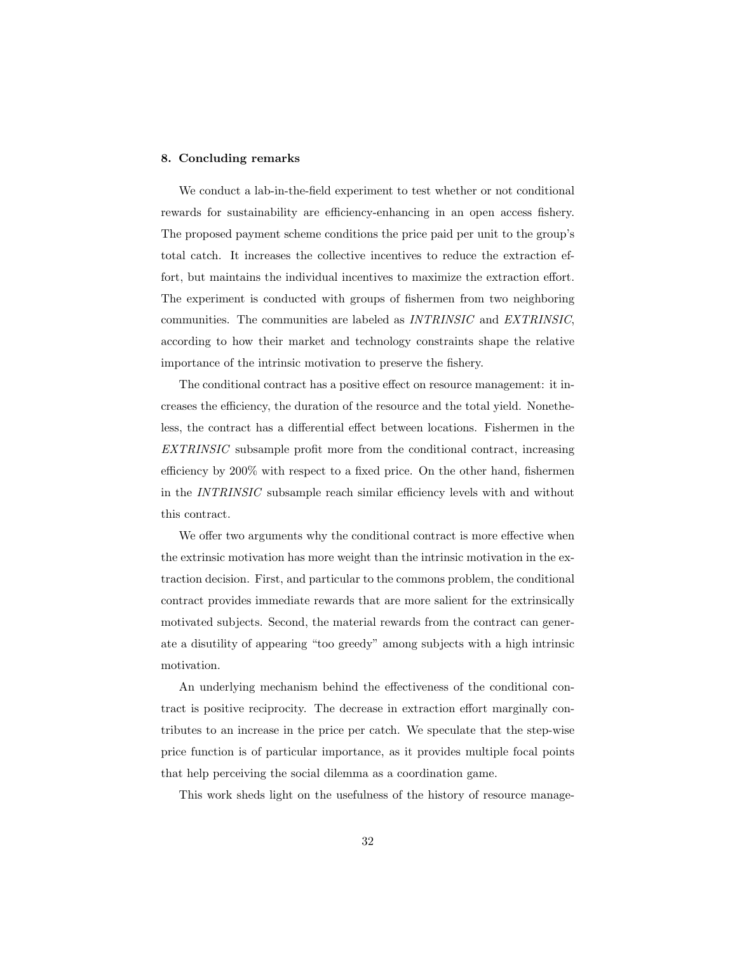## <span id="page-31-0"></span>8. Concluding remarks

We conduct a lab-in-the-field experiment to test whether or not conditional rewards for sustainability are efficiency-enhancing in an open access fishery. The proposed payment scheme conditions the price paid per unit to the group's total catch. It increases the collective incentives to reduce the extraction effort, but maintains the individual incentives to maximize the extraction effort. The experiment is conducted with groups of fishermen from two neighboring communities. The communities are labeled as INTRINSIC and EXTRINSIC, according to how their market and technology constraints shape the relative importance of the intrinsic motivation to preserve the fishery.

The conditional contract has a positive effect on resource management: it increases the efficiency, the duration of the resource and the total yield. Nonetheless, the contract has a differential effect between locations. Fishermen in the EXTRINSIC subsample profit more from the conditional contract, increasing efficiency by 200% with respect to a fixed price. On the other hand, fishermen in the INTRINSIC subsample reach similar efficiency levels with and without this contract.

We offer two arguments why the conditional contract is more effective when the extrinsic motivation has more weight than the intrinsic motivation in the extraction decision. First, and particular to the commons problem, the conditional contract provides immediate rewards that are more salient for the extrinsically motivated subjects. Second, the material rewards from the contract can generate a disutility of appearing "too greedy" among subjects with a high intrinsic motivation.

An underlying mechanism behind the effectiveness of the conditional contract is positive reciprocity. The decrease in extraction effort marginally contributes to an increase in the price per catch. We speculate that the step-wise price function is of particular importance, as it provides multiple focal points that help perceiving the social dilemma as a coordination game.

This work sheds light on the usefulness of the history of resource manage-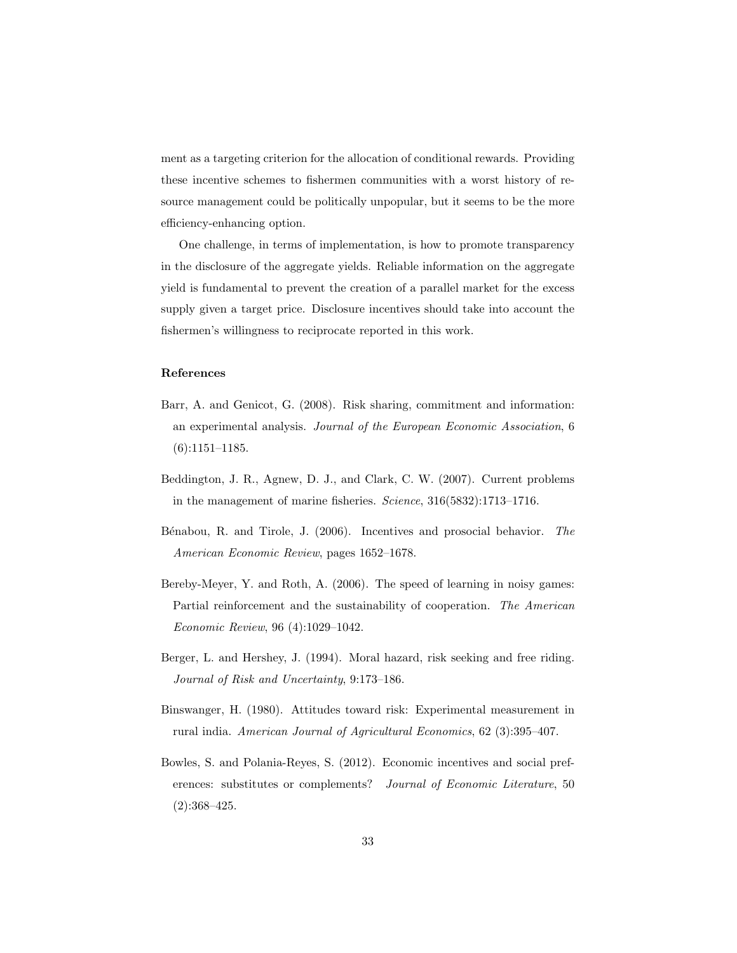ment as a targeting criterion for the allocation of conditional rewards. Providing these incentive schemes to fishermen communities with a worst history of resource management could be politically unpopular, but it seems to be the more efficiency-enhancing option.

One challenge, in terms of implementation, is how to promote transparency in the disclosure of the aggregate yields. Reliable information on the aggregate yield is fundamental to prevent the creation of a parallel market for the excess supply given a target price. Disclosure incentives should take into account the fishermen's willingness to reciprocate reported in this work.

## References

- <span id="page-32-6"></span>Barr, A. and Genicot, G. (2008). Risk sharing, commitment and information: an experimental analysis. Journal of the European Economic Association, 6 (6):1151–1185.
- <span id="page-32-2"></span>Beddington, J. R., Agnew, D. J., and Clark, C. W. (2007). Current problems in the management of marine fisheries. Science, 316(5832):1713–1716.
- <span id="page-32-0"></span>Bénabou, R. and Tirole, J. (2006). Incentives and prosocial behavior. The American Economic Review, pages 1652–1678.
- <span id="page-32-4"></span>Bereby-Meyer, Y. and Roth, A. (2006). The speed of learning in noisy games: Partial reinforcement and the sustainability of cooperation. The American Economic Review, 96 (4):1029–1042.
- <span id="page-32-3"></span>Berger, L. and Hershey, J. (1994). Moral hazard, risk seeking and free riding. Journal of Risk and Uncertainty, 9:173–186.
- <span id="page-32-5"></span>Binswanger, H. (1980). Attitudes toward risk: Experimental measurement in rural india. American Journal of Agricultural Economics, 62 (3):395–407.
- <span id="page-32-1"></span>Bowles, S. and Polania-Reyes, S. (2012). Economic incentives and social preferences: substitutes or complements? Journal of Economic Literature, 50 (2):368–425.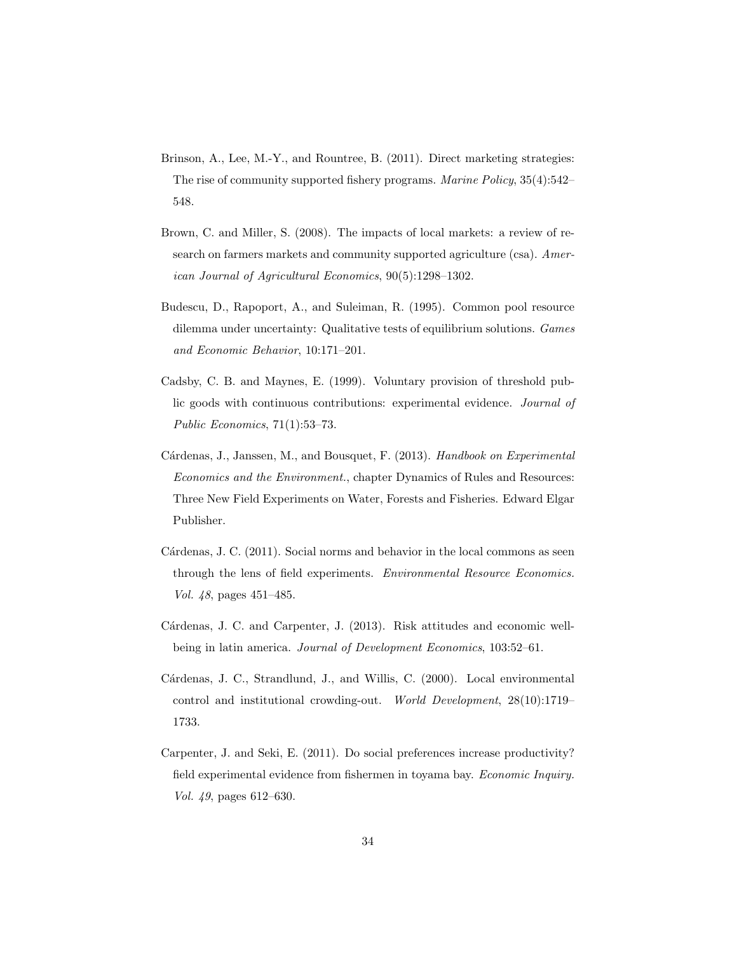- <span id="page-33-1"></span>Brinson, A., Lee, M.-Y., and Rountree, B. (2011). Direct marketing strategies: The rise of community supported fishery programs. Marine Policy, 35(4):542– 548.
- <span id="page-33-0"></span>Brown, C. and Miller, S. (2008). The impacts of local markets: a review of research on farmers markets and community supported agriculture (csa). American Journal of Agricultural Economics, 90(5):1298–1302.
- <span id="page-33-6"></span>Budescu, D., Rapoport, A., and Suleiman, R. (1995). Common pool resource dilemma under uncertainty: Qualitative tests of equilibrium solutions. Games and Economic Behavior, 10:171–201.
- <span id="page-33-3"></span>Cadsby, C. B. and Maynes, E. (1999). Voluntary provision of threshold public goods with continuous contributions: experimental evidence. Journal of Public Economics, 71(1):53–73.
- <span id="page-33-4"></span>Cárdenas, J., Janssen, M., and Bousquet, F. (2013). Handbook on Experimental Economics and the Environment., chapter Dynamics of Rules and Resources: Three New Field Experiments on Water, Forests and Fisheries. Edward Elgar Publisher.
- <span id="page-33-8"></span>Cárdenas, J. C. (2011). Social norms and behavior in the local commons as seen through the lens of field experiments. Environmental Resource Economics. Vol. 48, pages 451–485.
- <span id="page-33-7"></span>Cárdenas, J. C. and Carpenter, J. (2013). Risk attitudes and economic wellbeing in latin america. Journal of Development Economics, 103:52–61.
- <span id="page-33-2"></span>Cárdenas, J. C., Strandlund, J., and Willis, C. (2000). Local environmental control and institutional crowding-out. World Development, 28(10):1719– 1733.
- <span id="page-33-5"></span>Carpenter, J. and Seki, E. (2011). Do social preferences increase productivity? field experimental evidence from fishermen in toyama bay. Economic Inquiry. Vol. 49, pages 612–630.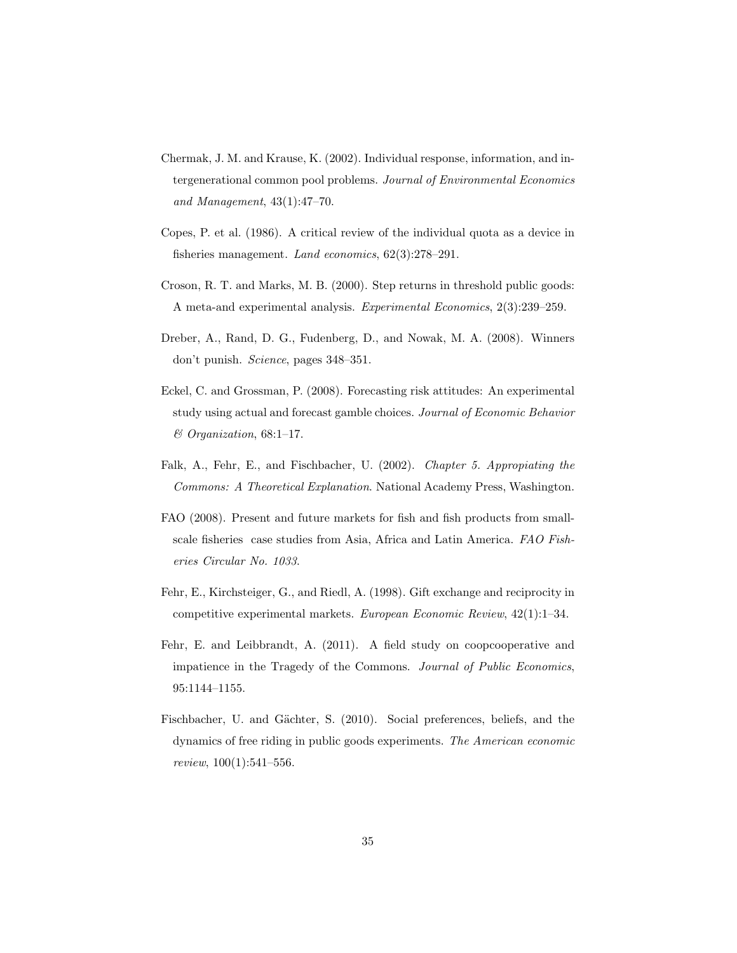- <span id="page-34-5"></span>Chermak, J. M. and Krause, K. (2002). Individual response, information, and intergenerational common pool problems. Journal of Environmental Economics and Management, 43(1):47–70.
- <span id="page-34-1"></span>Copes, P. et al. (1986). A critical review of the individual quota as a device in fisheries management. Land economics, 62(3):278–291.
- <span id="page-34-3"></span>Croson, R. T. and Marks, M. B. (2000). Step returns in threshold public goods: A meta-and experimental analysis. Experimental Economics, 2(3):239–259.
- <span id="page-34-8"></span>Dreber, A., Rand, D. G., Fudenberg, D., and Nowak, M. A. (2008). Winners don't punish. Science, pages 348–351.
- <span id="page-34-6"></span>Eckel, C. and Grossman, P. (2008). Forecasting risk attitudes: An experimental study using actual and forecast gamble choices. Journal of Economic Behavior & Organization, 68:1–17.
- <span id="page-34-7"></span>Falk, A., Fehr, E., and Fischbacher, U. (2002). Chapter 5. Appropiating the Commons: A Theoretical Explanation. National Academy Press, Washington.
- <span id="page-34-0"></span>FAO (2008). Present and future markets for fish and fish products from smallscale fisheries case studies from Asia, Africa and Latin America. FAO Fisheries Circular No. 1033.
- <span id="page-34-2"></span>Fehr, E., Kirchsteiger, G., and Riedl, A. (1998). Gift exchange and reciprocity in competitive experimental markets. European Economic Review, 42(1):1–34.
- <span id="page-34-4"></span>Fehr, E. and Leibbrandt, A. (2011). A field study on coopcooperative and impatience in the Tragedy of the Commons. Journal of Public Economics, 95:1144–1155.
- <span id="page-34-9"></span>Fischbacher, U. and Gächter, S. (2010). Social preferences, beliefs, and the dynamics of free riding in public goods experiments. The American economic review, 100(1):541–556.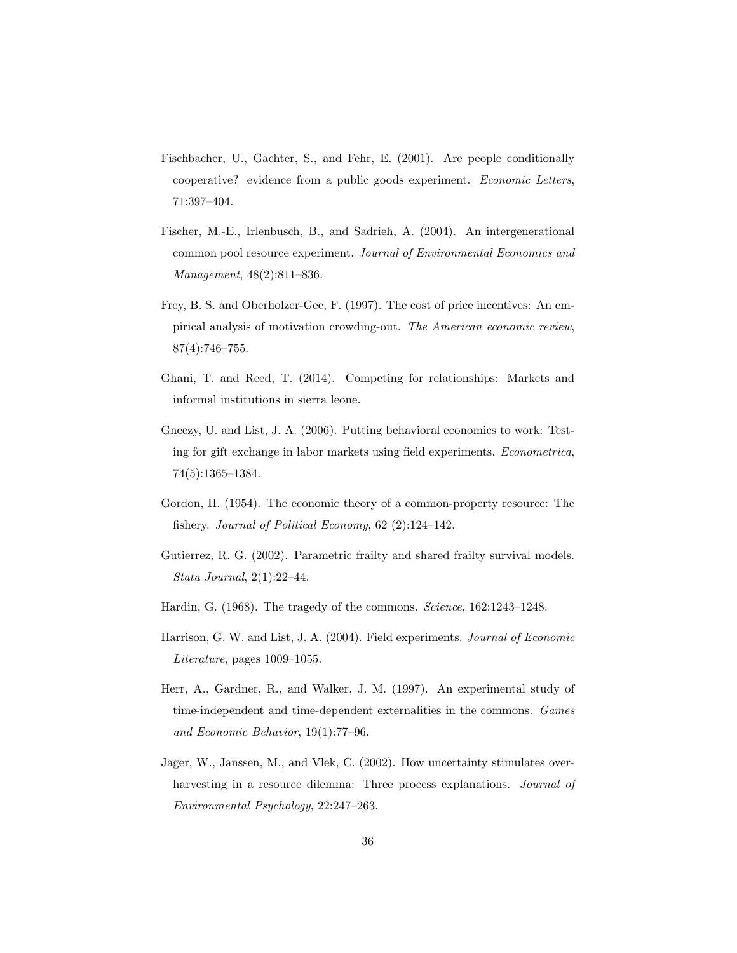- <span id="page-35-9"></span>Fischbacher, U., Gachter, S., and Fehr, E. (2001). Are people conditionally cooperative? evidence from a public goods experiment. Economic Letters, 71:397–404.
- <span id="page-35-7"></span>Fischer, M.-E., Irlenbusch, B., and Sadrieh, A. (2004). An intergenerational common pool resource experiment. Journal of Environmental Economics and Management, 48(2):811–836.
- <span id="page-35-1"></span>Frey, B. S. and Oberholzer-Gee, F. (1997). The cost of price incentives: An empirical analysis of motivation crowding-out. The American economic review, 87(4):746–755.
- <span id="page-35-0"></span>Ghani, T. and Reed, T. (2014). Competing for relationships: Markets and informal institutions in sierra leone.
- <span id="page-35-4"></span>Gneezy, U. and List, J. A. (2006). Putting behavioral economics to work: Testing for gift exchange in labor markets using field experiments. Econometrica, 74(5):1365–1384.
- <span id="page-35-8"></span>Gordon, H. (1954). The economic theory of a common-property resource: The fishery. Journal of Political Economy, 62 (2):124–142.
- <span id="page-35-10"></span>Gutierrez, R. G. (2002). Parametric frailty and shared frailty survival models. Stata Journal, 2(1):22–44.
- <span id="page-35-3"></span>Hardin, G. (1968). The tragedy of the commons. Science, 162:1243–1248.
- <span id="page-35-2"></span>Harrison, G. W. and List, J. A. (2004). Field experiments. Journal of Economic Literature, pages 1009–1055.
- <span id="page-35-6"></span>Herr, A., Gardner, R., and Walker, J. M. (1997). An experimental study of time-independent and time-dependent externalities in the commons. Games and Economic Behavior, 19(1):77–96.
- <span id="page-35-5"></span>Jager, W., Janssen, M., and Vlek, C. (2002). How uncertainty stimulates overharvesting in a resource dilemma: Three process explanations. *Journal of* Environmental Psychology, 22:247–263.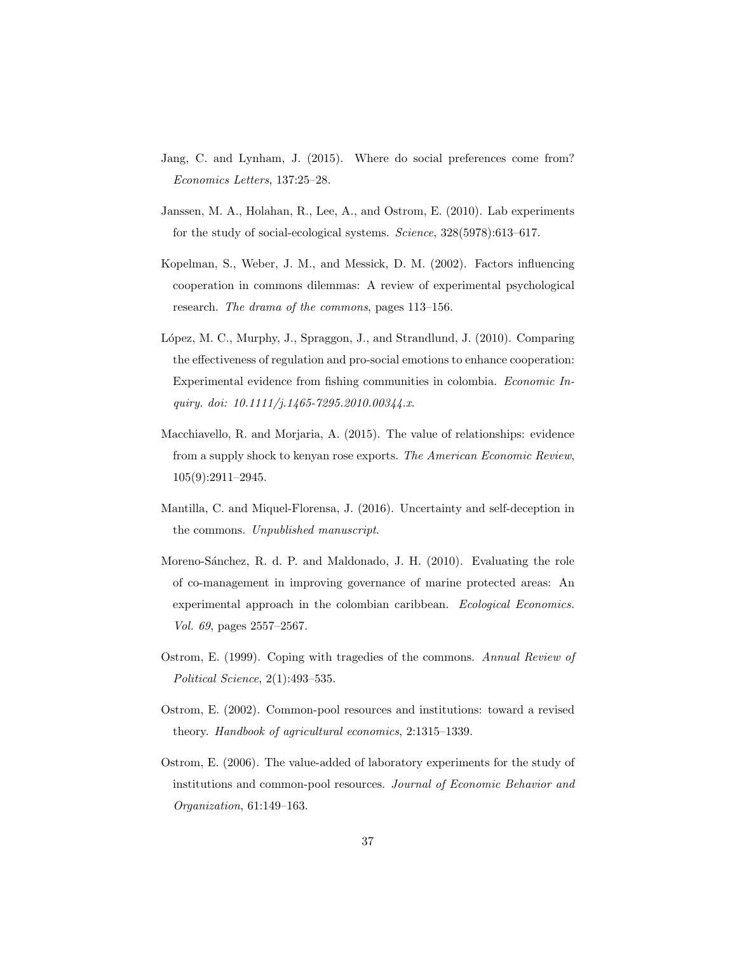- <span id="page-36-5"></span>Jang, C. and Lynham, J. (2015). Where do social preferences come from? Economics Letters, 137:25–28.
- <span id="page-36-7"></span>Janssen, M. A., Holahan, R., Lee, A., and Ostrom, E. (2010). Lab experiments for the study of social-ecological systems. Science, 328(5978):613–617.
- <span id="page-36-6"></span>Kopelman, S., Weber, J. M., and Messick, D. M. (2002). Factors influencing cooperation in commons dilemmas: A review of experimental psychological research. The drama of the commons, pages 113–156.
- <span id="page-36-3"></span>López, M. C., Murphy, J., Spraggon, J., and Strandlund, J. (2010). Comparing the effectiveness of regulation and pro-social emotions to enhance cooperation: Experimental evidence from fishing communities in colombia. Economic Inquiry. doi: 10.1111/j.1465-7295.2010.00344.x.
- <span id="page-36-0"></span>Macchiavello, R. and Morjaria, A. (2015). The value of relationships: evidence from a supply shock to kenyan rose exports. The American Economic Review, 105(9):2911–2945.
- <span id="page-36-8"></span>Mantilla, C. and Miquel-Florensa, J. (2016). Uncertainty and self-deception in the commons. Unpublished manuscript.
- <span id="page-36-4"></span>Moreno-Sánchez, R. d. P. and Maldonado, J. H. (2010). Evaluating the role of co-management in improving governance of marine protected areas: An experimental approach in the colombian caribbean. Ecological Economics. Vol. 69, pages 2557–2567.
- <span id="page-36-9"></span>Ostrom, E. (1999). Coping with tragedies of the commons. Annual Review of Political Science, 2(1):493–535.
- <span id="page-36-1"></span>Ostrom, E. (2002). Common-pool resources and institutions: toward a revised theory. Handbook of agricultural economics, 2:1315–1339.
- <span id="page-36-2"></span>Ostrom, E. (2006). The value-added of laboratory experiments for the study of institutions and common-pool resources. Journal of Economic Behavior and Organization, 61:149–163.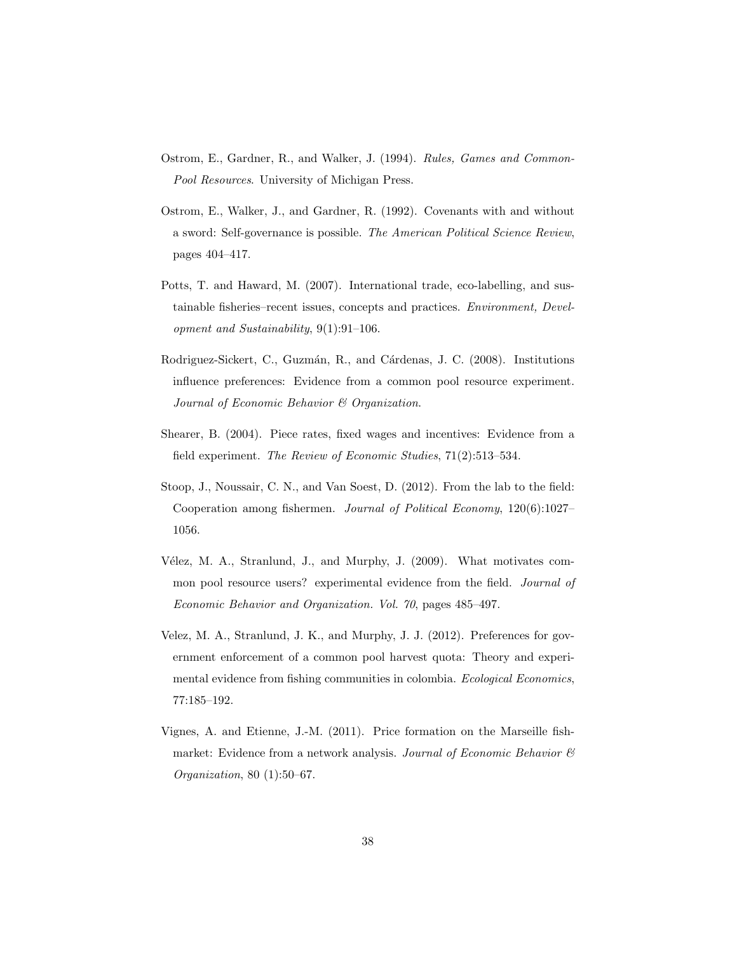- <span id="page-37-3"></span>Ostrom, E., Gardner, R., and Walker, J. (1994). Rules, Games and Common-Pool Resources. University of Michigan Press.
- <span id="page-37-2"></span>Ostrom, E., Walker, J., and Gardner, R. (1992). Covenants with and without a sword: Self-governance is possible. The American Political Science Review, pages 404–417.
- <span id="page-37-1"></span>Potts, T. and Haward, M. (2007). International trade, eco-labelling, and sustainable fisheries–recent issues, concepts and practices. Environment, Development and Sustainability, 9(1):91–106.
- <span id="page-37-8"></span>Rodriguez-Sickert, C., Guzmán, R., and Cárdenas, J. C. (2008). Institutions influence preferences: Evidence from a common pool resource experiment. Journal of Economic Behavior & Organization.
- <span id="page-37-5"></span>Shearer, B. (2004). Piece rates, fixed wages and incentives: Evidence from a field experiment. The Review of Economic Studies, 71(2):513–534.
- <span id="page-37-6"></span>Stoop, J., Noussair, C. N., and Van Soest, D. (2012). From the lab to the field: Cooperation among fishermen. Journal of Political Economy, 120(6):1027– 1056.
- <span id="page-37-7"></span>Vélez, M. A., Stranlund, J., and Murphy, J. (2009). What motivates common pool resource users? experimental evidence from the field. Journal of Economic Behavior and Organization. Vol. 70, pages 485–497.
- <span id="page-37-4"></span>Velez, M. A., Stranlund, J. K., and Murphy, J. J. (2012). Preferences for government enforcement of a common pool harvest quota: Theory and experimental evidence from fishing communities in colombia. Ecological Economics, 77:185–192.
- <span id="page-37-0"></span>Vignes, A. and Etienne, J.-M. (2011). Price formation on the Marseille fishmarket: Evidence from a network analysis. Journal of Economic Behavior  $\mathcal C$ Organization, 80 (1):50–67.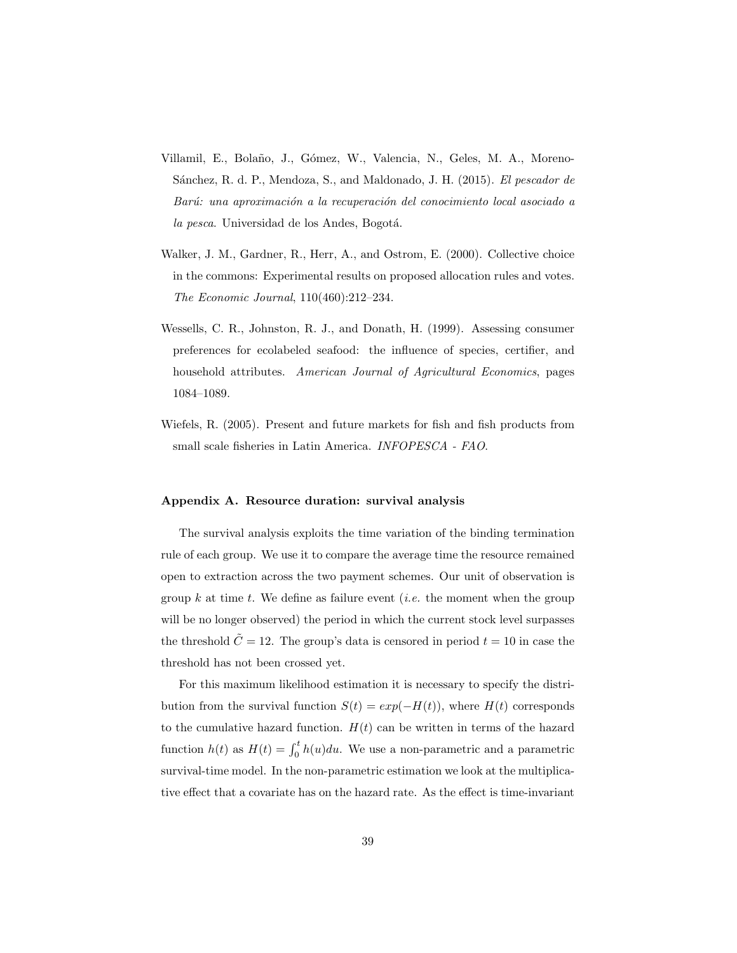- <span id="page-38-3"></span>Villamil, E., Bolaño, J., Gómez, W., Valencia, N., Geles, M. A., Moreno-Sánchez, R. d. P., Mendoza, S., and Maldonado, J. H. (2015). El pescador de Barú: una aproximación a la recuperación del conocimiento local asociado a la pesca. Universidad de los Andes, Bogotá.
- <span id="page-38-2"></span>Walker, J. M., Gardner, R., Herr, A., and Ostrom, E. (2000). Collective choice in the commons: Experimental results on proposed allocation rules and votes. The Economic Journal, 110(460):212–234.
- <span id="page-38-1"></span>Wessells, C. R., Johnston, R. J., and Donath, H. (1999). Assessing consumer preferences for ecolabeled seafood: the influence of species, certifier, and household attributes. American Journal of Agricultural Economics, pages 1084–1089.
- <span id="page-38-0"></span>Wiefels, R. (2005). Present and future markets for fish and fish products from small scale fisheries in Latin America. INFOPESCA - FAO.

#### <span id="page-38-4"></span>Appendix A. Resource duration: survival analysis

The survival analysis exploits the time variation of the binding termination rule of each group. We use it to compare the average time the resource remained open to extraction across the two payment schemes. Our unit of observation is group  $k$  at time  $t$ . We define as failure event (*i.e.* the moment when the group will be no longer observed) the period in which the current stock level surpasses the threshold  $\tilde{C} = 12$ . The group's data is censored in period  $t = 10$  in case the threshold has not been crossed yet.

For this maximum likelihood estimation it is necessary to specify the distribution from the survival function  $S(t) = exp(-H(t))$ , where  $H(t)$  corresponds to the cumulative hazard function.  $H(t)$  can be written in terms of the hazard function  $h(t)$  as  $H(t) = \int_0^t h(u)du$ . We use a non-parametric and a parametric survival-time model. In the non-parametric estimation we look at the multiplicative effect that a covariate has on the hazard rate. As the effect is time-invariant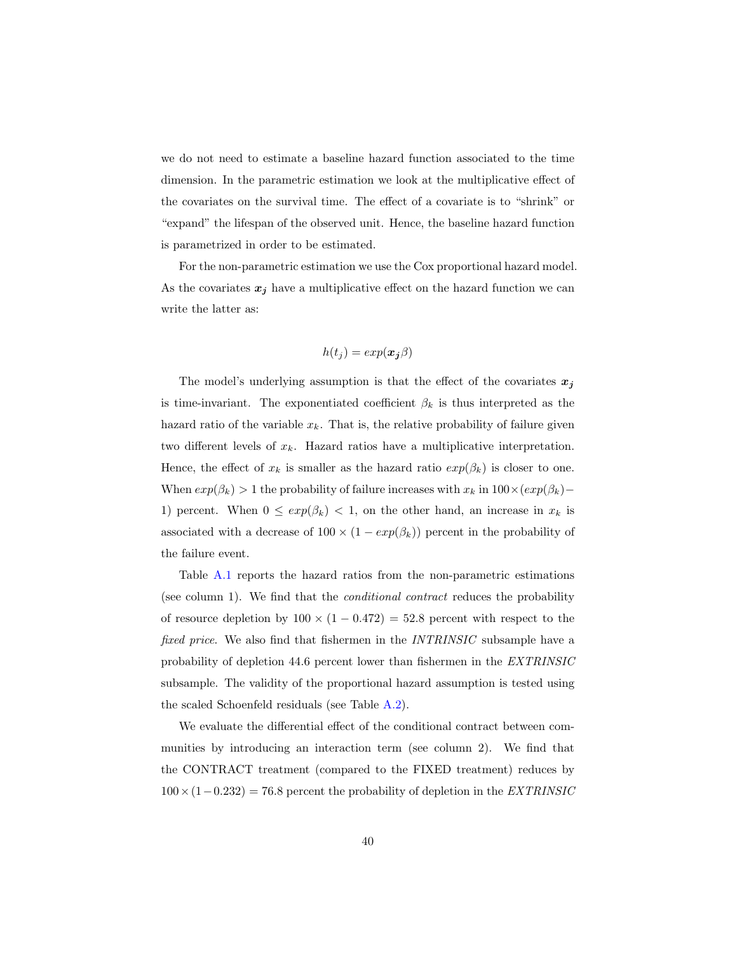we do not need to estimate a baseline hazard function associated to the time dimension. In the parametric estimation we look at the multiplicative effect of the covariates on the survival time. The effect of a covariate is to "shrink" or "expand" the lifespan of the observed unit. Hence, the baseline hazard function is parametrized in order to be estimated.

For the non-parametric estimation we use the Cox proportional hazard model. As the covariates  $x_j$  have a multiplicative effect on the hazard function we can write the latter as:

$$
h(t_j) = exp(\boldsymbol{x_j}\beta)
$$

The model's underlying assumption is that the effect of the covariates  $x_j$ is time-invariant. The exponentiated coefficient  $\beta_k$  is thus interpreted as the hazard ratio of the variable  $x_k$ . That is, the relative probability of failure given two different levels of  $x_k$ . Hazard ratios have a multiplicative interpretation. Hence, the effect of  $x_k$  is smaller as the hazard ratio  $exp(\beta_k)$  is closer to one. When  $exp(\beta_k) > 1$  the probability of failure increases with  $x_k$  in  $100 \times (exp(\beta_k) -$ 1) percent. When  $0 \leq exp(\beta_k) < 1$ , on the other hand, an increase in  $x_k$  is associated with a decrease of  $100 \times (1 - exp(\beta_k))$  percent in the probability of the failure event.

Table [A.1](#page-40-0) reports the hazard ratios from the non-parametric estimations (see column 1). We find that the conditional contract reduces the probability of resource depletion by  $100 \times (1 - 0.472) = 52.8$  percent with respect to the fixed price. We also find that fishermen in the INTRINSIC subsample have a probability of depletion 44.6 percent lower than fishermen in the EXTRINSIC subsample. The validity of the proportional hazard assumption is tested using the scaled Schoenfeld residuals (see Table [A.2\)](#page-41-0).

We evaluate the differential effect of the conditional contract between communities by introducing an interaction term (see column 2). We find that the CONTRACT treatment (compared to the FIXED treatment) reduces by  $100 \times (1-0.232) = 76.8$  percent the probability of depletion in the *EXTRINSIC*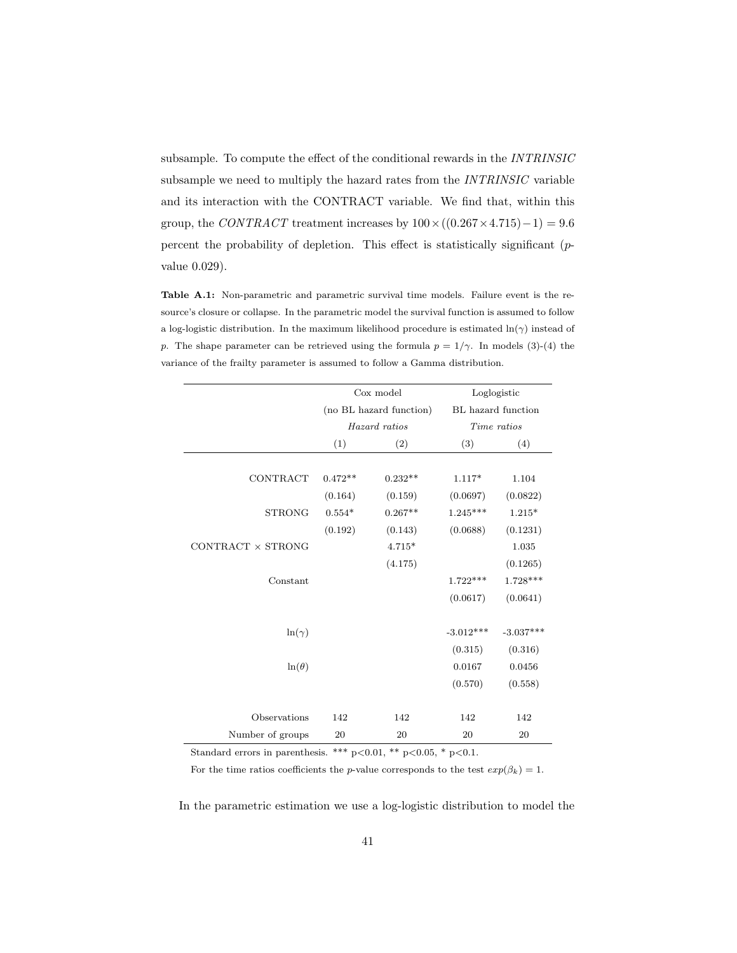subsample. To compute the effect of the conditional rewards in the INTRINSIC subsample we need to multiply the hazard rates from the INTRINSIC variable and its interaction with the CONTRACT variable. We find that, within this group, the CONTRACT treatment increases by  $100 \times ((0.267 \times 4.715) - 1) = 9.6$ percent the probability of depletion. This effect is statistically significant  $(p$ value 0.029).

<span id="page-40-0"></span>Table A.1: Non-parametric and parametric survival time models. Failure event is the resource's closure or collapse. In the parametric model the survival function is assumed to follow a log-logistic distribution. In the maximum likelihood procedure is estimated  $\ln(\gamma)$  instead of p. The shape parameter can be retrieved using the formula  $p = 1/\gamma$ . In models (3)-(4) the variance of the frailty parameter is assumed to follow a Gamma distribution.

|                          |           | Cox model               |             | Loglogistic        |
|--------------------------|-----------|-------------------------|-------------|--------------------|
|                          |           | (no BL hazard function) |             | BL hazard function |
|                          |           | Hazard ratios           |             | Time ratios        |
|                          | (1)       | (2)                     | (3)         | (4)                |
|                          |           |                         |             |                    |
| CONTRACT                 | $0.472**$ | $0.232**$               | $1.117*$    | 1.104              |
|                          | (0.164)   | (0.159)                 | (0.0697)    | (0.0822)           |
| <b>STRONG</b>            | $0.554*$  | $0.267**$               | $1.245***$  | $1.215*$           |
|                          | (0.192)   | (0.143)                 | (0.0688)    | (0.1231)           |
| CONTRACT $\times$ STRONG |           | $4.715*$                |             | 1.035              |
|                          |           | (4.175)                 |             | (0.1265)           |
| Constant                 |           |                         | $1.722***$  | $1.728***$         |
|                          |           |                         | (0.0617)    | (0.0641)           |
| $ln(\gamma)$             |           |                         | $-3.012***$ | $-3.037***$        |
|                          |           |                         | (0.315)     | (0.316)            |
| $ln(\theta)$             |           |                         | 0.0167      | 0.0456             |
|                          |           |                         | (0.570)     | (0.558)            |
| Observations             | 142       | 142                     | 142         | 142                |
| Number of groups         | 20        | 20                      | 20          | 20                 |

Standard errors in parenthesis. \*\*\*  $p<0.01$ , \*\*  $p<0.05$ , \*  $p<0.1$ .

For the time ratios coefficients the p-value corresponds to the test  $exp(\beta_k) = 1$ .

In the parametric estimation we use a log-logistic distribution to model the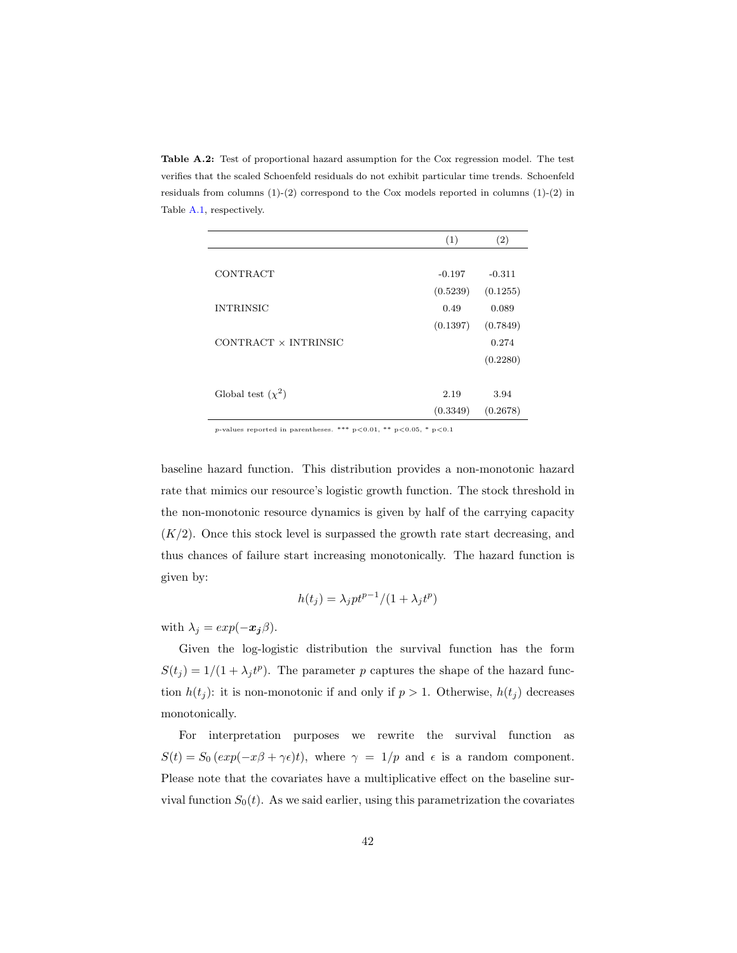<span id="page-41-0"></span>Table A.2: Test of proportional hazard assumption for the Cox regression model. The test verifies that the scaled Schoenfeld residuals do not exhibit particular time trends. Schoenfeld residuals from columns (1)-(2) correspond to the Cox models reported in columns (1)-(2) in Table [A.1,](#page-40-0) respectively.

|                             | (1)      | (2)      |
|-----------------------------|----------|----------|
|                             |          |          |
| CONTRACT                    | $-0.197$ | $-0.311$ |
|                             | (0.5239) | (0.1255) |
| <b>INTRINSIC</b>            | 0.49     | 0.089    |
|                             | (0.1397) | (0.7849) |
| CONTRACT $\times$ INTRINSIC |          | 0.274    |
|                             |          | (0.2280) |
|                             |          |          |
| Global test $(\chi^2)$      | 2.19     | 3.94     |
|                             | (0.3349) | (0.2678) |

p-values reported in parentheses. \*\*\*  $p<0.01$ , \*\*  $p<0.05$ , \*  $p<0.1$ 

baseline hazard function. This distribution provides a non-monotonic hazard rate that mimics our resource's logistic growth function. The stock threshold in the non-monotonic resource dynamics is given by half of the carrying capacity  $(K/2)$ . Once this stock level is surpassed the growth rate start decreasing, and thus chances of failure start increasing monotonically. The hazard function is given by:

$$
h(t_j) = \lambda_j p t^{p-1} / (1 + \lambda_j t^p)
$$

with  $\lambda_i = exp(-x_i\beta)$ .

Given the log-logistic distribution the survival function has the form  $S(t_j) = 1/(1 + \lambda_j t^p)$ . The parameter p captures the shape of the hazard function  $h(t_j)$ : it is non-monotonic if and only if  $p > 1$ . Otherwise,  $h(t_j)$  decreases monotonically.

For interpretation purposes we rewrite the survival function as  $S(t) = S_0 (exp(-x\beta + \gamma \epsilon)t)$ , where  $\gamma = 1/p$  and  $\epsilon$  is a random component. Please note that the covariates have a multiplicative effect on the baseline survival function  $S_0(t)$ . As we said earlier, using this parametrization the covariates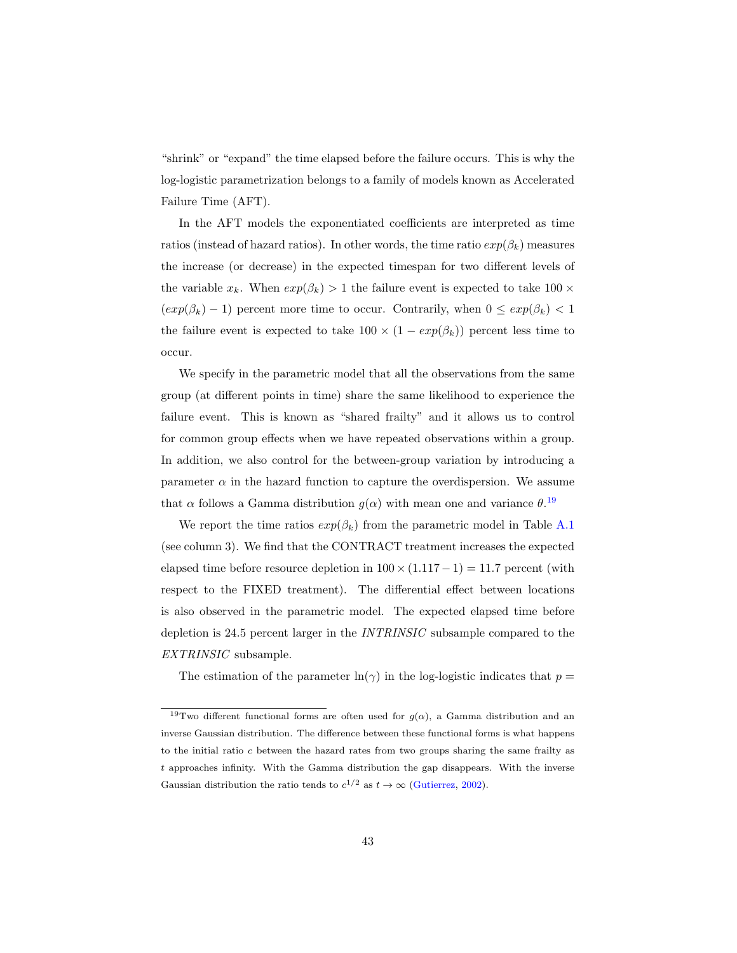"shrink" or "expand" the time elapsed before the failure occurs. This is why the log-logistic parametrization belongs to a family of models known as Accelerated Failure Time (AFT).

In the AFT models the exponentiated coefficients are interpreted as time ratios (instead of hazard ratios). In other words, the time ratio  $exp(\beta_k)$  measures the increase (or decrease) in the expected timespan for two different levels of the variable  $x_k$ . When  $exp(\beta_k) > 1$  the failure event is expected to take 100  $\times$  $(exp(\beta_k) - 1)$  percent more time to occur. Contrarily, when  $0 \leq exp(\beta_k) < 1$ the failure event is expected to take  $100 \times (1 - exp(\beta_k))$  percent less time to occur.

We specify in the parametric model that all the observations from the same group (at different points in time) share the same likelihood to experience the failure event. This is known as "shared frailty" and it allows us to control for common group effects when we have repeated observations within a group. In addition, we also control for the between-group variation by introducing a parameter  $\alpha$  in the hazard function to capture the overdispersion. We assume that  $\alpha$  follows a Gamma distribution  $g(\alpha)$  with mean one and variance  $\theta$ .<sup>[19](#page-42-0)</sup>

We report the time ratios  $exp(\beta_k)$  from the parametric model in Table [A.1](#page-40-0) (see column 3). We find that the CONTRACT treatment increases the expected elapsed time before resource depletion in  $100 \times (1.117 - 1) = 11.7$  percent (with respect to the FIXED treatment). The differential effect between locations is also observed in the parametric model. The expected elapsed time before depletion is 24.5 percent larger in the INTRINSIC subsample compared to the EXTRINSIC subsample.

The estimation of the parameter  $ln(\gamma)$  in the log-logistic indicates that  $p =$ 

<span id="page-42-0"></span><sup>&</sup>lt;sup>19</sup>Two different functional forms are often used for  $g(\alpha)$ , a Gamma distribution and an inverse Gaussian distribution. The difference between these functional forms is what happens to the initial ratio  $c$  between the hazard rates from two groups sharing the same frailty as t approaches infinity. With the Gamma distribution the gap disappears. With the inverse Gaussian distribution the ratio tends to  $c^{1/2}$  as  $t \to \infty$  [\(Gutierrez,](#page-35-10) [2002\)](#page-35-10).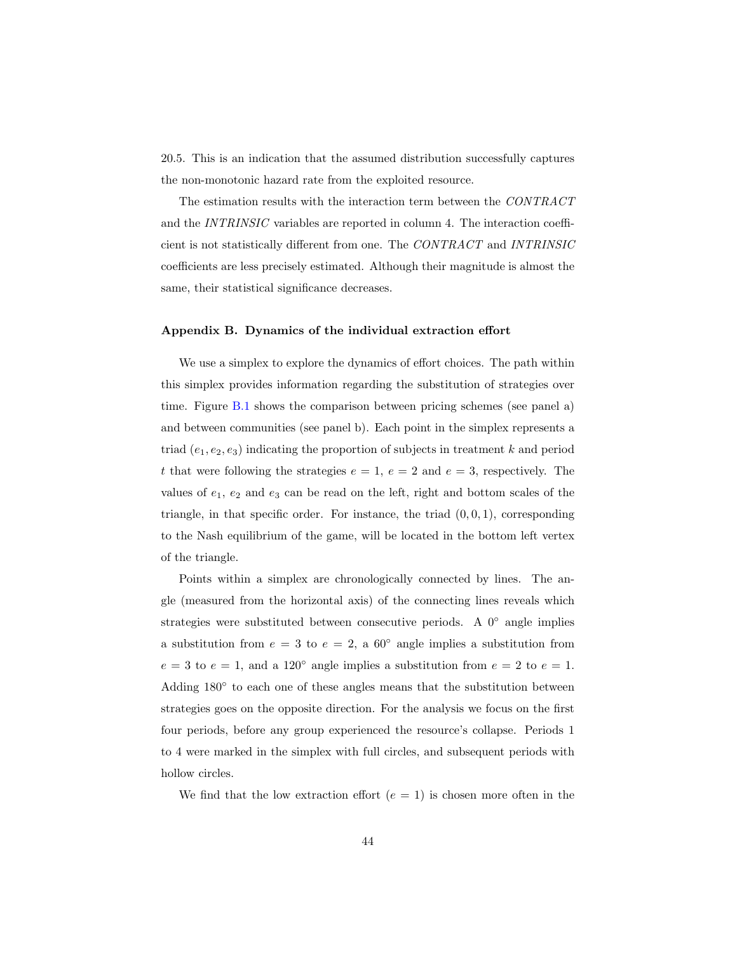20.5. This is an indication that the assumed distribution successfully captures the non-monotonic hazard rate from the exploited resource.

The estimation results with the interaction term between the CONTRACT and the INTRINSIC variables are reported in column 4. The interaction coefficient is not statistically different from one. The CONTRACT and INTRINSIC coefficients are less precisely estimated. Although their magnitude is almost the same, their statistical significance decreases.

## <span id="page-43-0"></span>Appendix B. Dynamics of the individual extraction effort

We use a simplex to explore the dynamics of effort choices. The path within this simplex provides information regarding the substitution of strategies over time. Figure [B.1](#page-44-0) shows the comparison between pricing schemes (see panel a) and between communities (see panel b). Each point in the simplex represents a triad  $(e_1, e_2, e_3)$  indicating the proportion of subjects in treatment k and period t that were following the strategies  $e = 1, e = 2$  and  $e = 3$ , respectively. The values of  $e_1, e_2$  and  $e_3$  can be read on the left, right and bottom scales of the triangle, in that specific order. For instance, the triad  $(0, 0, 1)$ , corresponding to the Nash equilibrium of the game, will be located in the bottom left vertex of the triangle.

Points within a simplex are chronologically connected by lines. The angle (measured from the horizontal axis) of the connecting lines reveals which strategies were substituted between consecutive periods. A 0<sup>°</sup> angle implies a substitution from  $e = 3$  to  $e = 2$ , a 60 $\degree$  angle implies a substitution from  $e = 3$  to  $e = 1$ , and a 120<sup>°</sup> angle implies a substitution from  $e = 2$  to  $e = 1$ . Adding 180° to each one of these angles means that the substitution between strategies goes on the opposite direction. For the analysis we focus on the first four periods, before any group experienced the resource's collapse. Periods 1 to 4 were marked in the simplex with full circles, and subsequent periods with hollow circles.

We find that the low extraction effort  $(e = 1)$  is chosen more often in the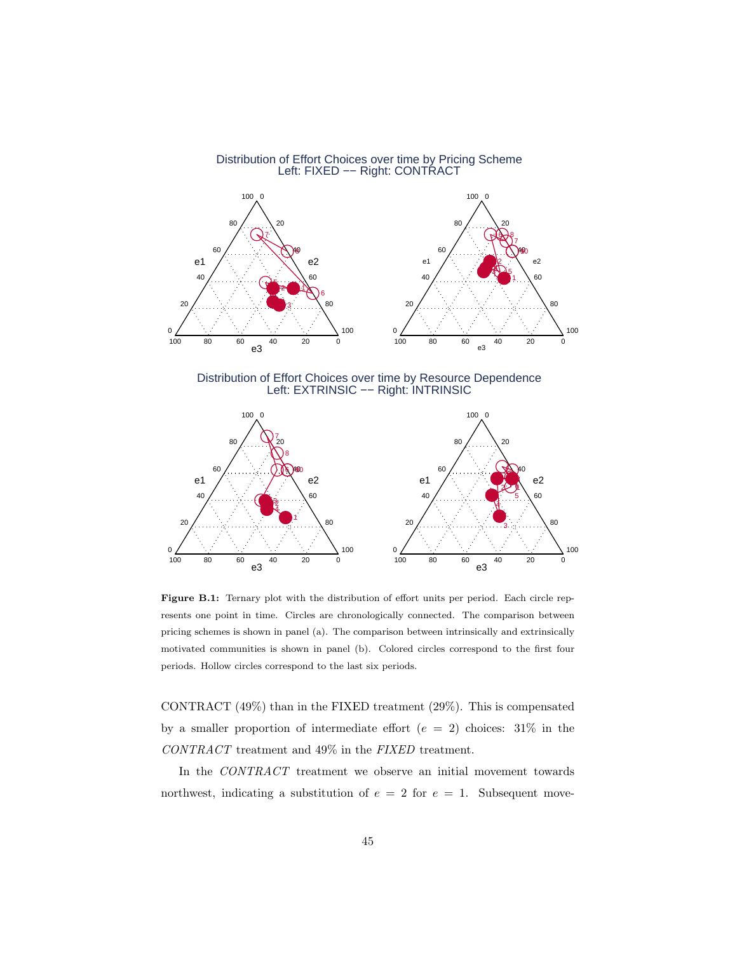<span id="page-44-0"></span>

Figure B.1: Ternary plot with the distribution of effort units per period. Each circle represents one point in time. Circles are chronologically connected. The comparison between pricing schemes is shown in panel (a). The comparison between intrinsically and extrinsically motivated communities is shown in panel (b). Colored circles correspond to the first four periods. Hollow circles correspond to the last six periods.

CONTRACT (49%) than in the FIXED treatment (29%). This is compensated by a smaller proportion of intermediate effort  $(e = 2)$  choices: 31% in the CONTRACT treatment and 49% in the FIXED treatment.

In the CONTRACT treatment we observe an initial movement towards northwest, indicating a substitution of  $e = 2$  for  $e = 1$ . Subsequent move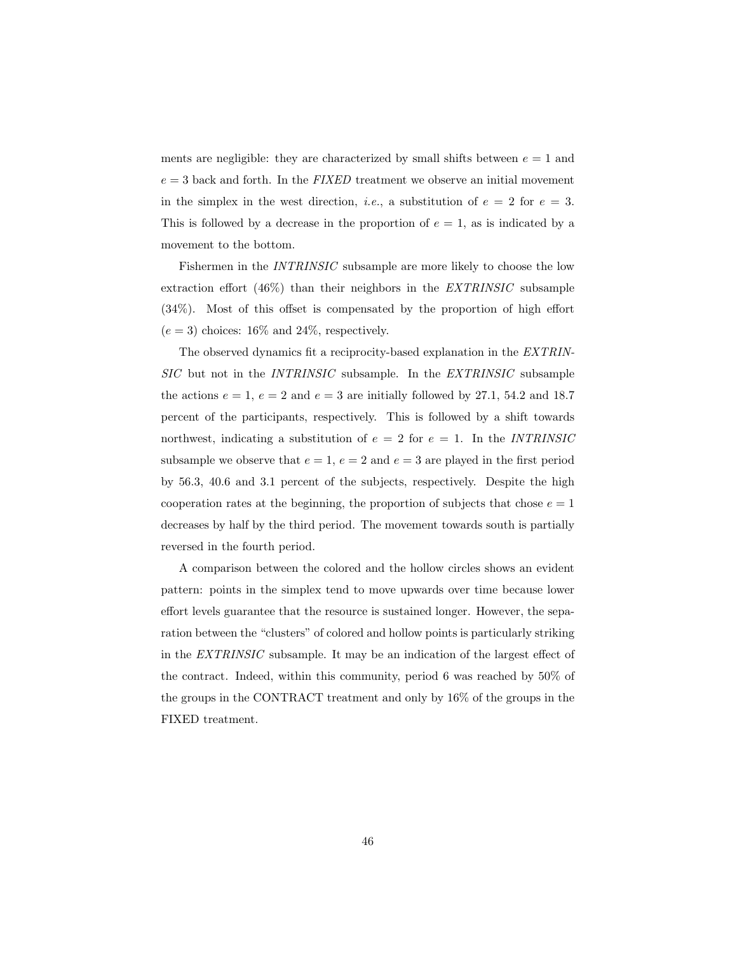ments are negligible: they are characterized by small shifts between  $e = 1$  and  $e = 3$  back and forth. In the FIXED treatment we observe an initial movement in the simplex in the west direction, *i.e.*, a substitution of  $e = 2$  for  $e = 3$ . This is followed by a decrease in the proportion of  $e = 1$ , as is indicated by a movement to the bottom.

Fishermen in the INTRINSIC subsample are more likely to choose the low extraction effort  $(46\%)$  than their neighbors in the *EXTRINSIC* subsample (34%). Most of this offset is compensated by the proportion of high effort  $(e = 3)$  choices: 16% and 24%, respectively.

The observed dynamics fit a reciprocity-based explanation in the EXTRIN-SIC but not in the INTRINSIC subsample. In the EXTRINSIC subsample the actions  $e = 1$ ,  $e = 2$  and  $e = 3$  are initially followed by 27.1, 54.2 and 18.7 percent of the participants, respectively. This is followed by a shift towards northwest, indicating a substitution of  $e = 2$  for  $e = 1$ . In the *INTRINSIC* subsample we observe that  $e = 1, e = 2$  and  $e = 3$  are played in the first period by 56.3, 40.6 and 3.1 percent of the subjects, respectively. Despite the high cooperation rates at the beginning, the proportion of subjects that chose  $e = 1$ decreases by half by the third period. The movement towards south is partially reversed in the fourth period.

A comparison between the colored and the hollow circles shows an evident pattern: points in the simplex tend to move upwards over time because lower effort levels guarantee that the resource is sustained longer. However, the separation between the "clusters" of colored and hollow points is particularly striking in the EXTRINSIC subsample. It may be an indication of the largest effect of the contract. Indeed, within this community, period 6 was reached by 50% of the groups in the CONTRACT treatment and only by 16% of the groups in the FIXED treatment.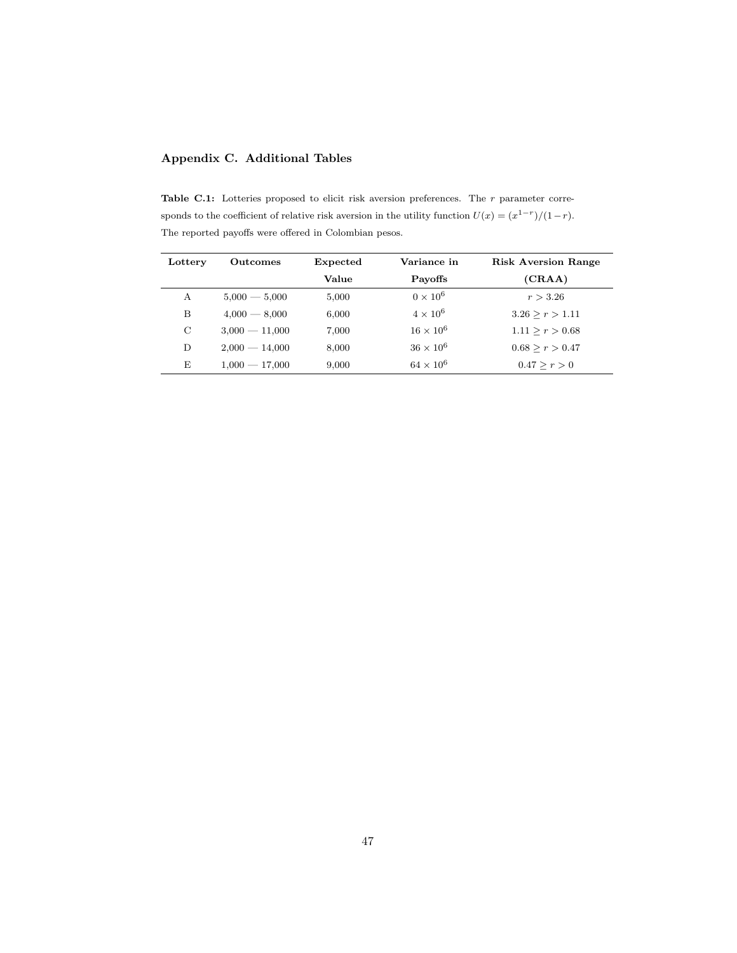## Appendix C. Additional Tables

<span id="page-46-0"></span>Table C.1: Lotteries proposed to elicit risk aversion preferences. The  $r$  parameter corresponds to the coefficient of relative risk aversion in the utility function  $U(x) = (x^{1-r})/(1-r)$ . The reported payoffs were offered in Colombian pesos.

| Lottery | Outcomes         | Expected | Variance in      | <b>Risk Aversion Range</b> |
|---------|------------------|----------|------------------|----------------------------|
|         |                  | Value    | Payoffs          | (CRAA)                     |
| А       | $5,000 - 5,000$  | 5,000    | $0 \times 10^6$  | r > 3.26                   |
| В       | $4,000 - 8,000$  | 6,000    | $4 \times 10^6$  | 3.26 > r > 1.11            |
| С       | $3,000 - 11,000$ | 7,000    | $16 \times 10^6$ | 1.11 > r > 0.68            |
| D       | $2,000 - 14,000$ | 8,000    | $36 \times 10^6$ | $0.68 \geq r > 0.47$       |
| Ε       | $1,000 - 17,000$ | 9,000    | $64 \times 10^6$ | 0.47 > r > 0               |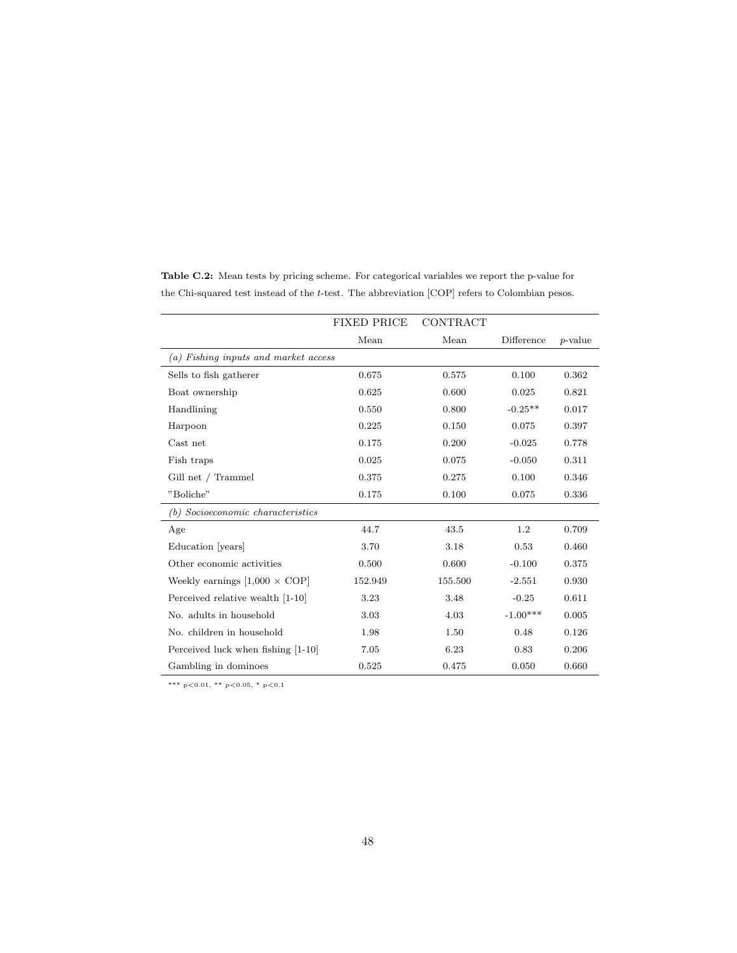|                                      | <b>FIXED PRICE</b> | <b>CONTRACT</b> |            |            |
|--------------------------------------|--------------------|-----------------|------------|------------|
|                                      | Mean               | Mean            | Difference | $p$ -value |
| (a) Fishing inputs and market access |                    |                 |            |            |
| Sells to fish gatherer               | 0.675              | 0.575           | 0.100      | 0.362      |
| Boat ownership                       | 0.625              | 0.600           | 0.025      | 0.821      |
| Handlining                           | 0.550              | 0.800           | $-0.25**$  | 0.017      |
| Harpoon                              | 0.225              | 0.150           | 0.075      | 0.397      |
| Cast net                             | 0.175              | 0.200           | $-0.025$   | 0.778      |
| Fish traps                           | 0.025              | 0.075           | $-0.050$   | 0.311      |
| Gill net / Trammel                   | 0.375              | 0.275           | 0.100      | 0.346      |
| "Boliche"                            | 0.175              | 0.100           | 0.075      | 0.336      |
| (b) Socioeconomic characteristics    |                    |                 |            |            |
| Age                                  | 44.7               | 43.5            | 1.2        | 0.709      |
| Education [years]                    | 3.70               | 3.18            | 0.53       | 0.460      |
| Other economic activities            | 0.500              | 0.600           | $-0.100$   | 0.375      |
| Weekly earnings $[1,000 \times COP]$ | 152.949            | 155.500         | $-2.551$   | 0.930      |
| Perceived relative wealth [1-10]     | 3.23               | 3.48            | $-0.25$    | 0.611      |
| No. adults in household              | 3.03               | 4.03            | $-1.00***$ | 0.005      |
| No. children in household            | 1.98               | 1.50            | 0.48       | 0.126      |
| Perceived luck when fishing [1-10]   | 7.05               | 6.23            | 0.83       | 0.206      |
| Gambling in dominoes                 | 0.525              | 0.475           | 0.050      | 0.660      |

<span id="page-47-0"></span>Table C.2: Mean tests by pricing scheme. For categorical variables we report the p-value for the Chi-squared test instead of the t-test. The abbreviation [COP] refers to Colombian pesos.

\*\*\* p<0.01, \*\* p<0.05, \* p<0.1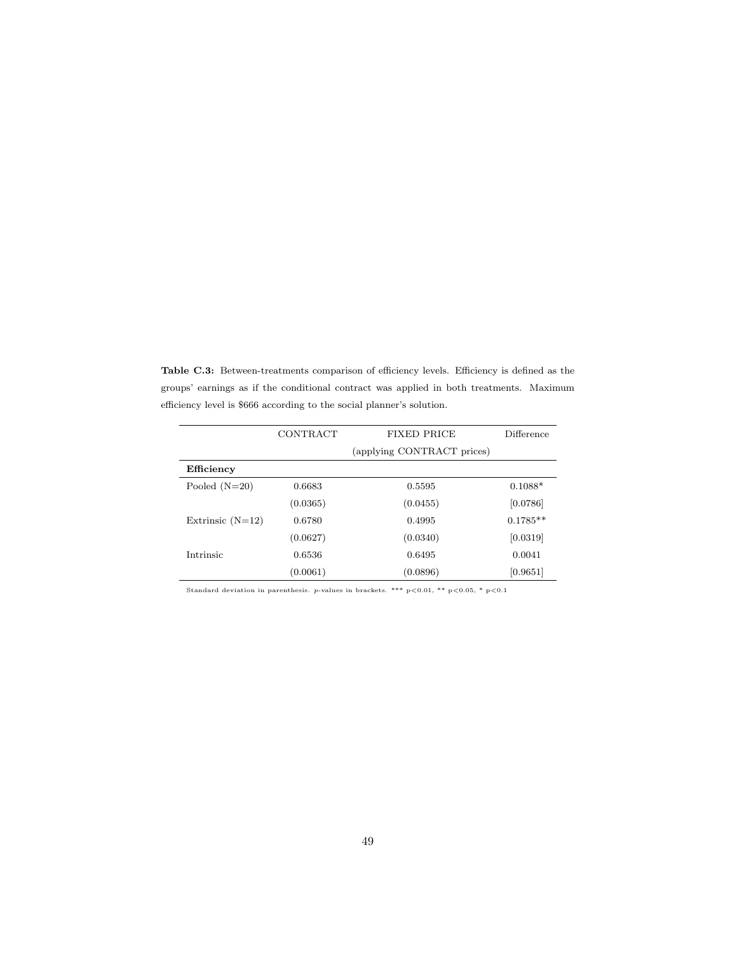<span id="page-48-0"></span>Table C.3: Between-treatments comparison of efficiency levels. Efficiency is defined as the groups' earnings as if the conditional contract was applied in both treatments. Maximum efficiency level is \$666 according to the social planner's solution.

|                    | CONTRACT | <b>FIXED PRICE</b>         | Difference |
|--------------------|----------|----------------------------|------------|
|                    |          | (applying CONTRACT prices) |            |
| Efficiency         |          |                            |            |
| Pooled $(N=20)$    | 0.6683   | 0.5595                     | $0.1088*$  |
|                    | (0.0365) | (0.0455)                   | [0.0786]   |
| Extrinsic $(N=12)$ | 0.6780   | 0.4995                     | $0.1785**$ |
|                    | (0.0627) | (0.0340)                   | [0.0319]   |
| Intrinsic          | 0.6536   | 0.6495                     | 0.0041     |
|                    | (0.0061) | (0.0896)                   | [0.9651]   |

Standard deviation in parenthesis.  $p\text{-values}$  in brackets. \*\*\* p<0.01, \*\* p<0.05, \* p<0.1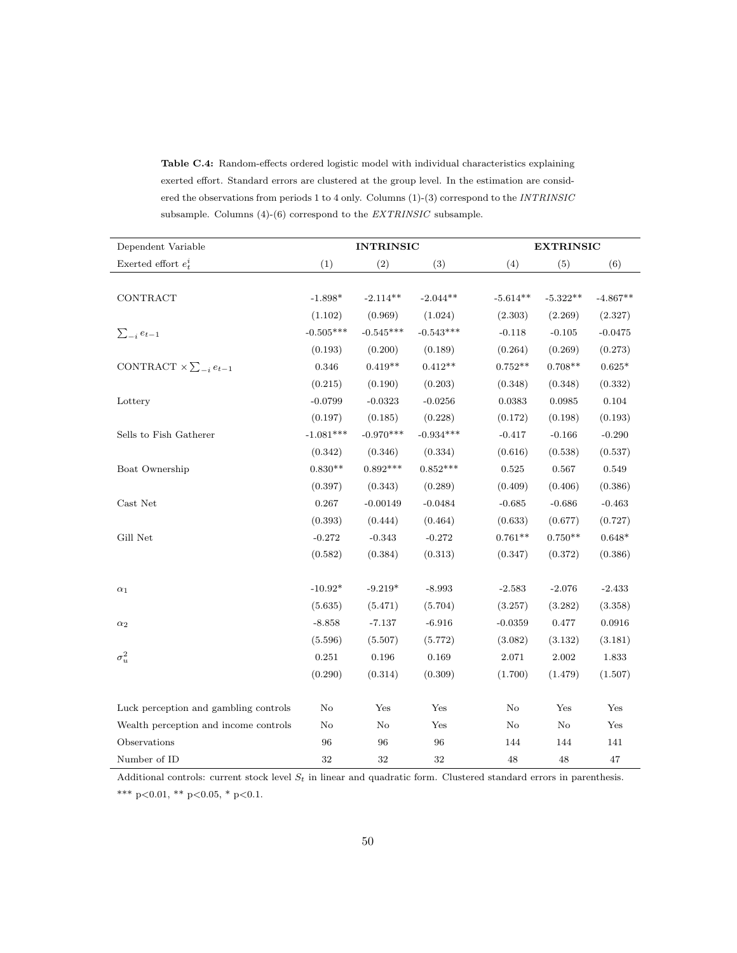| Dependent Variable                    |             | <b>INTRINSIC</b> |             |                    | <b>EXTRINSIC</b> |            |
|---------------------------------------|-------------|------------------|-------------|--------------------|------------------|------------|
| Exerted effort $e_t^i$                | (1)         | (2)              | (3)         | (4)                | (5)              | (6)        |
|                                       |             |                  |             |                    |                  |            |
| CONTRACT                              | $-1.898*$   | $-2.114**$       | $-2.044**$  | $-5.614**$         | $-5.322**$       | $-4.867**$ |
|                                       | (1.102)     | (0.969)          | (1.024)     | (2.303)            | (2.269)          | (2.327)    |
| $\sum_{-i} e_{t-1}$                   | $-0.505***$ | $-0.545***$      | $-0.543***$ | $-0.118$           | $-0.105$         | $-0.0475$  |
|                                       | (0.193)     | (0.200)          | (0.189)     | (0.264)            | (0.269)          | (0.273)    |
| CONTRACT $\times \sum_{-i} e_{t-1}$   | 0.346       | $0.419**$        | $0.412**$   | $0.752^{\ast\ast}$ | $0.708**$        | $0.625*$   |
|                                       | (0.215)     | (0.190)          | (0.203)     | (0.348)            | (0.348)          | (0.332)    |
| Lottery                               | $-0.0799$   | $-0.0323$        | $-0.0256$   | 0.0383             | $\,0.0985\,$     | $0.104\,$  |
|                                       | (0.197)     | (0.185)          | (0.228)     | (0.172)            | (0.198)          | (0.193)    |
| Sells to Fish Gatherer                | $-1.081***$ | $-0.970***$      | $-0.934***$ | $-0.417$           | $-0.166$         | $-0.290$   |
|                                       | (0.342)     | (0.346)          | (0.334)     | (0.616)            | (0.538)          | (0.537)    |
| Boat Ownership                        | $0.830**$   | $0.892***$       | $0.852***$  | 0.525              | 0.567            | 0.549      |
|                                       | (0.397)     | (0.343)          | (0.289)     | (0.409)            | (0.406)          | (0.386)    |
| Cast Net                              | $0.267\,$   | $-0.00149$       | $-0.0484$   | $-0.685$           | $-0.686$         | $-0.463$   |
|                                       | (0.393)     | (0.444)          | (0.464)     | (0.633)            | (0.677)          | (0.727)    |
| $\rm{Gill}$ $\rm{Net}$                | $-0.272$    | $-0.343$         | $-0.272$    | $0.761**$          | $0.750**$        | $0.648*$   |
|                                       | (0.582)     | (0.384)          | (0.313)     | (0.347)            | (0.372)          | (0.386)    |
|                                       |             |                  |             |                    |                  |            |
| $\alpha_1$                            | $-10.92*$   | $-9.219*$        | $-8.993$    | $-2.583$           | $-2.076$         | $-2.433$   |
|                                       | (5.635)     | (5.471)          | (5.704)     | (3.257)            | (3.282)          | (3.358)    |
| $\alpha_2$                            | $-8.858$    | $-7.137$         | $-6.916$    | $-0.0359$          | 0.477            | 0.0916     |
|                                       | (5.596)     | (5.507)          | (5.772)     | (3.082)            | (3.132)          | (3.181)    |
| $\sigma^2_u$                          | 0.251       | 0.196            | 0.169       | 2.071              | 2.002            | 1.833      |
|                                       | (0.290)     | (0.314)          | (0.309)     | (1.700)            | (1.479)          | (1.507)    |
| Luck perception and gambling controls | $\rm No$    | Yes              | Yes         | $\rm No$           | Yes              | Yes        |
| Wealth perception and income controls | No          | No               | Yes         | No                 | No               | Yes        |
| Observations                          | 96          | 96               | 96          | 144                | 144              | 141        |
| Number of ID                          | $32\,$      | $32\,$           | $32\,$      | $\sqrt{48}$        | $48\,$           | 47         |

<span id="page-49-0"></span>Table C.4: Random-effects ordered logistic model with individual characteristics explaining exerted effort. Standard errors are clustered at the group level. In the estimation are considered the observations from periods 1 to 4 only. Columns (1)-(3) correspond to the INTRINSIC subsample. Columns (4)-(6) correspond to the EXTRINSIC subsample.

Additional controls: current stock level  $S_t$  in linear and quadratic form. Clustered standard errors in parenthesis.

\*\*\* p<0.01, \*\* p<0.05, \* p<0.1.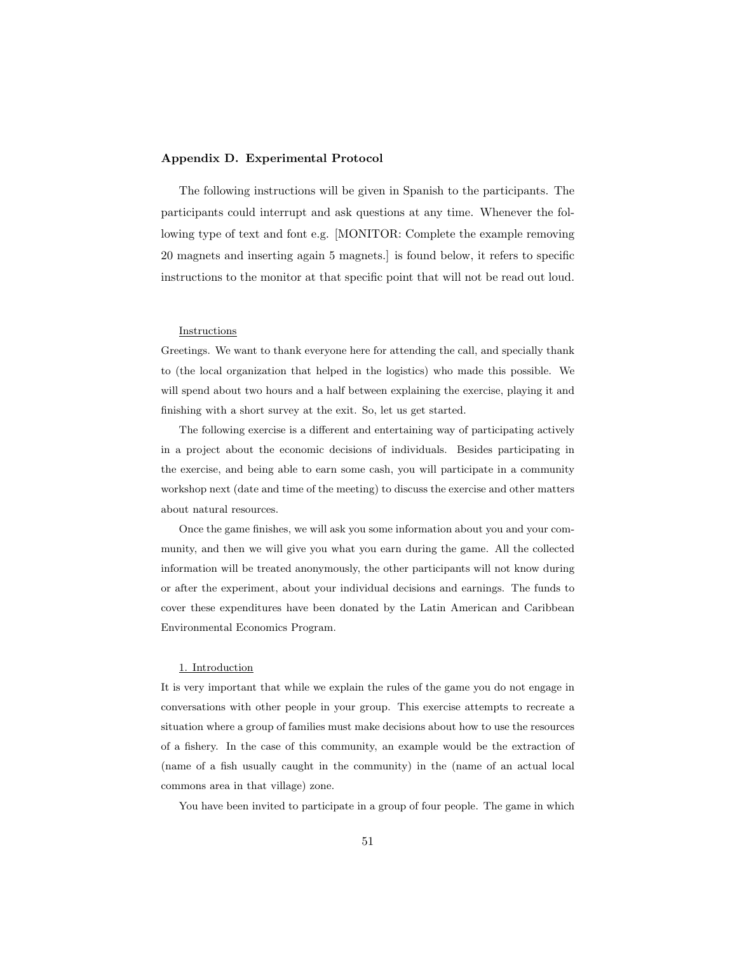## Appendix D. Experimental Protocol

The following instructions will be given in Spanish to the participants. The participants could interrupt and ask questions at any time. Whenever the following type of text and font e.g. [MONITOR: Complete the example removing 20 magnets and inserting again 5 magnets.] is found below, it refers to specific instructions to the monitor at that specific point that will not be read out loud.

#### Instructions

Greetings. We want to thank everyone here for attending the call, and specially thank to (the local organization that helped in the logistics) who made this possible. We will spend about two hours and a half between explaining the exercise, playing it and finishing with a short survey at the exit. So, let us get started.

The following exercise is a different and entertaining way of participating actively in a project about the economic decisions of individuals. Besides participating in the exercise, and being able to earn some cash, you will participate in a community workshop next (date and time of the meeting) to discuss the exercise and other matters about natural resources.

Once the game finishes, we will ask you some information about you and your community, and then we will give you what you earn during the game. All the collected information will be treated anonymously, the other participants will not know during or after the experiment, about your individual decisions and earnings. The funds to cover these expenditures have been donated by the Latin American and Caribbean Environmental Economics Program.

#### 1. Introduction

It is very important that while we explain the rules of the game you do not engage in conversations with other people in your group. This exercise attempts to recreate a situation where a group of families must make decisions about how to use the resources of a fishery. In the case of this community, an example would be the extraction of (name of a fish usually caught in the community) in the (name of an actual local commons area in that village) zone.

You have been invited to participate in a group of four people. The game in which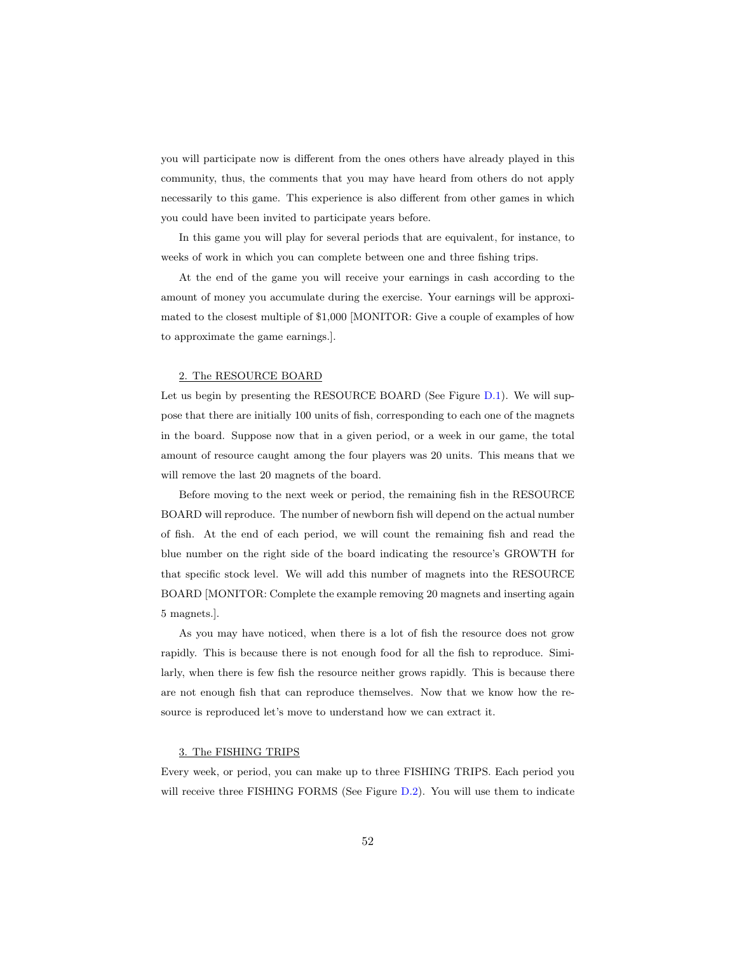you will participate now is different from the ones others have already played in this community, thus, the comments that you may have heard from others do not apply necessarily to this game. This experience is also different from other games in which you could have been invited to participate years before.

In this game you will play for several periods that are equivalent, for instance, to weeks of work in which you can complete between one and three fishing trips.

At the end of the game you will receive your earnings in cash according to the amount of money you accumulate during the exercise. Your earnings will be approximated to the closest multiple of \$1,000 [MONITOR: Give a couple of examples of how to approximate the game earnings.].

#### 2. The RESOURCE BOARD

Let us begin by presenting the RESOURCE BOARD (See Figure [D.1\)](#page-53-0). We will suppose that there are initially 100 units of fish, corresponding to each one of the magnets in the board. Suppose now that in a given period, or a week in our game, the total amount of resource caught among the four players was 20 units. This means that we will remove the last 20 magnets of the board.

Before moving to the next week or period, the remaining fish in the RESOURCE BOARD will reproduce. The number of newborn fish will depend on the actual number of fish. At the end of each period, we will count the remaining fish and read the blue number on the right side of the board indicating the resource's GROWTH for that specific stock level. We will add this number of magnets into the RESOURCE BOARD [MONITOR: Complete the example removing 20 magnets and inserting again 5 magnets.].

As you may have noticed, when there is a lot of fish the resource does not grow rapidly. This is because there is not enough food for all the fish to reproduce. Similarly, when there is few fish the resource neither grows rapidly. This is because there are not enough fish that can reproduce themselves. Now that we know how the resource is reproduced let's move to understand how we can extract it.

#### 3. The FISHING TRIPS

Every week, or period, you can make up to three FISHING TRIPS. Each period you will receive three FISHING FORMS (See Figure [D.2\)](#page-53-1). You will use them to indicate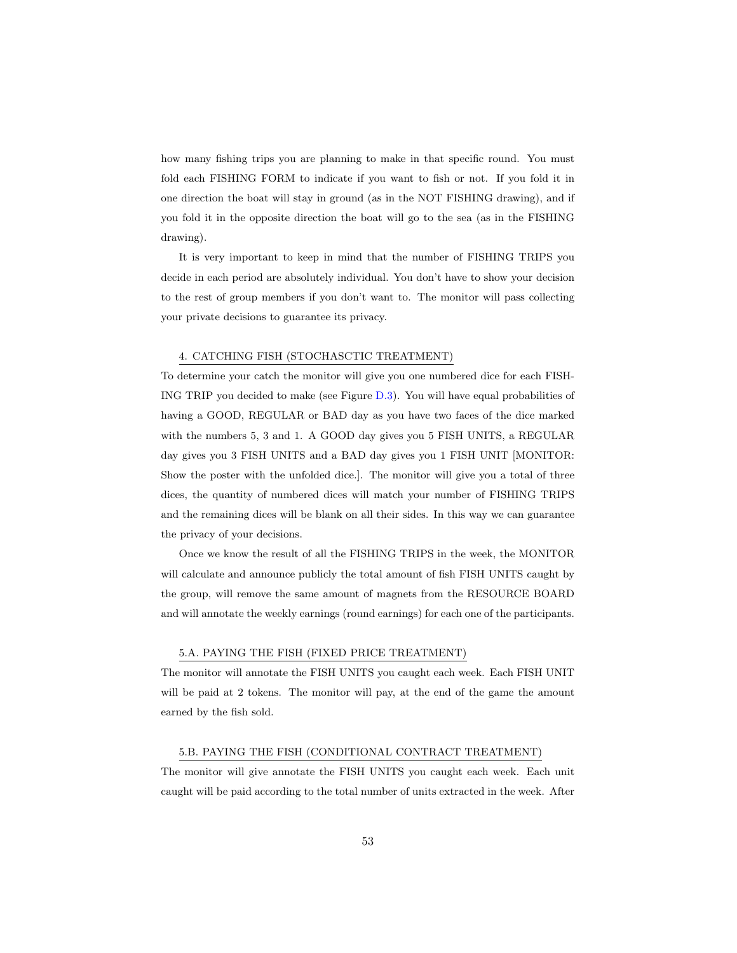how many fishing trips you are planning to make in that specific round. You must fold each FISHING FORM to indicate if you want to fish or not. If you fold it in one direction the boat will stay in ground (as in the NOT FISHING drawing), and if you fold it in the opposite direction the boat will go to the sea (as in the FISHING drawing).

It is very important to keep in mind that the number of FISHING TRIPS you decide in each period are absolutely individual. You don't have to show your decision to the rest of group members if you don't want to. The monitor will pass collecting your private decisions to guarantee its privacy.

#### 4. CATCHING FISH (STOCHASCTIC TREATMENT)

To determine your catch the monitor will give you one numbered dice for each FISH-ING TRIP you decided to make (see Figure [D.3\)](#page-53-2). You will have equal probabilities of having a GOOD, REGULAR or BAD day as you have two faces of the dice marked with the numbers 5, 3 and 1. A GOOD day gives you 5 FISH UNITS, a REGULAR day gives you 3 FISH UNITS and a BAD day gives you 1 FISH UNIT [MONITOR: Show the poster with the unfolded dice.]. The monitor will give you a total of three dices, the quantity of numbered dices will match your number of FISHING TRIPS and the remaining dices will be blank on all their sides. In this way we can guarantee the privacy of your decisions.

Once we know the result of all the FISHING TRIPS in the week, the MONITOR will calculate and announce publicly the total amount of fish FISH UNITS caught by the group, will remove the same amount of magnets from the RESOURCE BOARD and will annotate the weekly earnings (round earnings) for each one of the participants.

## 5.A. PAYING THE FISH (FIXED PRICE TREATMENT)

The monitor will annotate the FISH UNITS you caught each week. Each FISH UNIT will be paid at 2 tokens. The monitor will pay, at the end of the game the amount earned by the fish sold.

#### 5.B. PAYING THE FISH (CONDITIONAL CONTRACT TREATMENT)

The monitor will give annotate the FISH UNITS you caught each week. Each unit caught will be paid according to the total number of units extracted in the week. After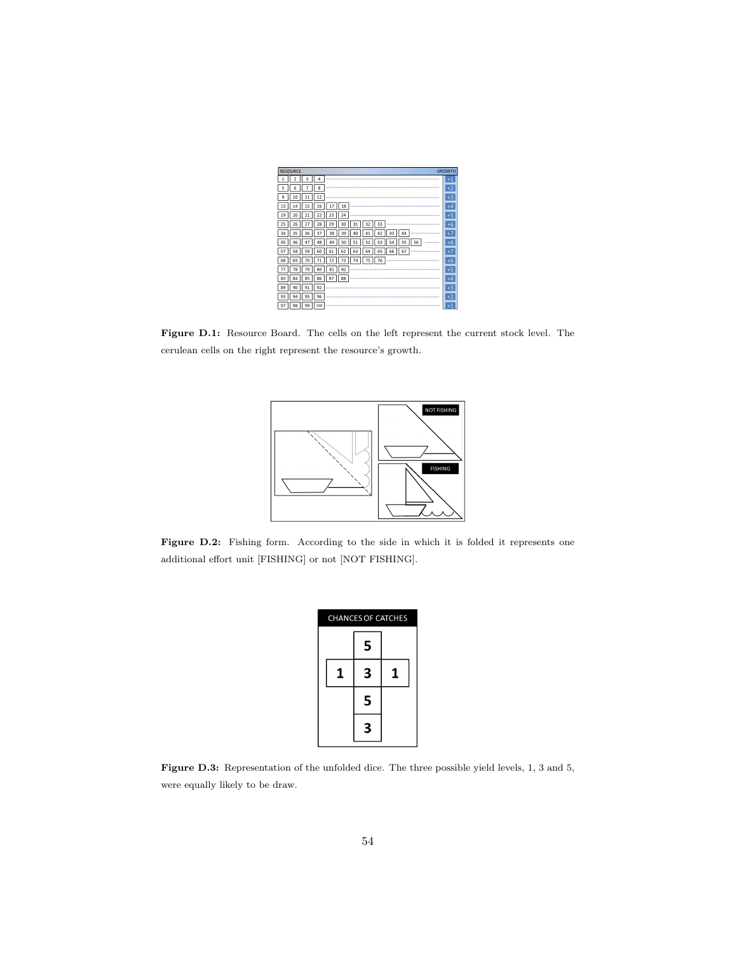<span id="page-53-0"></span>

|              | <b>RESOURCE</b> |          |          |          |          |          |        | <b>GROWTH</b> |
|--------------|-----------------|----------|----------|----------|----------|----------|--------|---------------|
| $\mathbf{1}$ | $\overline{2}$  | R<br>4   |          |          |          |          |        | $+1$          |
| 5            | 6               | 8<br>7   |          |          |          |          |        | $+2$          |
| 9            | 10              | 11       | 12       |          |          |          |        | $+3$          |
| 13           | 14              | 15       | 16<br>17 | 18       |          |          |        | $+4$          |
| 19           | 20              | 21       | 23<br>22 | 24       |          |          |        | $+5$          |
| 25           | 26              | 27       | 28<br>29 | 30<br>31 | 32<br>33 |          |        | $+6$          |
| 34           | 35              | 36<br>37 | 38       | 39<br>40 | 41<br>42 | 43<br>44 |        | $+7$          |
| 45           | 46              | 48<br>47 | 49       | 50<br>51 | 52<br>53 | 55<br>54 | 56<br> | $+8$          |
| 57           | 58              | 59<br>60 | 61       | 63<br>62 | 64<br>65 | 67<br>66 |        | $+7$          |
| 68           | 69              | 71<br>70 | 72       | 74<br>73 | 76<br>75 |          |        | $+6$          |
| 77           | 78              | 80<br>79 | 81       | 82       |          |          |        | $+5$          |
| 83           | 84              | 86<br>85 | 87       | 88       |          |          |        | $+4$          |
| 89           | 90              | 91       | 92       |          |          |          |        | $+3$          |
| 93           | 94              | 95       | 96       |          |          |          |        | $+2$          |
| 97 IF        | 98 II           | 99   100 |          |          |          |          |        | $+1$          |

<span id="page-53-1"></span>Figure D.1: Resource Board. The cells on the left represent the current stock level. The cerulean cells on the right represent the resource's growth.



<span id="page-53-2"></span>Figure D.2: Fishing form. According to the side in which it is folded it represents one additional effort unit [FISHING] or not [NOT FISHING].

| <b>CHANCES OF CATCHES</b> |   |   |  |  |  |  |  |
|---------------------------|---|---|--|--|--|--|--|
|                           | 5 |   |  |  |  |  |  |
| 1                         | 3 | 1 |  |  |  |  |  |
|                           | 5 |   |  |  |  |  |  |
|                           | 3 |   |  |  |  |  |  |

Figure D.3: Representation of the unfolded dice. The three possible yield levels, 1, 3 and 5, were equally likely to be draw.